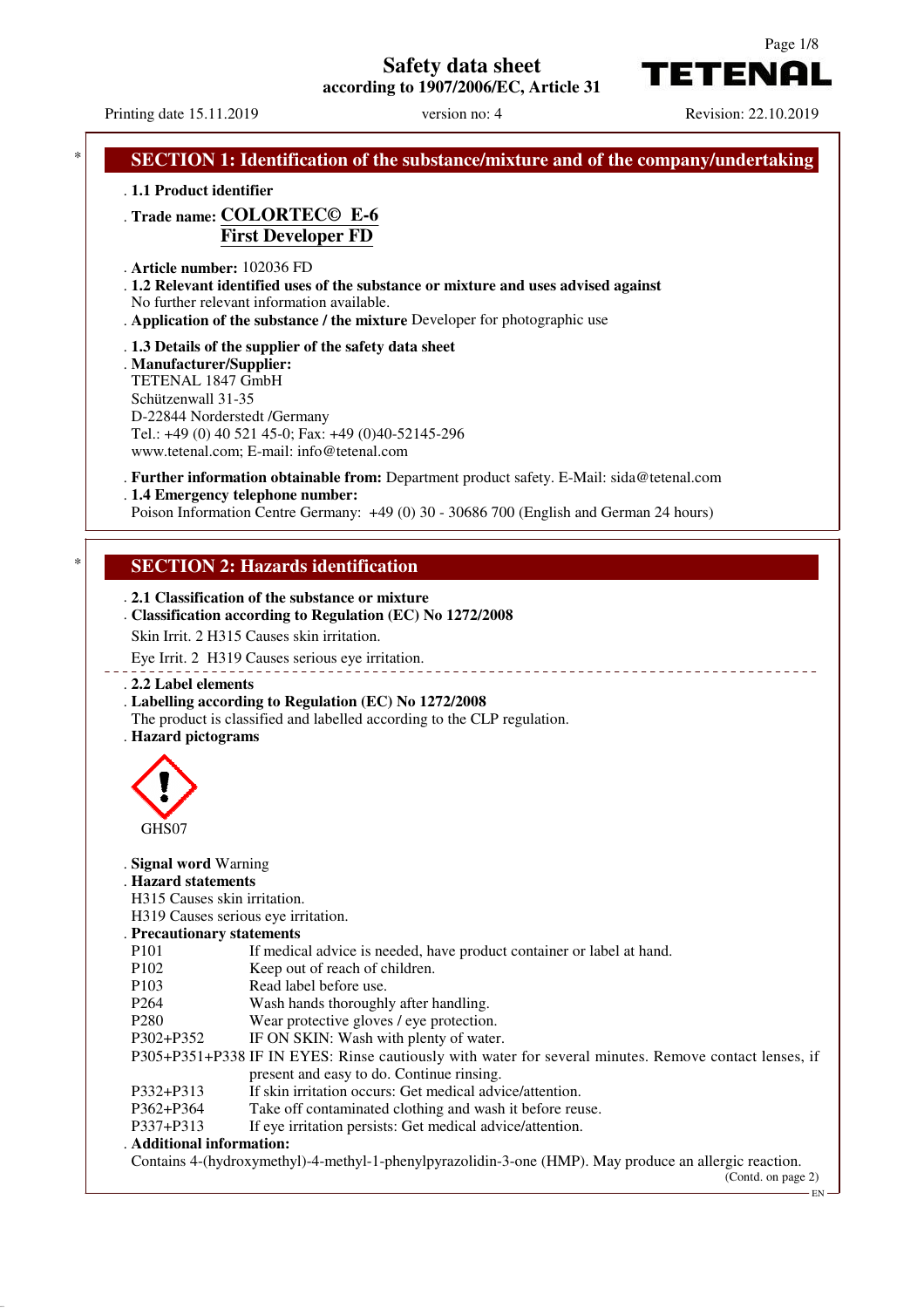**Safety data sheet**

**according to 1907/2006/EC, Article 31**

Page 1/8

EN

TETENAI

Printing date 15.11.2019 version no: 4 Revision: 22.10.2019 **SECTION 1: Identification of the substance/mixture and of the company/undertaking** . **1.1 Product identifier** . **Trade name: COLORTEC© E-6 First Developer FD** . **Article number:** 102036 FD . **1.2 Relevant identified uses of the substance or mixture and uses advised against** No further relevant information available. . **Application of the substance / the mixture** Developer for photographic use . **1.3 Details of the supplier of the safety data sheet** . **Manufacturer/Supplier:** TETENAL 1847 GmbH Schützenwall 31-35 D-22844 Norderstedt /Germany Tel.: +49 (0) 40 521 45-0; Fax: +49 (0)40-52145-296 www.tetenal.com; E-mail: info@tetenal.com . **Further information obtainable from:** Department product safety. E-Mail: sida@tetenal.com . **1.4 Emergency telephone number:** Poison Information Centre Germany: +49 (0) 30 - 30686 700 (English and German 24 hours) **SECTION 2: Hazards identification** . **2.1 Classification of the substance or mixture** . **Classification according to Regulation (EC) No 1272/2008** Skin Irrit. 2 H315 Causes skin irritation. Eye Irrit. 2 H319 Causes serious eye irritation. <u>\_\_\_\_\_\_\_\_\_\_\_\_\_\_\_\_\_</u> . **2.2 Label elements** . **Labelling according to Regulation (EC) No 1272/2008** The product is classified and labelled according to the CLP regulation. . **Hazard pictograms** GHS07 . **Signal word** Warning . **Hazard statements** H315 Causes skin irritation. H319 Causes serious eye irritation. . **Precautionary statements** P101 If medical advice is needed, have product container or label at hand. P102 Keep out of reach of children. P103 Read label before use. P264 Wash hands thoroughly after handling. P280 Wear protective gloves / eye protection. P302+P352 IF ON SKIN: Wash with plenty of water. P305+P351+P338 IF IN EYES: Rinse cautiously with water for several minutes. Remove contact lenses, if present and easy to do. Continue rinsing. P332+P313 If skin irritation occurs: Get medical advice/attention. P362+P364 Take off contaminated clothing and wash it before reuse. P337+P313 If eye irritation persists: Get medical advice/attention. . **Additional information:** Contains 4-(hydroxymethyl)-4-methyl-1-phenylpyrazolidin-3-one (HMP). May produce an allergic reaction. (Contd. on page 2)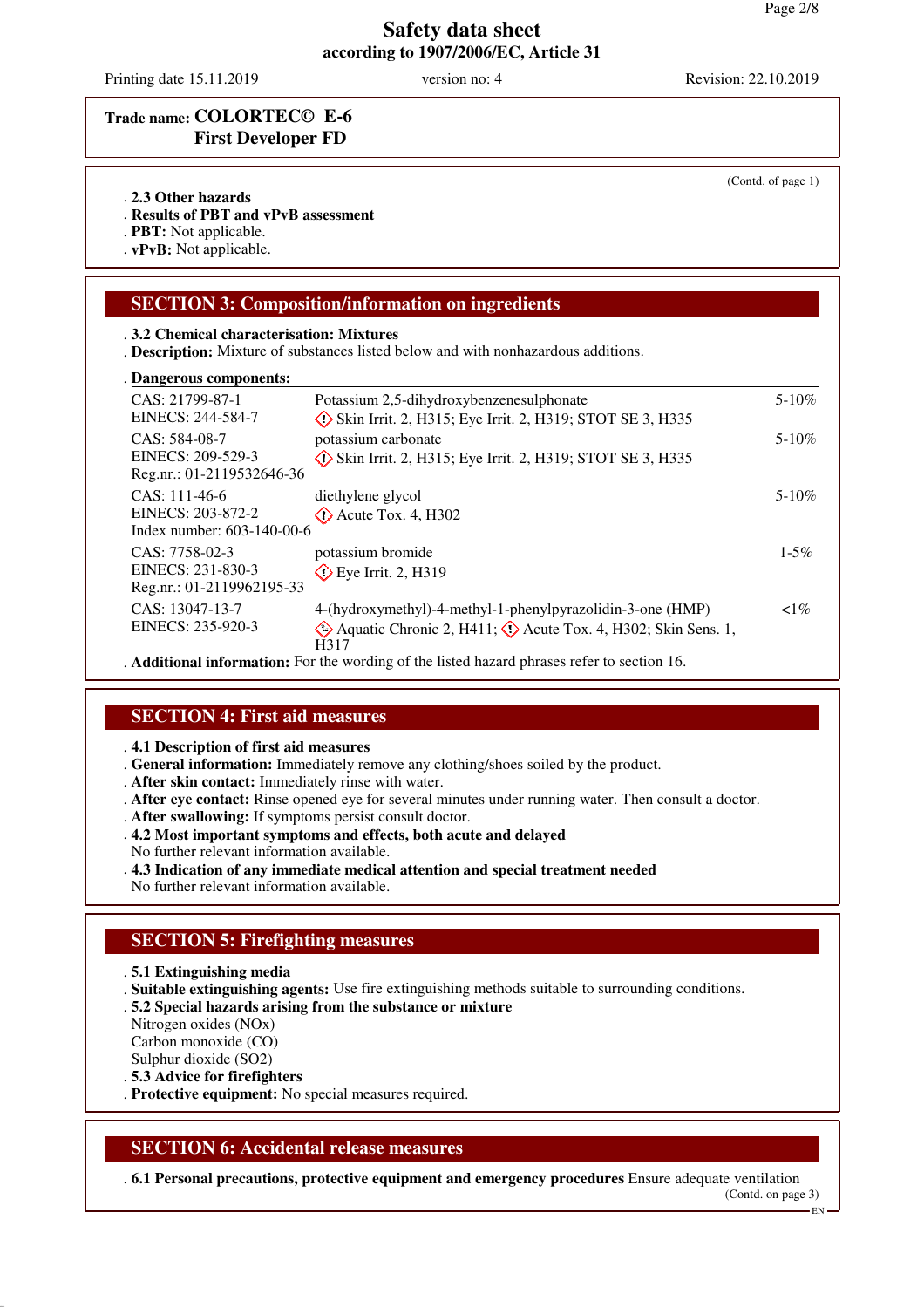Printing date 15.11.2019 version no: 4 Revision: 22.10.2019

# **Trade name: COLORTEC© E-6 First Developer FD**

#### . **2.3 Other hazards**

. **Results of PBT and vPvB assessment**

. **PBT:** Not applicable.

. **vPvB:** Not applicable.

# **SECTION 3: Composition/information on ingredients**

#### . **3.2 Chemical characterisation: Mixtures**

. **Description:** Mixture of substances listed below and with nonhazardous additions.

#### **Dangerous components:** .

| Danger ous components.                                             |                                                                                                                                                        |            |
|--------------------------------------------------------------------|--------------------------------------------------------------------------------------------------------------------------------------------------------|------------|
| CAS: 21799-87-1<br>EINECS: 244-584-7                               | Potassium 2,5-dihydroxybenzenesulphonate                                                                                                               | $5 - 10\%$ |
| CAS: 584-08-7<br>EINECS: 209-529-3<br>Reg.nr.: 01-2119532646-36    | Skin Irrit. 2, H315; Eye Irrit. 2, H319; STOT SE 3, H335<br>potassium carbonate<br>$\Diamond$ Skin Irrit. 2, H315; Eye Irrit. 2, H319; STOT SE 3, H335 | $5 - 10\%$ |
| CAS: 111-46-6<br>EINECS: 203-872-2<br>Index number: 603-140-00-6   | diethylene glycol<br>$\Diamond$ Acute Tox. 4, H302                                                                                                     | $5-10\%$   |
| $CAS: 7758-02-3$<br>EINECS: 231-830-3<br>Reg.nr.: 01-2119962195-33 | potassium bromide<br>$\diamond$ Eye Irrit. 2, H319                                                                                                     | $1 - 5\%$  |
| CAS: 13047-13-7<br>EINECS: 235-920-3                               | 4-(hydroxymethyl)-4-methyl-1-phenylpyrazolidin-3-one (HMP)<br>$\Diamond$ Aquatic Chronic 2, H411; $\Diamond$ Acute Tox. 4, H302; Skin Sens. 1,<br>H317 | $1\%$      |

. **Additional information:** For the wording of the listed hazard phrases refer to section 16.

### **SECTION 4: First aid measures**

. **4.1 Description of first aid measures**

. **General information:** Immediately remove any clothing/shoes soiled by the product.

- . **After skin contact:** Immediately rinse with water.
- . **After eye contact:** Rinse opened eye for several minutes under running water. Then consult a doctor.
- . **After swallowing:** If symptoms persist consult doctor.
- . **4.2 Most important symptoms and effects, both acute and delayed**
- No further relevant information available.
- . **4.3 Indication of any immediate medical attention and special treatment needed**

No further relevant information available.

### **SECTION 5: Firefighting measures**

- . **5.1 Extinguishing media**
- . **Suitable extinguishing agents:** Use fire extinguishing methods suitable to surrounding conditions.
- . **5.2 Special hazards arising from the substance or mixture**

Nitrogen oxides (NOx)

Carbon monoxide (CO)

Sulphur dioxide (SO2)

. **5.3 Advice for firefighters**

. **Protective equipment:** No special measures required.

### **SECTION 6: Accidental release measures**

. **6.1 Personal precautions, protective equipment and emergency procedures** Ensure adequate ventilation (Contd. on page 3) EN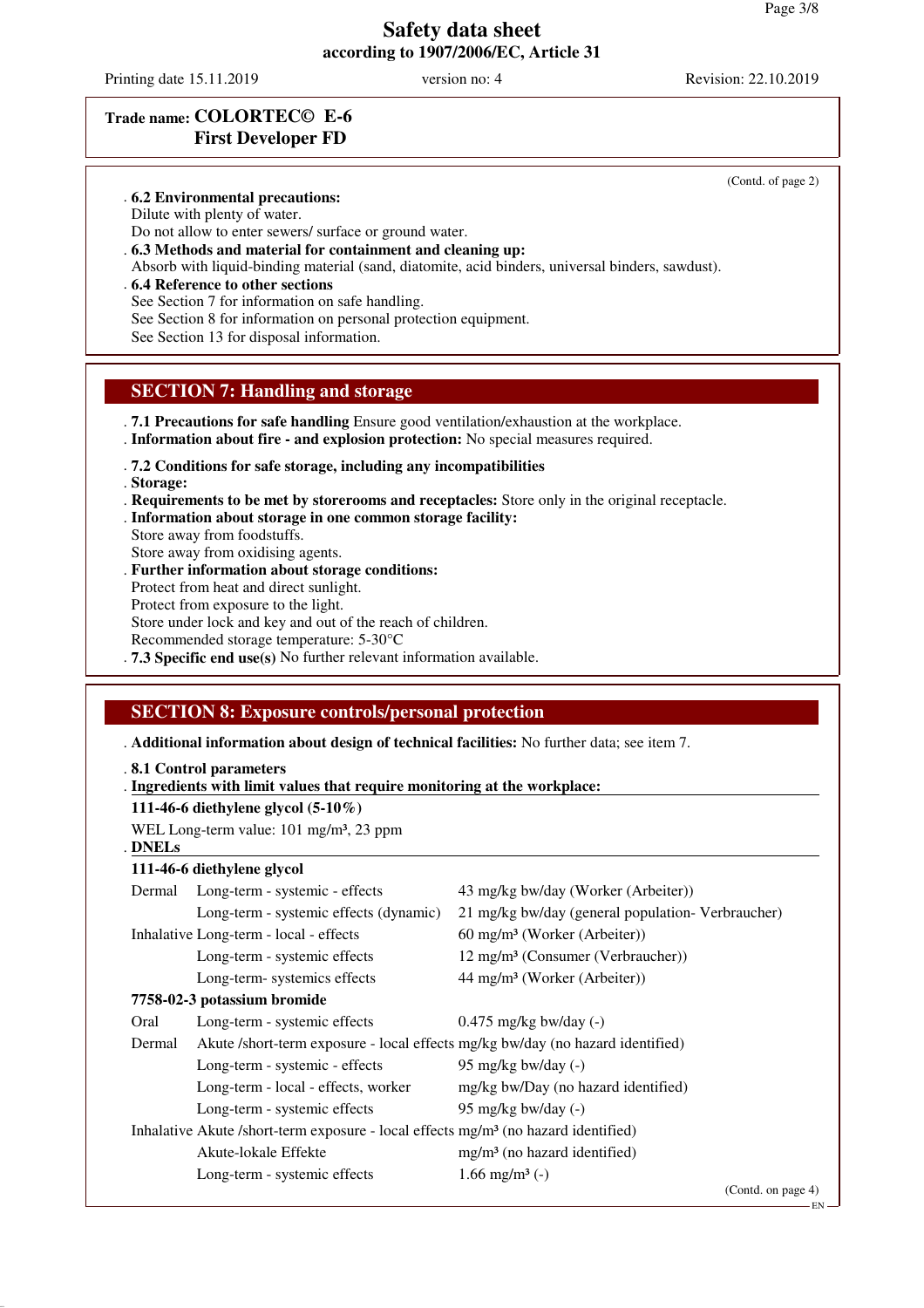Printing date 15.11.2019 version no: 4 Revision: 22.10.2019

(Contd. of page 2)

# **Trade name: COLORTEC© E-6 First Developer FD**

. **6.2 Environmental precautions:**

Dilute with plenty of water.

Do not allow to enter sewers/ surface or ground water.

- . **6.3 Methods and material for containment and cleaning up:**
- Absorb with liquid-binding material (sand, diatomite, acid binders, universal binders, sawdust).
- . **6.4 Reference to other sections**

See Section 7 for information on safe handling.

See Section 8 for information on personal protection equipment.

See Section 13 for disposal information.

#### **SECTION 7: Handling and storage**

- . **7.1 Precautions for safe handling** Ensure good ventilation/exhaustion at the workplace.
- . **Information about fire and explosion protection:** No special measures required.

. **7.2 Conditions for safe storage, including any incompatibilities**

. **Storage:**

. **Requirements to be met by storerooms and receptacles:** Store only in the original receptacle.

- . **Information about storage in one common storage facility:**
- Store away from foodstuffs. Store away from oxidising agents.
- . **Further information about storage conditions:**

Protect from heat and direct sunlight.

Protect from exposure to the light.

Store under lock and key and out of the reach of children.

- Recommended storage temperature: 5-30°C
- . **7.3 Specific end use(s)** No further relevant information available.

### **SECTION 8: Exposure controls/personal protection**

. **Additional information about design of technical facilities:** No further data; see item 7.

. Ingredients with limit values that require monitoring at the workplace:

**111-46-6 diethylene glycol (5-10%)**

WEL Long-term value: 101 mg/m<sup>3</sup>, 23 ppm

**DNELs** .

#### **111-46-6 diethylene glycol**

| Dermal | Long-term - systemic - effects                                                                 | 43 mg/kg bw/day (Worker (Arbeiter))               |                    |
|--------|------------------------------------------------------------------------------------------------|---------------------------------------------------|--------------------|
|        | Long-term - systemic effects (dynamic)                                                         | 21 mg/kg bw/day (general population- Verbraucher) |                    |
|        | Inhalative Long-term - local - effects                                                         | $60 \text{ mg/m}^3$ (Worker (Arbeiter))           |                    |
|        | Long-term - systemic effects                                                                   | 12 mg/m <sup>3</sup> (Consumer (Verbraucher))     |                    |
|        | Long-term-systemics effects                                                                    | 44 mg/m <sup>3</sup> (Worker (Arbeiter))          |                    |
|        | 7758-02-3 potassium bromide                                                                    |                                                   |                    |
| Oral   | Long-term - systemic effects                                                                   | $0.475$ mg/kg bw/day $(-)$                        |                    |
| Dermal | Akute /short-term exposure - local effects mg/kg bw/day (no hazard identified)                 |                                                   |                    |
|        | Long-term - systemic - effects                                                                 | 95 mg/kg bw/day $(-)$                             |                    |
|        | Long-term - local - effects, worker                                                            | mg/kg bw/Day (no hazard identified)               |                    |
|        | Long-term - systemic effects                                                                   | 95 mg/kg bw/day $(-)$                             |                    |
|        | Inhalative Akute /short-term exposure - local effects mg/m <sup>3</sup> (no hazard identified) |                                                   |                    |
|        | Akute-lokale Effekte                                                                           | $mg/m3$ (no hazard identified)                    |                    |
|        | Long-term - systemic effects                                                                   | 1.66 mg/m <sup>3</sup> $(-)$                      |                    |
|        |                                                                                                |                                                   | (Contd. on page 4) |

<sup>.</sup> **8.1 Control parameters**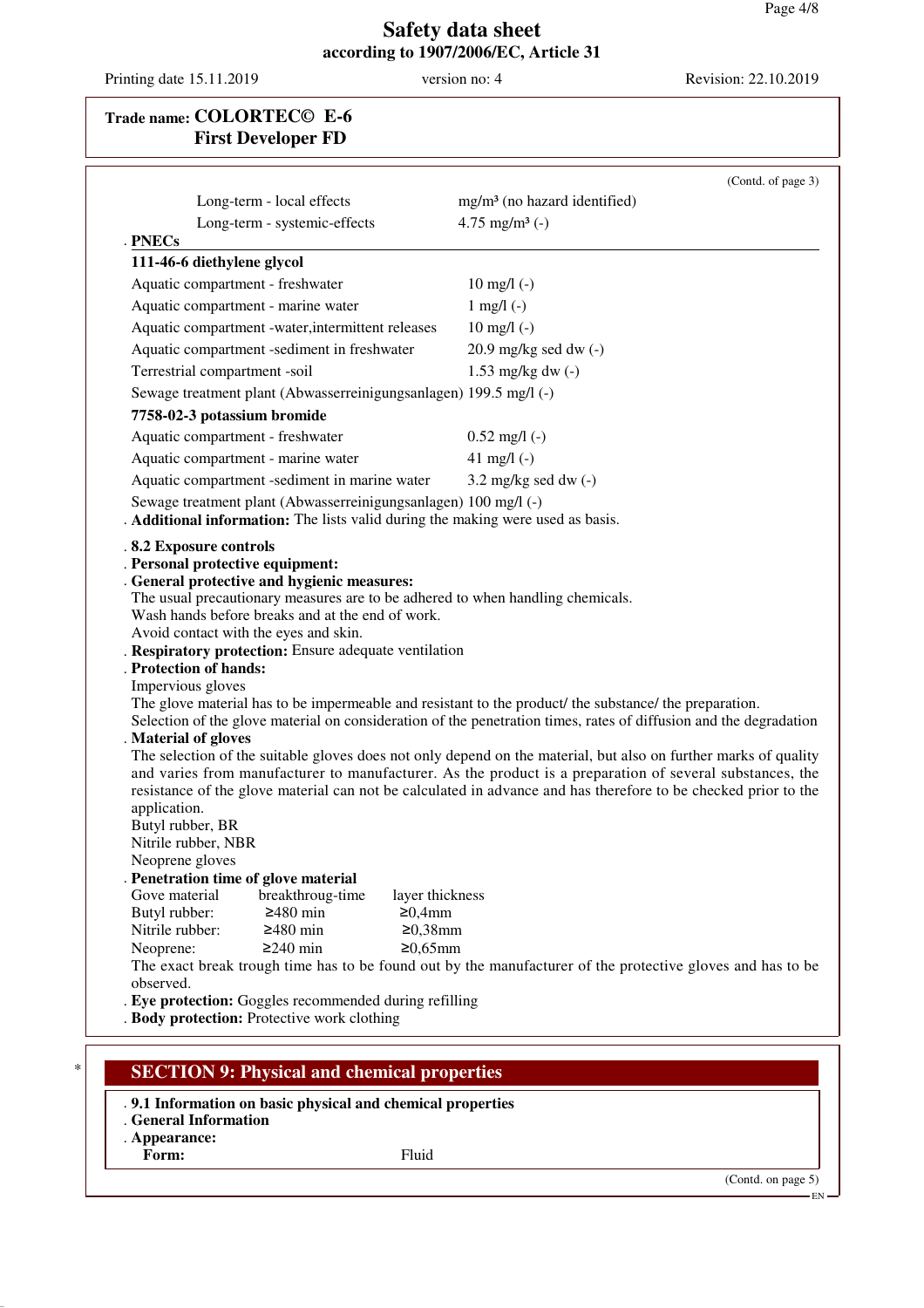Printing date 15.11.2019 version no: 4 Revision: 22.10.2019

# **Trade name: COLORTEC© E-6 First Developer FD**

| Long-term - local effects                                                                                                                                                                                                                                      | mg/m <sup>3</sup> (no hazard identified)                                                                                                                                                                                                                                                                                                                                                                                                                                                                                                                                     |
|----------------------------------------------------------------------------------------------------------------------------------------------------------------------------------------------------------------------------------------------------------------|------------------------------------------------------------------------------------------------------------------------------------------------------------------------------------------------------------------------------------------------------------------------------------------------------------------------------------------------------------------------------------------------------------------------------------------------------------------------------------------------------------------------------------------------------------------------------|
|                                                                                                                                                                                                                                                                |                                                                                                                                                                                                                                                                                                                                                                                                                                                                                                                                                                              |
| Long-term - systemic-effects<br>. PNECs                                                                                                                                                                                                                        | 4.75 mg/m <sup>3</sup> $(-)$                                                                                                                                                                                                                                                                                                                                                                                                                                                                                                                                                 |
| 111-46-6 diethylene glycol                                                                                                                                                                                                                                     |                                                                                                                                                                                                                                                                                                                                                                                                                                                                                                                                                                              |
| Aquatic compartment - freshwater                                                                                                                                                                                                                               | $10$ mg/l $(-)$                                                                                                                                                                                                                                                                                                                                                                                                                                                                                                                                                              |
| Aquatic compartment - marine water                                                                                                                                                                                                                             | $1$ mg/l $(-)$                                                                                                                                                                                                                                                                                                                                                                                                                                                                                                                                                               |
| Aquatic compartment -water, intermittent releases                                                                                                                                                                                                              | $10 \text{ mg/l}$ (-)                                                                                                                                                                                                                                                                                                                                                                                                                                                                                                                                                        |
| Aquatic compartment -sediment in freshwater                                                                                                                                                                                                                    | $20.9$ mg/kg sed dw $(-)$                                                                                                                                                                                                                                                                                                                                                                                                                                                                                                                                                    |
| Terrestrial compartment -soil                                                                                                                                                                                                                                  | $1.53$ mg/kg dw $(-)$                                                                                                                                                                                                                                                                                                                                                                                                                                                                                                                                                        |
| Sewage treatment plant (Abwasserreinigungsanlagen) 199.5 mg/l (-)                                                                                                                                                                                              |                                                                                                                                                                                                                                                                                                                                                                                                                                                                                                                                                                              |
| 7758-02-3 potassium bromide                                                                                                                                                                                                                                    |                                                                                                                                                                                                                                                                                                                                                                                                                                                                                                                                                                              |
| Aquatic compartment - freshwater                                                                                                                                                                                                                               | $0.52$ mg/l (-)                                                                                                                                                                                                                                                                                                                                                                                                                                                                                                                                                              |
| Aquatic compartment - marine water                                                                                                                                                                                                                             | 41 mg/l $(-)$                                                                                                                                                                                                                                                                                                                                                                                                                                                                                                                                                                |
| Aquatic compartment -sediment in marine water                                                                                                                                                                                                                  | $3.2 \text{ mg/kg}$ sed dw $(-)$                                                                                                                                                                                                                                                                                                                                                                                                                                                                                                                                             |
| Sewage treatment plant (Abwasserreinigungsanlagen) 100 mg/l (-)                                                                                                                                                                                                |                                                                                                                                                                                                                                                                                                                                                                                                                                                                                                                                                                              |
| . Additional information: The lists valid during the making were used as basis.                                                                                                                                                                                |                                                                                                                                                                                                                                                                                                                                                                                                                                                                                                                                                                              |
| . Personal protective equipment:<br>. General protective and hygienic measures:<br>The usual precautionary measures are to be adhered to when handling chemicals.<br>Wash hands before breaks and at the end of work.<br>Avoid contact with the eyes and skin. |                                                                                                                                                                                                                                                                                                                                                                                                                                                                                                                                                                              |
| . Respiratory protection: Ensure adequate ventilation<br><b>Protection of hands:</b><br>Impervious gloves<br>. Material of gloves<br>application.<br>Butyl rubber, BR<br>Nitrile rubber, NBR<br>Neoprene gloves<br>. Penetration time of glove material        | The glove material has to be impermeable and resistant to the product/ the substance/ the preparation.<br>Selection of the glove material on consideration of the penetration times, rates of diffusion and the degradation<br>The selection of the suitable gloves does not only depend on the material, but also on further marks of quality<br>and varies from manufacturer to manufacturer. As the product is a preparation of several substances, the<br>resistance of the glove material can not be calculated in advance and has therefore to be checked prior to the |
| Gove material<br>breakthroug-time<br>layer thickness                                                                                                                                                                                                           |                                                                                                                                                                                                                                                                                                                                                                                                                                                                                                                                                                              |
| $≥480$ min<br>Butyl rubber:<br>≥0,4mm                                                                                                                                                                                                                          |                                                                                                                                                                                                                                                                                                                                                                                                                                                                                                                                                                              |
| $≥480$ min<br>$≥0,38$ mm<br>Nitrile rubber:<br>$≥0.65mm$<br>Neoprene:<br>$≥240$ min                                                                                                                                                                            |                                                                                                                                                                                                                                                                                                                                                                                                                                                                                                                                                                              |
|                                                                                                                                                                                                                                                                | The exact break trough time has to be found out by the manufacturer of the protective gloves and has to be                                                                                                                                                                                                                                                                                                                                                                                                                                                                   |
| observed.<br>. Eye protection: Goggles recommended during refilling                                                                                                                                                                                            |                                                                                                                                                                                                                                                                                                                                                                                                                                                                                                                                                                              |

- . **Appearance:**
- Form: Fluid

(Contd. on page 5)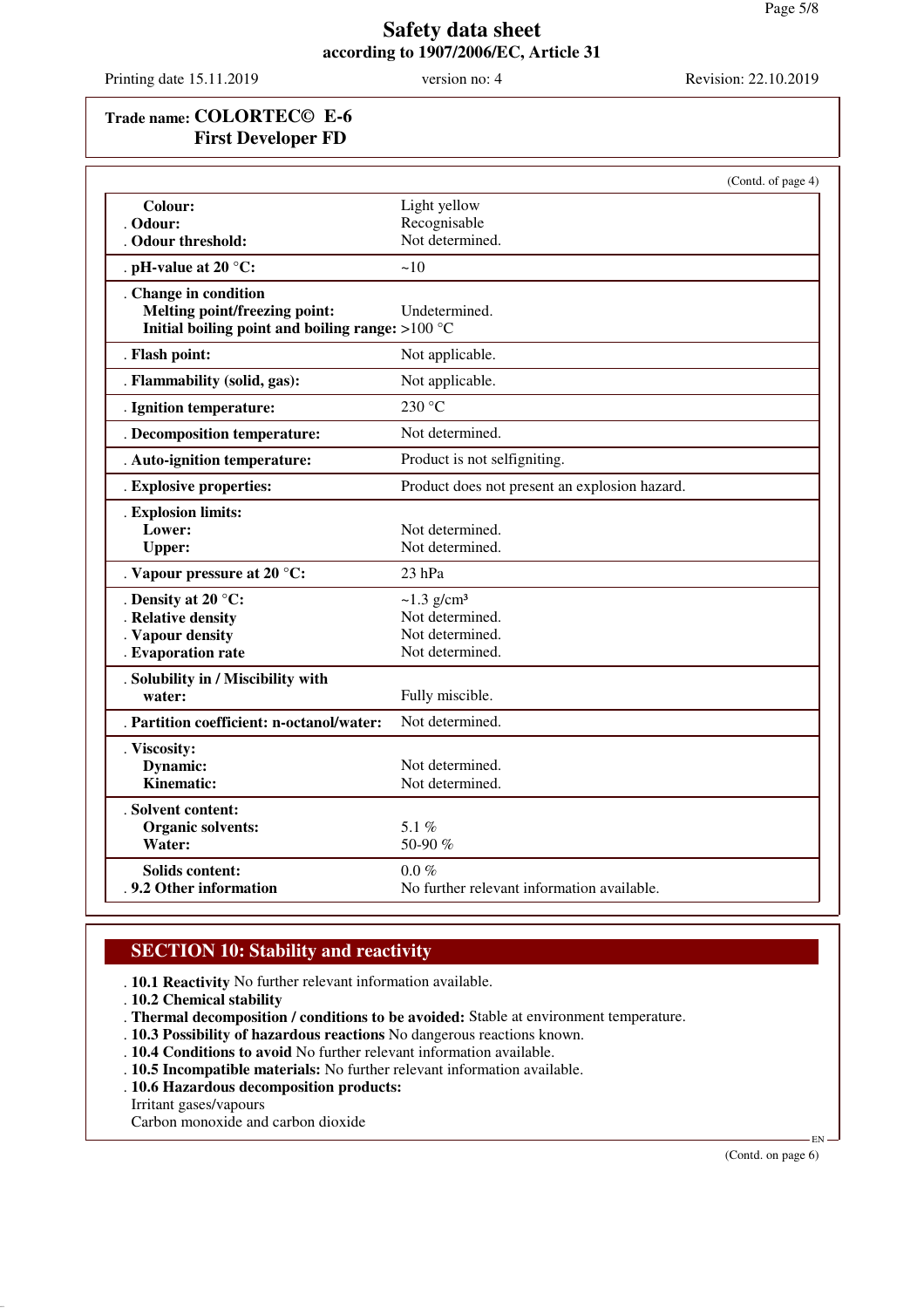Printing date 15.11.2019 version no: 4 Revision: 22.10.2019

# **Trade name: COLORTEC© E-6 First Developer FD**

|                                                  | (Contd. of page 4)                            |
|--------------------------------------------------|-----------------------------------------------|
| Colour:                                          | Light yellow                                  |
| . Odour:                                         | Recognisable                                  |
| Odour threshold:                                 | Not determined.                               |
| . pH-value at 20 $^{\circ}$ C:                   | ~10                                           |
| . Change in condition                            |                                               |
| Melting point/freezing point:                    | Undetermined.                                 |
| Initial boiling point and boiling range: >100 °C |                                               |
| . Flash point:                                   | Not applicable.                               |
| . Flammability (solid, gas):                     | Not applicable.                               |
| . Ignition temperature:                          | 230 °C                                        |
| . Decomposition temperature:                     | Not determined.                               |
| . Auto-ignition temperature:                     | Product is not selfigniting.                  |
| . Explosive properties:                          | Product does not present an explosion hazard. |
| . Explosion limits:                              |                                               |
| Lower:                                           | Not determined.                               |
| <b>Upper:</b>                                    | Not determined.                               |
| . Vapour pressure at 20 °C:                      | 23 hPa                                        |
| . Density at 20 °C:                              | $\sim$ 1.3 g/cm <sup>3</sup>                  |
| . Relative density                               | Not determined.                               |
| . Vapour density                                 | Not determined.                               |
| . Evaporation rate                               | Not determined.                               |
| . Solubility in / Miscibility with               |                                               |
| water:                                           | Fully miscible.                               |
| . Partition coefficient: n-octanol/water:        | Not determined.                               |
| . Viscosity:                                     |                                               |
| Dynamic:                                         | Not determined.                               |
| Kinematic:                                       | Not determined.                               |
| . Solvent content:                               |                                               |
| Organic solvents:                                | 5.1%                                          |
| Water:                                           | 50-90 %                                       |
| <b>Solids content:</b>                           | $0.0 \%$                                      |
| . 9.2 Other information                          | No further relevant information available.    |

# **SECTION 10: Stability and reactivity**

- . **10.1 Reactivity** No further relevant information available.
- . **10.2 Chemical stability**
- . **Thermal decomposition / conditions to be avoided:** Stable at environment temperature.
- . **10.3 Possibility of hazardous reactions** No dangerous reactions known.
- . **10.4 Conditions to avoid** No further relevant information available.
- . **10.5 Incompatible materials:** No further relevant information available.
- . **10.6 Hazardous decomposition products:**
- Irritant gases/vapours
- Carbon monoxide and carbon dioxide

(Contd. on page 6)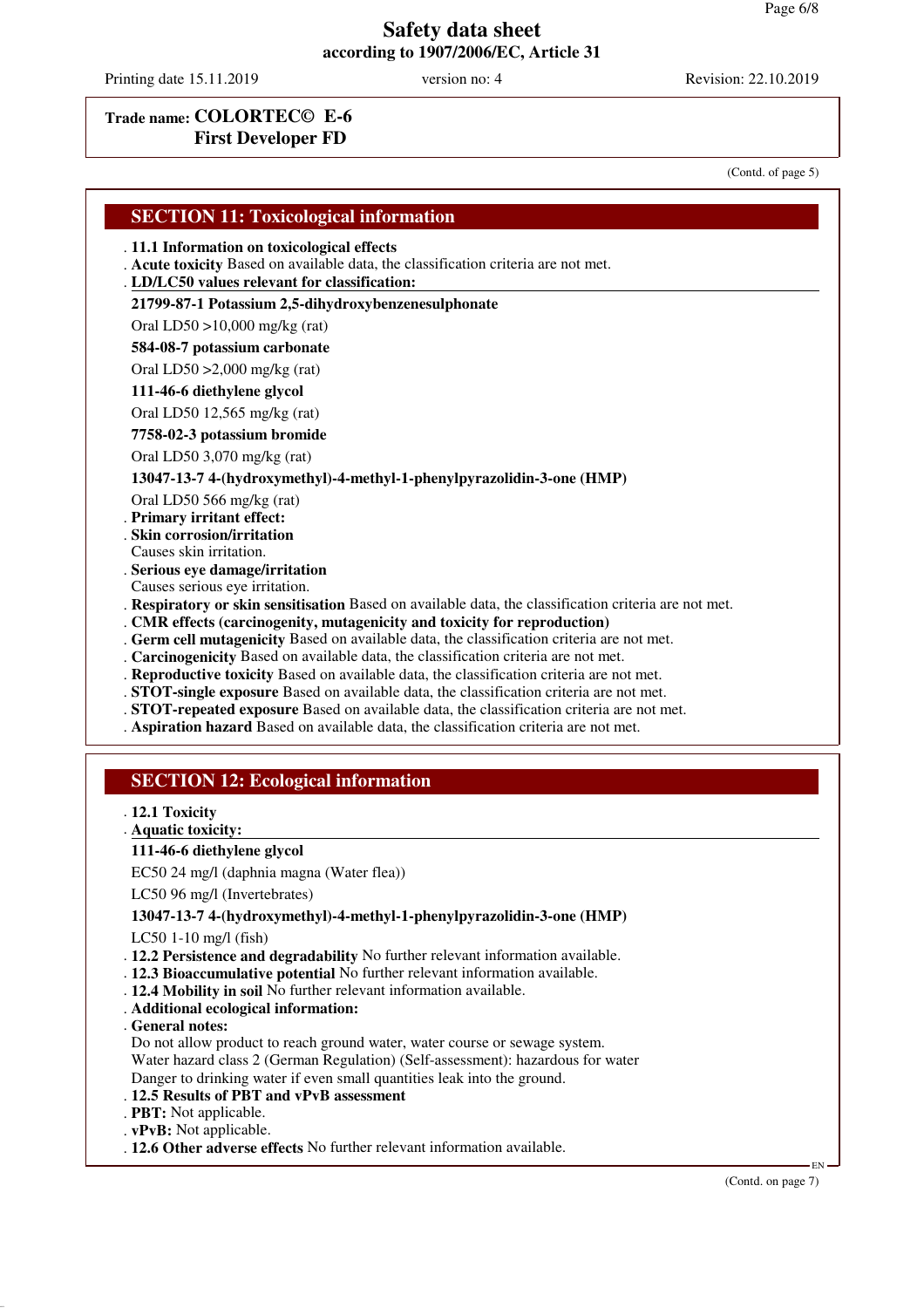Printing date 15.11.2019 version no: 4 Revision: 22.10.2019

### **Trade name: COLORTEC© E-6 First Developer FD**

(Contd. of page 5)

. **CMR effects (carcinogenity, mutagenicity and toxicity for reproduction)**

- . **Germ cell mutagenicity** Based on available data, the classification criteria are not met.
- . **Carcinogenicity** Based on available data, the classification criteria are not met.
- . **Reproductive toxicity** Based on available data, the classification criteria are not met.
- . **STOT-single exposure** Based on available data, the classification criteria are not met.
- . **STOT-repeated exposure** Based on available data, the classification criteria are not met.
- . **Aspiration hazard** Based on available data, the classification criteria are not met.

### **SECTION 12: Ecological information**

- . **12.1 Toxicity**
- **Aquatic toxicity:** .

#### **111-46-6 diethylene glycol**

EC50 24 mg/l (daphnia magna (Water flea))

LC50 96 mg/l (Invertebrates)

#### **13047-13-7 4-(hydroxymethyl)-4-methyl-1-phenylpyrazolidin-3-one (HMP)**

LC50 1-10 mg/l (fish)

- . **12.2 Persistence and degradability** No further relevant information available.
- . **12.3 Bioaccumulative potential** No further relevant information available.
- . **12.4 Mobility in soil** No further relevant information available.
- . **Additional ecological information:**
- . **General notes:**

Do not allow product to reach ground water, water course or sewage system. Water hazard class 2 (German Regulation) (Self-assessment): hazardous for water

- Danger to drinking water if even small quantities leak into the ground.
- . **12.5 Results of PBT and vPvB assessment**
- . **PBT:** Not applicable.
- . **vPvB:** Not applicable.
- . **12.6 Other adverse effects** No further relevant information available.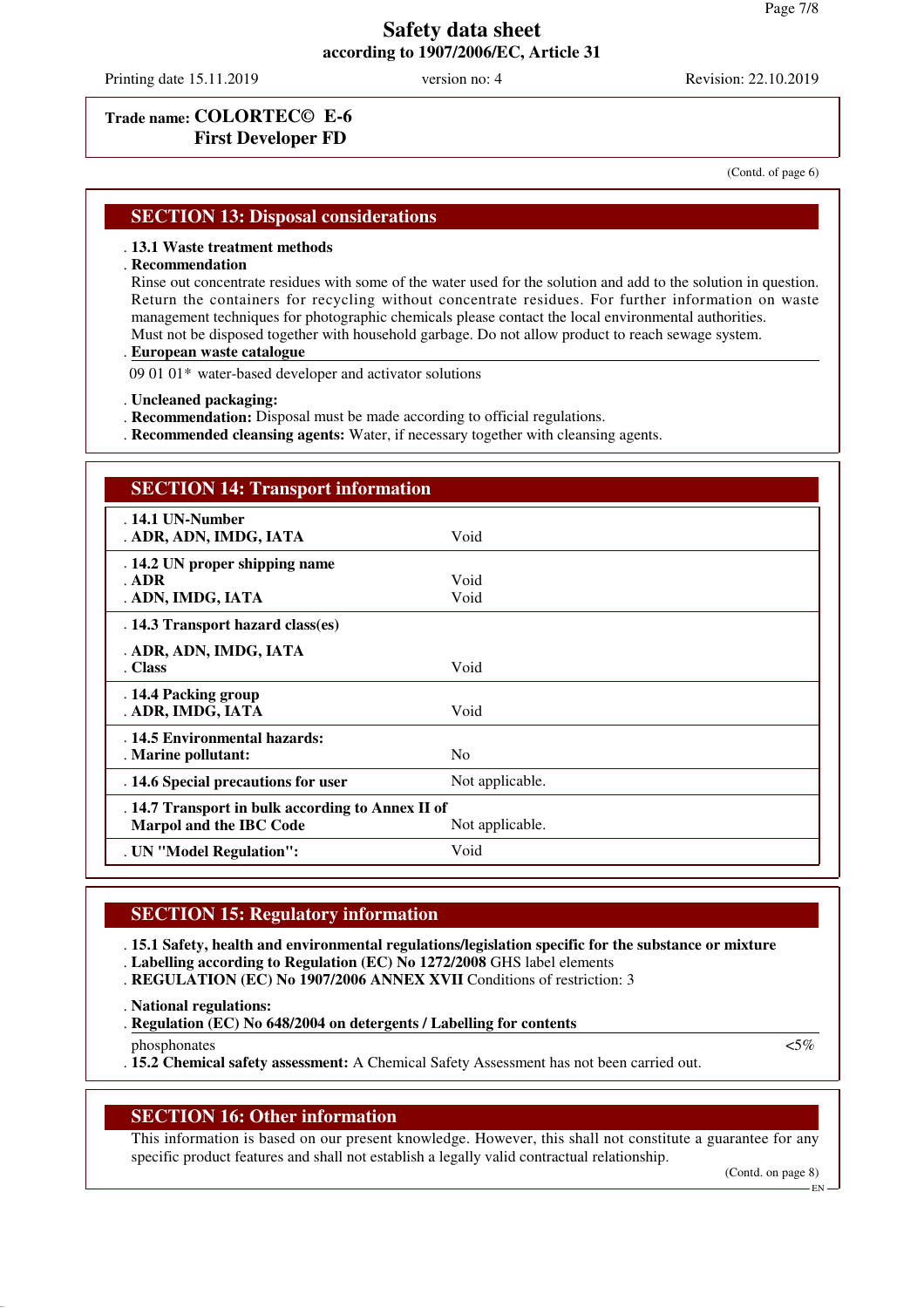Printing date 15.11.2019 version no: 4 Revision: 22.10.2019

## **Trade name: COLORTEC© E-6 First Developer FD**

(Contd. of page 6)

### **SECTION 13: Disposal considerations**

#### . **13.1 Waste treatment methods**

#### . **Recommendation**

Rinse out concentrate residues with some of the water used for the solution and add to the solution in question. Return the containers for recycling without concentrate residues. For further information on waste management techniques for photographic chemicals please contact the local environmental authorities. Must not be disposed together with household garbage. Do not allow product to reach sewage system.

#### **European waste catalogue** .

09 01 01\* water-based developer and activator solutions

- . **Uncleaned packaging:**
- . **Recommendation:** Disposal must be made according to official regulations.
- . **Recommended cleansing agents:** Water, if necessary together with cleansing agents.

| <b>SECTION 14: Transport information</b>                                            |                 |
|-------------------------------------------------------------------------------------|-----------------|
| $.14.1$ UN-Number<br>. ADR, ADN, IMDG, IATA                                         | Void            |
| . 14.2 UN proper shipping name<br>ADR<br>. ADN, IMDG, IATA                          | Void<br>Void    |
| . 14.3 Transport hazard class(es)                                                   |                 |
| . ADR, ADN, IMDG, IATA<br>. Class                                                   | Void            |
| . 14.4 Packing group<br>. ADR, IMDG, IATA                                           | Void            |
| . 14.5 Environmental hazards:<br>. Marine pollutant:                                | N <sub>0</sub>  |
| . 14.6 Special precautions for user                                                 | Not applicable. |
| . 14.7 Transport in bulk according to Annex II of<br><b>Marpol and the IBC Code</b> | Not applicable. |
| . UN "Model Regulation":                                                            | Void            |

#### **SECTION 15: Regulatory information**

. **15.1 Safety, health and environmental regulations/legislation specific for the substance or mixture**

- . **Labelling according to Regulation (EC) No 1272/2008** GHS label elements
- . **REGULATION (EC) No 1907/2006 ANNEX XVII** Conditions of restriction: 3

. **National regulations:**

. Regulation (EC) No 648/2004 on detergents / Labelling for contents

phosphonates  $\langle 5\% \rangle$ . **15.2 Chemical safety assessment:** A Chemical Safety Assessment has not been carried out.

#### **SECTION 16: Other information**

This information is based on our present knowledge. However, this shall not constitute a guarantee for any specific product features and shall not establish a legally valid contractual relationship.

(Contd. on page 8)

EN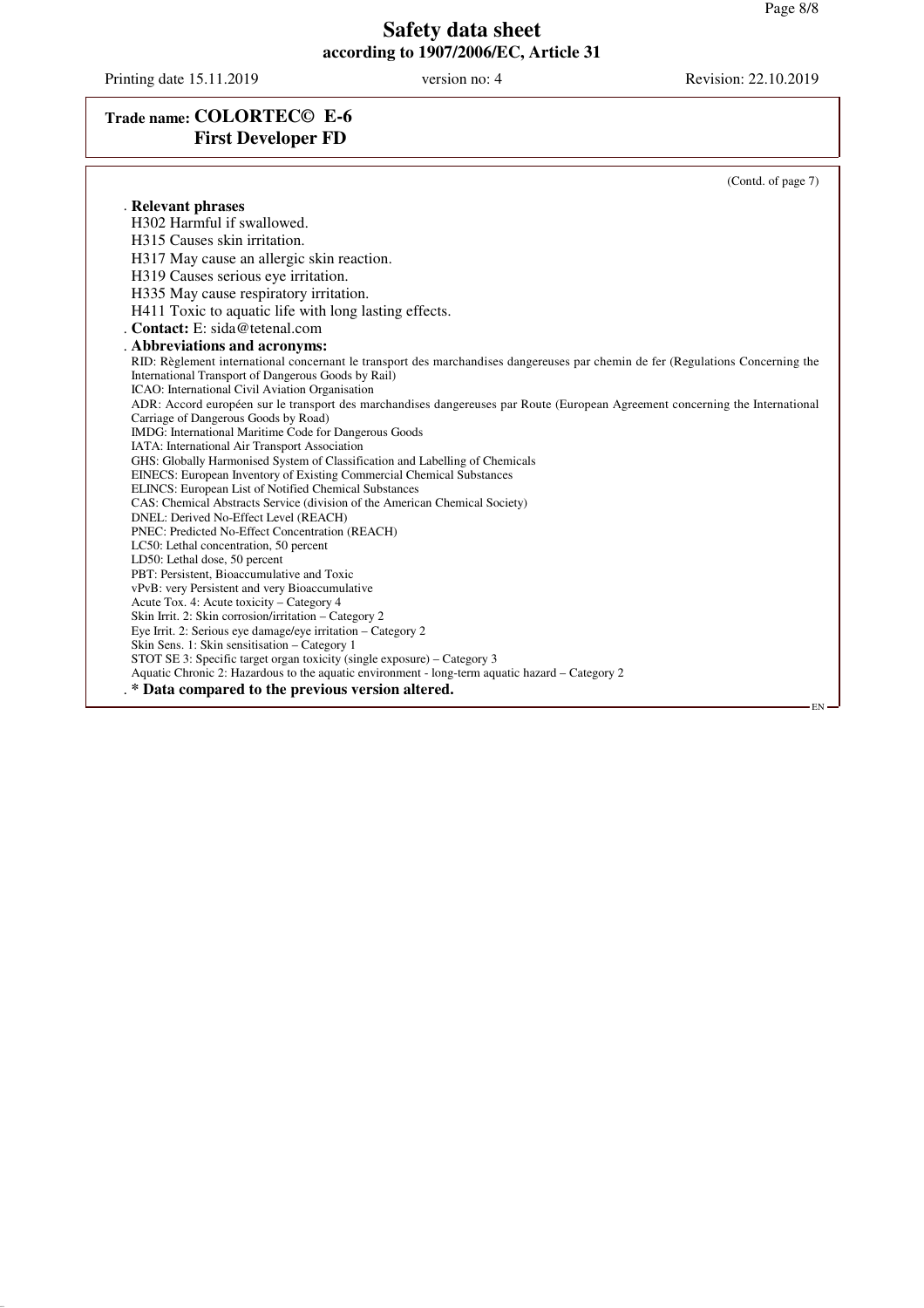Printing date 15.11.2019 version no: 4 Revision: 22.10.2019

# **Trade name: COLORTEC© E-6 First Developer FD**

|                                                                                                                                 | (Contd. of page 7) |
|---------------------------------------------------------------------------------------------------------------------------------|--------------------|
| . Relevant phrases                                                                                                              |                    |
| H302 Harmful if swallowed.                                                                                                      |                    |
| H315 Causes skin irritation.                                                                                                    |                    |
| H317 May cause an allergic skin reaction.                                                                                       |                    |
| H319 Causes serious eye irritation.                                                                                             |                    |
|                                                                                                                                 |                    |
| H335 May cause respiratory irritation.                                                                                          |                    |
| H411 Toxic to aquatic life with long lasting effects.                                                                           |                    |
| . Contact: $E:$ sida@tetenal.com                                                                                                |                    |
| . Abbreviations and acronyms:                                                                                                   |                    |
| RID: Règlement international concernant le transport des marchandises dangereuses par chemin de fer (Regulations Concerning the |                    |
| International Transport of Dangerous Goods by Rail)                                                                             |                    |
| ICAO: International Civil Aviation Organisation                                                                                 |                    |
| ADR: Accord européen sur le transport des marchandises dangereuses par Route (European Agreement concerning the International   |                    |
| Carriage of Dangerous Goods by Road)                                                                                            |                    |
| IMDG: International Maritime Code for Dangerous Goods                                                                           |                    |
| IATA: International Air Transport Association                                                                                   |                    |
| GHS: Globally Harmonised System of Classification and Labelling of Chemicals                                                    |                    |
| EINECS: European Inventory of Existing Commercial Chemical Substances                                                           |                    |
| ELINCS: European List of Notified Chemical Substances                                                                           |                    |
| CAS: Chemical Abstracts Service (division of the American Chemical Society)                                                     |                    |
| DNEL: Derived No-Effect Level (REACH)                                                                                           |                    |
| PNEC: Predicted No-Effect Concentration (REACH)                                                                                 |                    |
| LC50: Lethal concentration, 50 percent                                                                                          |                    |
| LD50: Lethal dose, 50 percent<br>PBT: Persistent, Bioaccumulative and Toxic                                                     |                    |
| vPvB: very Persistent and very Bioaccumulative                                                                                  |                    |
| Acute Tox. 4: Acute toxicity – Category 4                                                                                       |                    |
| Skin Irrit. 2: Skin corrosion/irritation – Category 2                                                                           |                    |
| Eye Irrit. 2: Serious eye damage/eye irritation – Category 2                                                                    |                    |
| Skin Sens. 1: Skin sensitisation – Category 1                                                                                   |                    |
| STOT SE 3: Specific target organ toxicity (single exposure) – Category 3                                                        |                    |
| Aquatic Chronic 2: Hazardous to the aquatic environment - long-term aquatic hazard – Category 2                                 |                    |
| . * Data compared to the previous version altered.                                                                              |                    |
|                                                                                                                                 | $EN -$             |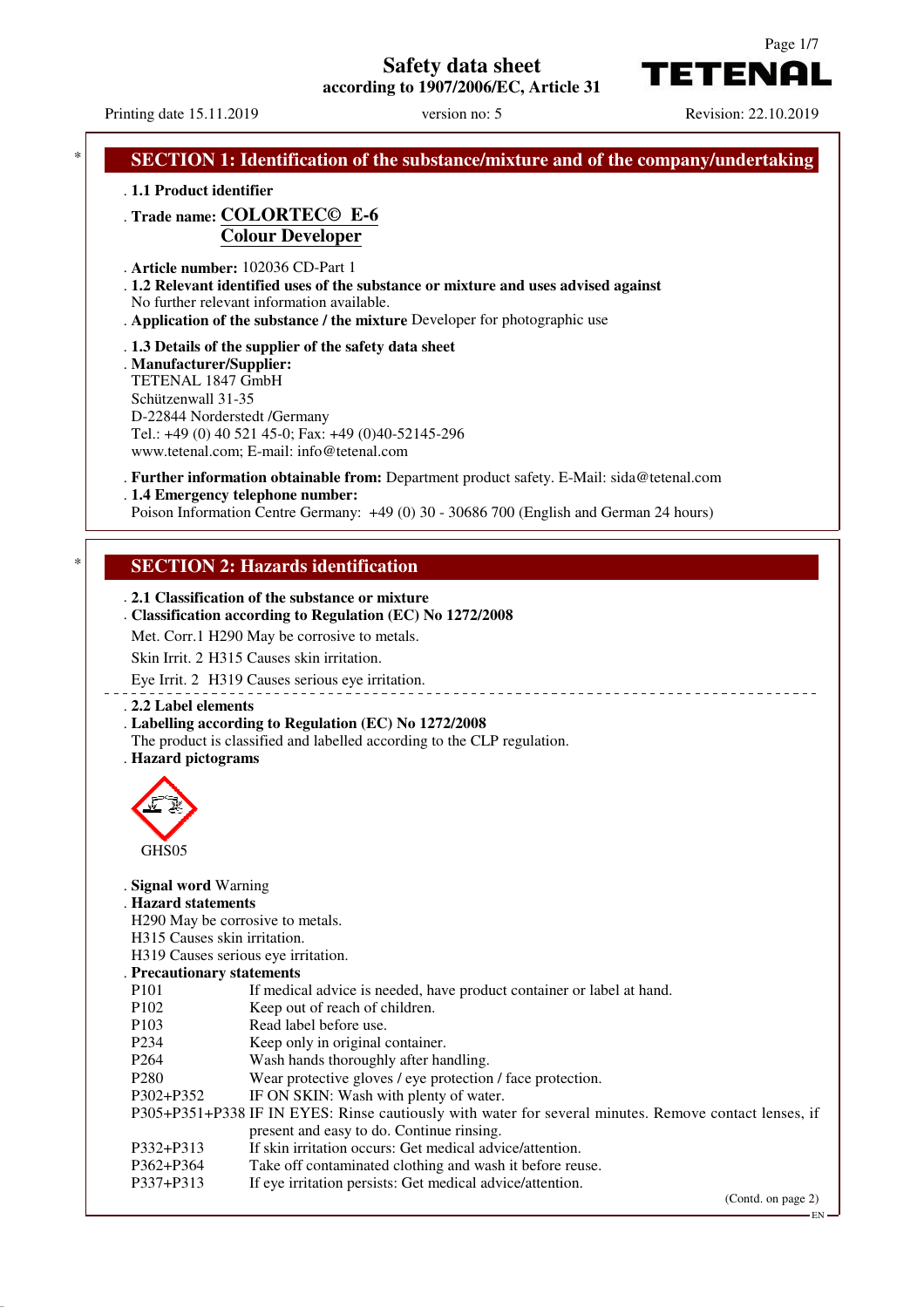**Safety data sheet**

**according to 1907/2006/EC, Article 31**



EN

Printing date 15.11.2019 version no: 5 Revision: 22.10.2019

| . 1.1 Product identifier                      |                                                                                                                      |
|-----------------------------------------------|----------------------------------------------------------------------------------------------------------------------|
|                                               | . Trade name: COLORTECO E-6                                                                                          |
|                                               | <b>Colour Developer</b>                                                                                              |
|                                               | . Article number: 102036 CD-Part 1                                                                                   |
|                                               | . 1.2 Relevant identified uses of the substance or mixture and uses advised against                                  |
|                                               | No further relevant information available.                                                                           |
|                                               | . Application of the substance / the mixture Developer for photographic use                                          |
|                                               | . 1.3 Details of the supplier of the safety data sheet                                                               |
| . Manufacturer/Supplier:<br>TETENAL 1847 GmbH |                                                                                                                      |
| Schützenwall 31-35                            |                                                                                                                      |
|                                               | D-22844 Norderstedt /Germany                                                                                         |
|                                               | Tel.: +49 (0) 40 521 45-0; Fax: +49 (0)40-52145-296                                                                  |
|                                               | www.tetenal.com; E-mail: info@tetenal.com                                                                            |
|                                               | . Further information obtainable from: Department product safety. E-Mail: sida@tetenal.com                           |
|                                               | . 1.4 Emergency telephone number:                                                                                    |
|                                               | Poison Information Centre Germany: +49 (0) 30 - 30686 700 (English and German 24 hours)                              |
|                                               |                                                                                                                      |
|                                               | <b>SECTION 2: Hazards identification</b>                                                                             |
|                                               |                                                                                                                      |
|                                               | . 2.1 Classification of the substance or mixture                                                                     |
|                                               | . Classification according to Regulation (EC) No 1272/2008                                                           |
|                                               | Met. Corr.1 H290 May be corrosive to metals.                                                                         |
|                                               | Skin Irrit. 2 H315 Causes skin irritation.                                                                           |
|                                               |                                                                                                                      |
|                                               | Eye Irrit. 2 H319 Causes serious eye irritation.                                                                     |
| . 2.2 Label elements                          |                                                                                                                      |
|                                               | . Labelling according to Regulation (EC) No 1272/2008                                                                |
|                                               | The product is classified and labelled according to the CLP regulation.                                              |
| . Hazard pictograms                           |                                                                                                                      |
|                                               |                                                                                                                      |
|                                               |                                                                                                                      |
|                                               |                                                                                                                      |
| GHS05                                         |                                                                                                                      |
|                                               |                                                                                                                      |
| . Signal word Warning                         |                                                                                                                      |
| . Hazard statements                           |                                                                                                                      |
|                                               | H290 May be corrosive to metals.                                                                                     |
| H315 Causes skin irritation.                  |                                                                                                                      |
|                                               | H319 Causes serious eye irritation.                                                                                  |
| . Precautionary statements                    |                                                                                                                      |
| P <sub>10</sub> 1<br>P102                     | If medical advice is needed, have product container or label at hand.<br>Keep out of reach of children.              |
| P103                                          | Read label before use.                                                                                               |
| P <sub>2</sub> 34                             | Keep only in original container.                                                                                     |
| P <sub>264</sub>                              | Wash hands thoroughly after handling.                                                                                |
| P <sub>280</sub>                              | Wear protective gloves / eye protection / face protection.                                                           |
| P302+P352                                     | IF ON SKIN: Wash with plenty of water.                                                                               |
|                                               | P305+P351+P338 IF IN EYES: Rinse cautiously with water for several minutes. Remove contact lenses, if                |
|                                               | present and easy to do. Continue rinsing.                                                                            |
| P332+P313<br>P362+P364                        | If skin irritation occurs: Get medical advice/attention.<br>Take off contaminated clothing and wash it before reuse. |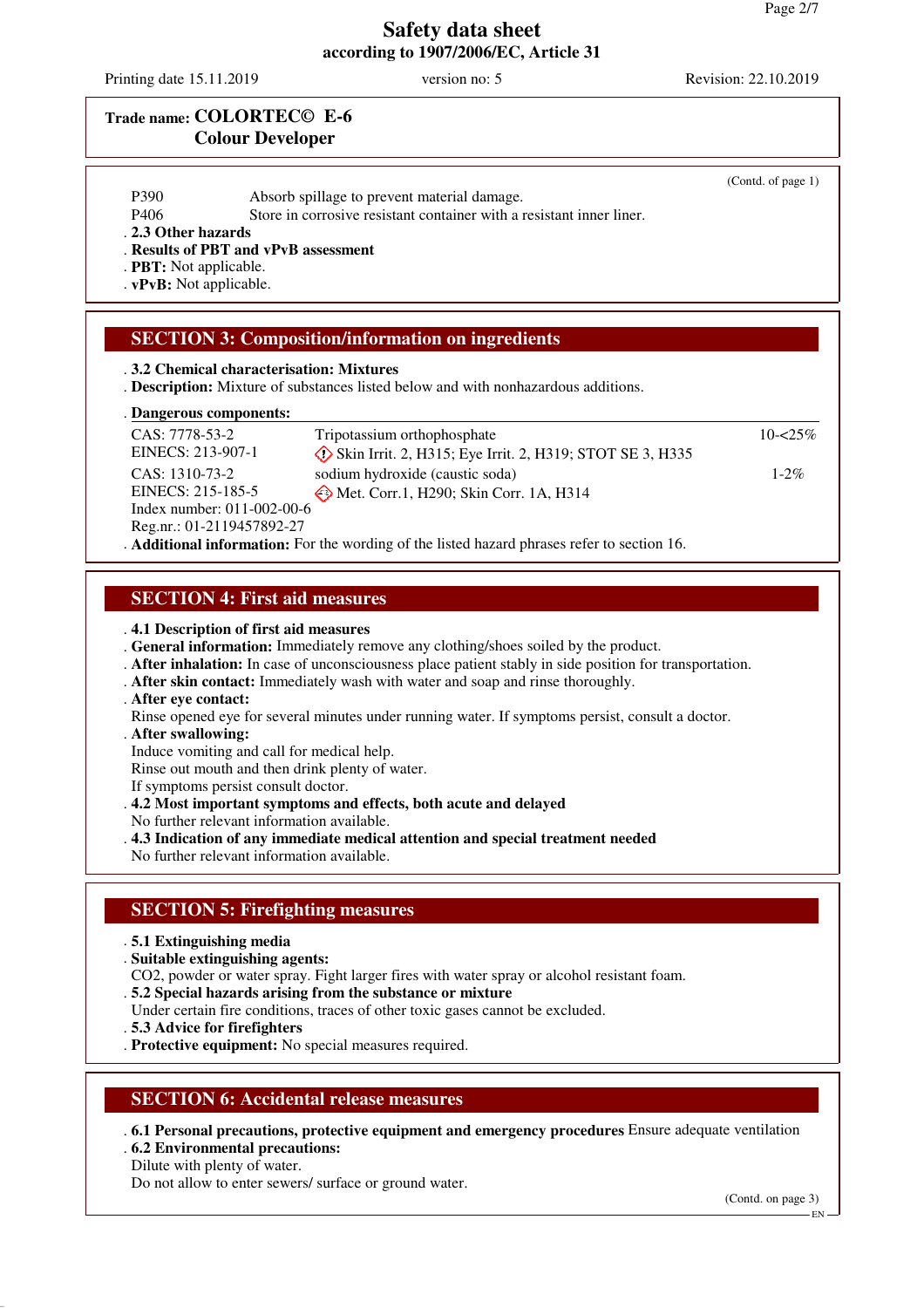Printing date 15.11.2019 version no: 5 Revision: 22.10.2019

## **Trade name: COLORTEC© E-6 Colour Developer**

| P390                                         |                                                                                                                     | (Contd. of page 1) |
|----------------------------------------------|---------------------------------------------------------------------------------------------------------------------|--------------------|
| P406                                         | Absorb spillage to prevent material damage.<br>Store in corrosive resistant container with a resistant inner liner. |                    |
| . 2.3 Other hazards                          |                                                                                                                     |                    |
| . Results of PBT and vPvB assessment         |                                                                                                                     |                    |
|                                              |                                                                                                                     |                    |
| . PBT: Not applicable.                       |                                                                                                                     |                    |
| . vPvB: Not applicable.                      |                                                                                                                     |                    |
|                                              | <b>SECTION 3: Composition/information on ingredients</b><br>.3.2 Chemical characterisation: Mixtures                |                    |
|                                              | . <b>Description:</b> Mixture of substances listed below and with nonhazardous additions.                           |                    |
|                                              |                                                                                                                     |                    |
| CAS: 7778-53-2                               | Tripotassium orthophosphate                                                                                         | $10 - 25\%$        |
| . Dangerous components:<br>EINECS: 213-907-1 |                                                                                                                     |                    |
| CAS: 1310-73-2                               | $\circled{}$ Skin Irrit. 2, H315; Eye Irrit. 2, H319; STOT SE 3, H335                                               | $1 - 2\%$          |
| EINECS: 215-185-5                            | sodium hydroxide (caustic soda)                                                                                     |                    |
| Index number: 011-002-00-6                   | Met. Corr.1, H290; Skin Corr. 1A, H314                                                                              |                    |
| Reg.nr.: 01-2119457892-27                    |                                                                                                                     |                    |

### **SECTION 4: First aid measures**

. **4.1 Description of first aid measures**

- . **General information:** Immediately remove any clothing/shoes soiled by the product.
- . **After inhalation:** In case of unconsciousness place patient stably in side position for transportation.
- . **After skin contact:** Immediately wash with water and soap and rinse thoroughly.
- . **After eye contact:**

Rinse opened eye for several minutes under running water. If symptoms persist, consult a doctor.

- . **After swallowing:**
- Induce vomiting and call for medical help.

Rinse out mouth and then drink plenty of water.

If symptoms persist consult doctor.

- . **4.2 Most important symptoms and effects, both acute and delayed**
- No further relevant information available.
- . **4.3 Indication of any immediate medical attention and special treatment needed**
- No further relevant information available.

### **SECTION 5: Firefighting measures**

- . **5.1 Extinguishing media**
- . **Suitable extinguishing agents:**
- CO2, powder or water spray. Fight larger fires with water spray or alcohol resistant foam.
- . **5.2 Special hazards arising from the substance or mixture**
- Under certain fire conditions, traces of other toxic gases cannot be excluded.
- . **5.3 Advice for firefighters**
- . **Protective equipment:** No special measures required.

#### **SECTION 6: Accidental release measures**

. **6.1 Personal precautions, protective equipment and emergency procedures** Ensure adequate ventilation . **6.2 Environmental precautions:**

Dilute with plenty of water.

Do not allow to enter sewers/ surface or ground water.

(Contd. on page 3)

EN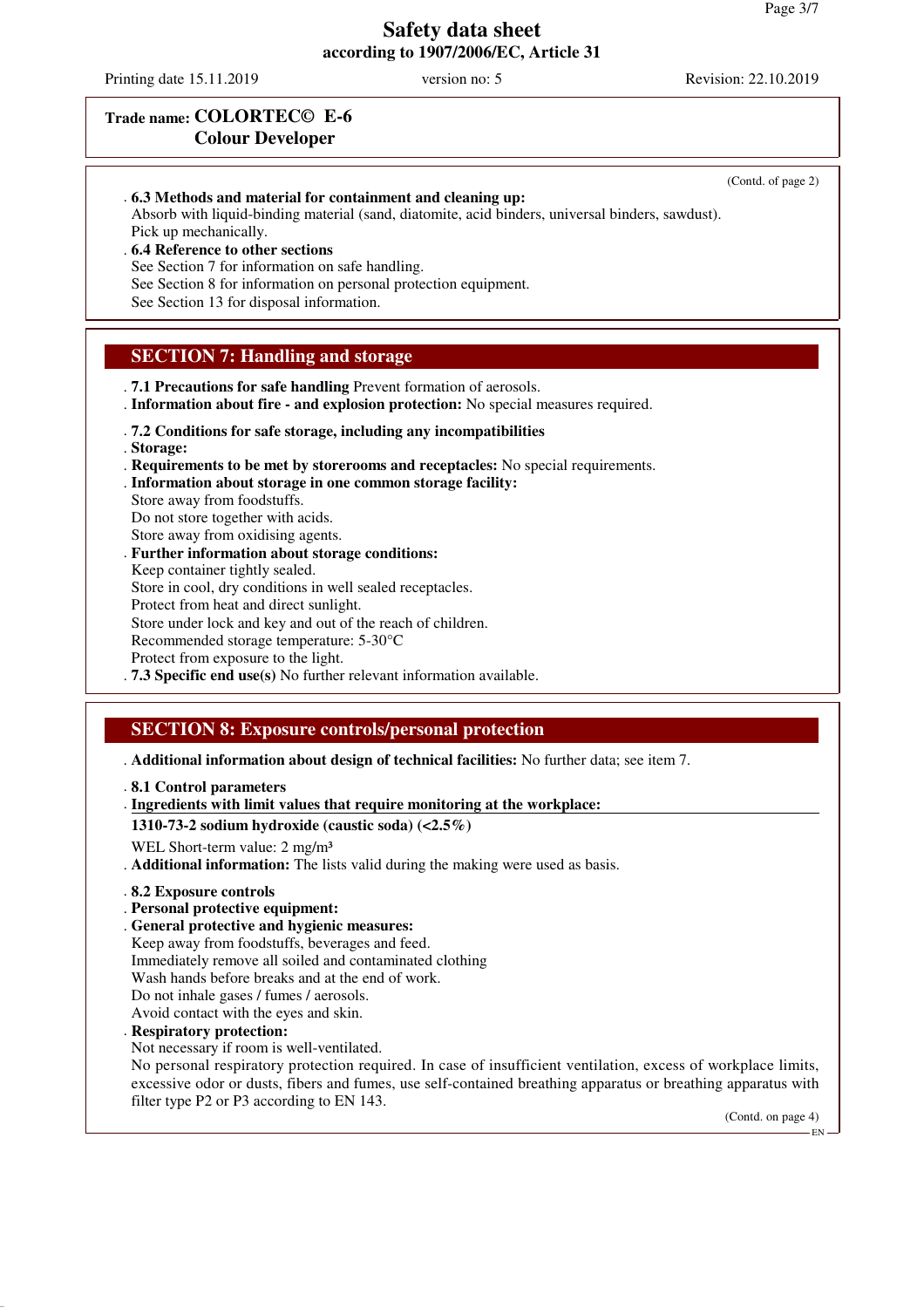Printing date 15.11.2019 version no: 5 Revision: 22.10.2019

(Contd. of page 2)

# **Trade name: COLORTEC© E-6 Colour Developer**

. **6.3 Methods and material for containment and cleaning up:** Absorb with liquid-binding material (sand, diatomite, acid binders, universal binders, sawdust).

Pick up mechanically. . **6.4 Reference to other sections**

See Section 7 for information on safe handling.

See Section 8 for information on personal protection equipment.

See Section 13 for disposal information.

# **SECTION 7: Handling and storage**

. **7.1 Precautions for safe handling** Prevent formation of aerosols.

. **Information about fire - and explosion protection:** No special measures required.

- . **7.2 Conditions for safe storage, including any incompatibilities**
- . **Storage:**
- . **Requirements to be met by storerooms and receptacles:** No special requirements.
- . **Information about storage in one common storage facility:**
- Store away from foodstuffs. Do not store together with acids. Store away from oxidising agents.
- . **Further information about storage conditions:** Keep container tightly sealed. Store in cool, dry conditions in well sealed receptacles.
- Protect from heat and direct sunlight.

Store under lock and key and out of the reach of children.

- Recommended storage temperature: 5-30°C
- Protect from exposure to the light.
- . **7.3 Specific end use(s)** No further relevant information available.

# **SECTION 8: Exposure controls/personal protection**

. **Additional information about design of technical facilities:** No further data; see item 7.

- . **8.1 Control parameters**
- . Ingredients with limit values that require monitoring at the workplace:

#### **1310-73-2 sodium hydroxide (caustic soda) (<2.5%)**

WEL Short-term value: 2 mg/m<sup>3</sup>

. **Additional information:** The lists valid during the making were used as basis.

- . **8.2 Exposure controls**
- . **Personal protective equipment:**
- . **General protective and hygienic measures:**
- Keep away from foodstuffs, beverages and feed.
- Immediately remove all soiled and contaminated clothing
- Wash hands before breaks and at the end of work.
- Do not inhale gases / fumes / aerosols.
- Avoid contact with the eyes and skin.
- . **Respiratory protection:**
- Not necessary if room is well-ventilated.

No personal respiratory protection required. In case of insufficient ventilation, excess of workplace limits, excessive odor or dusts, fibers and fumes, use self-contained breathing apparatus or breathing apparatus with filter type P2 or P3 according to EN 143.

(Contd. on page 4)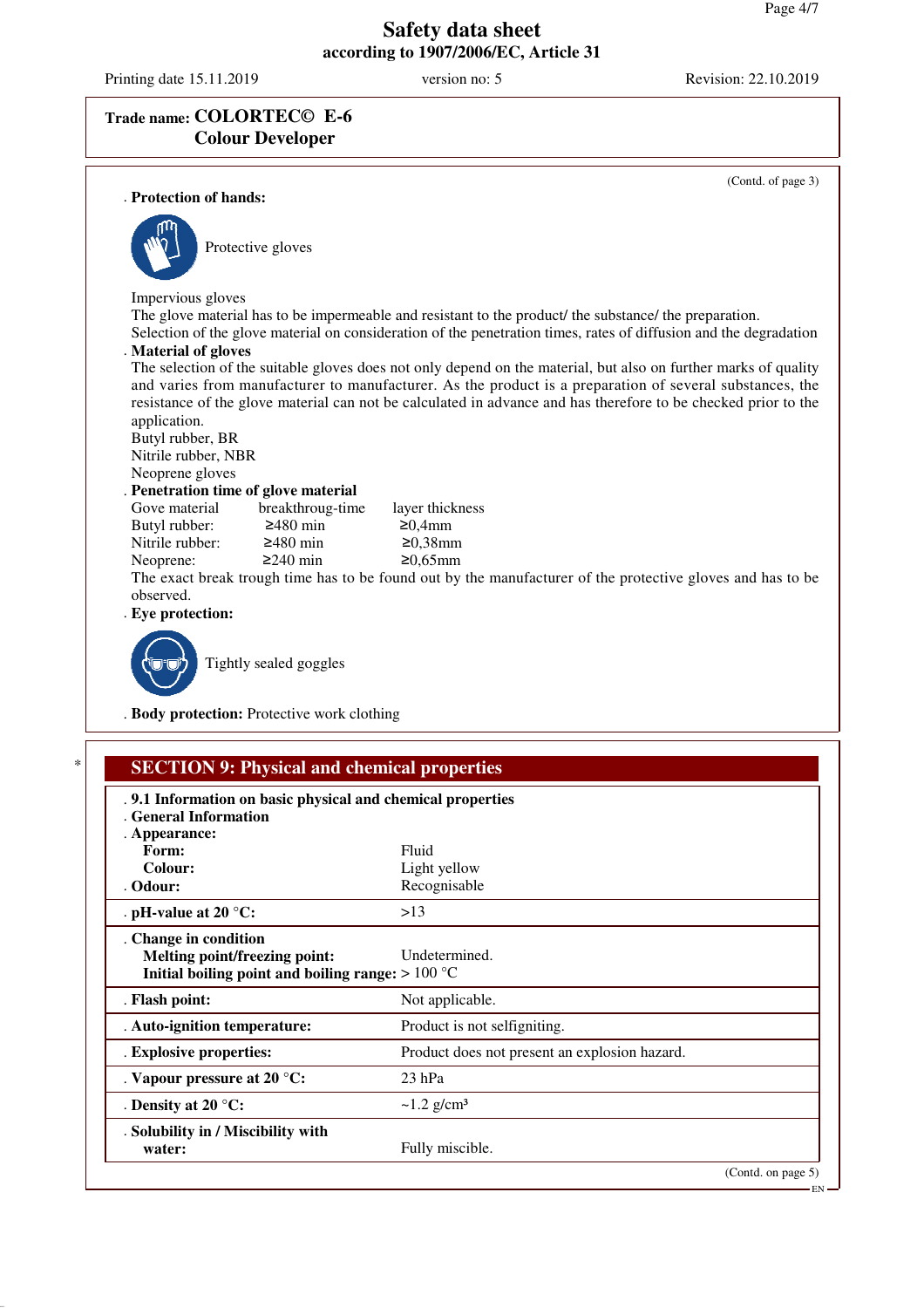Printing date 15.11.2019 version no: 5 Revision: 22.10.2019

# **Trade name: COLORTEC© E-6 Colour Developer**

|                                                                            |                                             | (Contd. of page 3)                                                                                                                                                                                                                                                                                                                            |
|----------------------------------------------------------------------------|---------------------------------------------|-----------------------------------------------------------------------------------------------------------------------------------------------------------------------------------------------------------------------------------------------------------------------------------------------------------------------------------------------|
| . Protection of hands:                                                     |                                             |                                                                                                                                                                                                                                                                                                                                               |
|                                                                            | Protective gloves                           |                                                                                                                                                                                                                                                                                                                                               |
| Impervious gloves                                                          |                                             |                                                                                                                                                                                                                                                                                                                                               |
|                                                                            |                                             | The glove material has to be impermeable and resistant to the product/ the substance/ the preparation.<br>Selection of the glove material on consideration of the penetration times, rates of diffusion and the degradation                                                                                                                   |
| . Material of gloves                                                       |                                             |                                                                                                                                                                                                                                                                                                                                               |
| application.<br>Butyl rubber, BR<br>Nitrile rubber, NBR<br>Neoprene gloves | . Penetration time of glove material        | The selection of the suitable gloves does not only depend on the material, but also on further marks of quality<br>and varies from manufacturer to manufacturer. As the product is a preparation of several substances, the<br>resistance of the glove material can not be calculated in advance and has therefore to be checked prior to the |
| Gove material                                                              | breakthroug-time                            | layer thickness                                                                                                                                                                                                                                                                                                                               |
| Butyl rubber:                                                              | $≥480$ min                                  | ≥0,4mm                                                                                                                                                                                                                                                                                                                                        |
| Nitrile rubber:                                                            | $≥480$ min                                  | $≥0,38$ mm                                                                                                                                                                                                                                                                                                                                    |
| Neoprene:                                                                  | $\geq$ 240 min                              | $≥0,65mm$                                                                                                                                                                                                                                                                                                                                     |
| observed.                                                                  |                                             | The exact break trough time has to be found out by the manufacturer of the protective gloves and has to be                                                                                                                                                                                                                                    |
| . Eye protection:                                                          |                                             |                                                                                                                                                                                                                                                                                                                                               |
|                                                                            | Tightly sealed goggles                      |                                                                                                                                                                                                                                                                                                                                               |
|                                                                            | . Body protection: Protective work clothing |                                                                                                                                                                                                                                                                                                                                               |

| . 9.1 Information on basic physical and chemical properties<br>. General Information                          |                                               |  |
|---------------------------------------------------------------------------------------------------------------|-----------------------------------------------|--|
| . Appearance:                                                                                                 |                                               |  |
| Form:                                                                                                         | Fluid                                         |  |
| Colour:                                                                                                       | Light yellow                                  |  |
| . Odour:                                                                                                      | Recognisable                                  |  |
| . pH-value at 20 $^{\circ}$ C:                                                                                | >13                                           |  |
| . Change in condition<br>Melting point/freezing point:<br>Initial boiling point and boiling range: $> 100 °C$ | Undetermined.                                 |  |
| . Flash point:                                                                                                | Not applicable.                               |  |
| . Auto-ignition temperature:                                                                                  | Product is not selfigniting.                  |  |
| . Explosive properties:                                                                                       | Product does not present an explosion hazard. |  |
| . Vapour pressure at 20 °C:                                                                                   | $23$ hPa                                      |  |
| . Density at 20 $^{\circ}$ C:                                                                                 | $\sim$ 1.2 g/cm <sup>3</sup>                  |  |
| . Solubility in / Miscibility with                                                                            |                                               |  |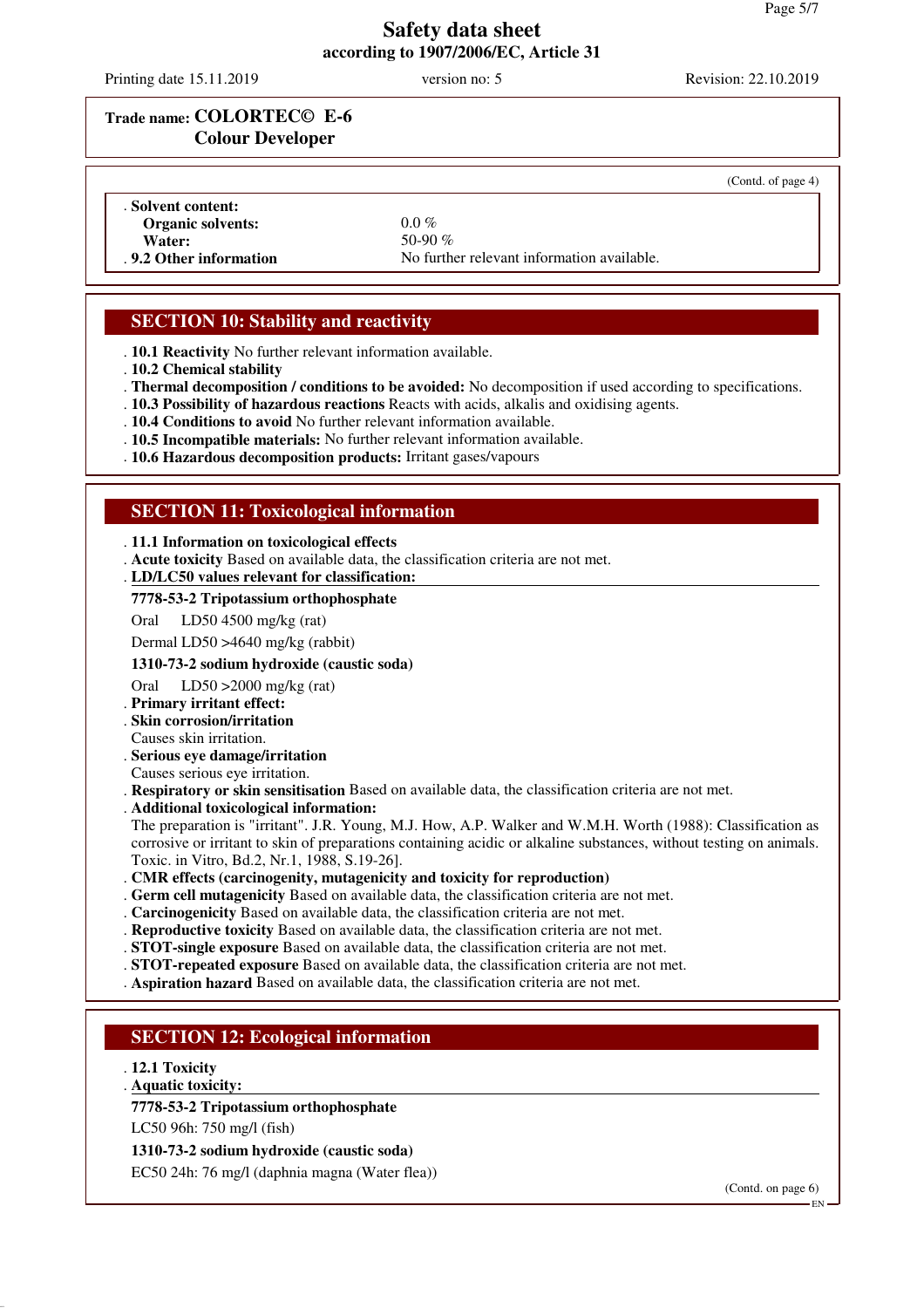Printing date 15.11.2019 version no: 5 Revision: 22.10.2019

# **Trade name: COLORTEC© E-6 Colour Developer**

|                          |                                            | (Contd. of page 4) |
|--------------------------|--------------------------------------------|--------------------|
| . Solvent content:       |                                            |                    |
| <b>Organic solvents:</b> | $0.0\%$                                    |                    |
| Water:                   | 50-90 $\%$                                 |                    |
| . 9.2 Other information  | No further relevant information available. |                    |

# **SECTION 10: Stability and reactivity**

. **10.1 Reactivity** No further relevant information available.

- . **10.2 Chemical stability**
- . **Thermal decomposition / conditions to be avoided:** No decomposition if used according to specifications.
- . **10.3 Possibility of hazardous reactions** Reacts with acids, alkalis and oxidising agents.
- . **10.4 Conditions to avoid** No further relevant information available.
- . **10.5 Incompatible materials:** No further relevant information available.
- . **10.6 Hazardous decomposition products:** Irritant gases/vapours

### **SECTION 11: Toxicological information**

#### . **11.1 Information on toxicological effects**

. **Acute toxicity** Based on available data, the classification criteria are not met.

**LD/LC50 values relevant for classification:** .

#### **7778-53-2 Tripotassium orthophosphate**

Oral LD50 4500 mg/kg (rat)

Dermal LD50 >4640 mg/kg (rabbit)

#### **1310-73-2 sodium hydroxide (caustic soda)**

Oral LD50 >2000 mg/kg (rat)

- . **Primary irritant effect:**
- . **Skin corrosion/irritation**
- Causes skin irritation.
- . **Serious eye damage/irritation**
- Causes serious eye irritation.
- . **Respiratory or skin sensitisation** Based on available data, the classification criteria are not met.
- . **Additional toxicological information:**

The preparation is "irritant". J.R. Young, M.J. How, A.P. Walker and W.M.H. Worth (1988): Classification as corrosive or irritant to skin of preparations containing acidic or alkaline substances, without testing on animals. Toxic. in Vitro, Bd.2, Nr.1, 1988, S.19-26].

- . **CMR effects (carcinogenity, mutagenicity and toxicity for reproduction)**
- . **Germ cell mutagenicity** Based on available data, the classification criteria are not met.
- . **Carcinogenicity** Based on available data, the classification criteria are not met.
- . **Reproductive toxicity** Based on available data, the classification criteria are not met.
- . **STOT-single exposure** Based on available data, the classification criteria are not met.
- . **STOT-repeated exposure** Based on available data, the classification criteria are not met.
- . **Aspiration hazard** Based on available data, the classification criteria are not met.

### **SECTION 12: Ecological information**

- . **12.1 Toxicity**
- **Aquatic toxicity:** .

#### **7778-53-2 Tripotassium orthophosphate**

LC50 96h: 750 mg/l (fish)

**1310-73-2 sodium hydroxide (caustic soda)**

EC50 24h: 76 mg/l (daphnia magna (Water flea))

(Contd. on page 6)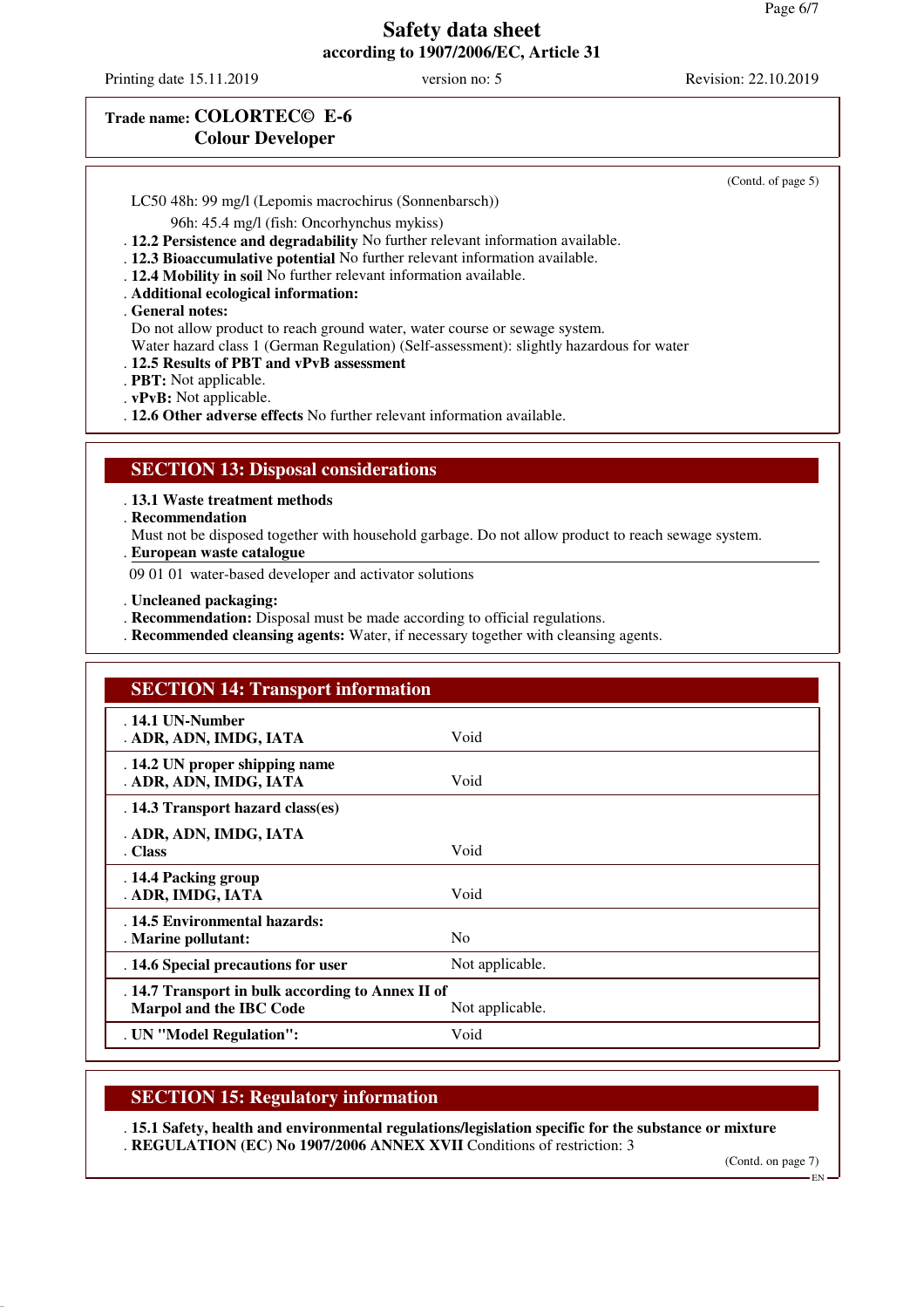Printing date 15.11.2019 version no: 5 Revision: 22.10.2019

### **Trade name: COLORTEC© E-6 Colour Developer**

(Contd. of page 5)

LC50 48h: 99 mg/l (Lepomis macrochirus (Sonnenbarsch))

96h: 45.4 mg/l (fish: Oncorhynchus mykiss)

. **12.2 Persistence and degradability** No further relevant information available.

. **12.3 Bioaccumulative potential** No further relevant information available.

. **12.4 Mobility in soil** No further relevant information available.

. **Additional ecological information:**

. **General notes:**

Do not allow product to reach ground water, water course or sewage system.

Water hazard class 1 (German Regulation) (Self-assessment): slightly hazardous for water

. **12.5 Results of PBT and vPvB assessment**

. **PBT:** Not applicable.

. **vPvB:** Not applicable.

. **12.6 Other adverse effects** No further relevant information available.

#### **SECTION 13: Disposal considerations**

. **13.1 Waste treatment methods**

. **Recommendation**

Must not be disposed together with household garbage. Do not allow product to reach sewage system.

**European waste catalogue** .

09 01 01 water-based developer and activator solutions

. **Uncleaned packaging:**

. **Recommendation:** Disposal must be made according to official regulations.

. **Recommended cleansing agents:** Water, if necessary together with cleansing agents.

| <b>SECTION 14: Transport information</b>                                     |                 |  |
|------------------------------------------------------------------------------|-----------------|--|
| $.14.1$ UN-Number<br>. ADR, ADN, IMDG, IATA                                  | Void            |  |
| . 14.2 UN proper shipping name<br>. ADR, ADN, IMDG, IATA                     | Void            |  |
| . 14.3 Transport hazard class(es)                                            |                 |  |
| . ADR, ADN, IMDG, IATA<br>. Class                                            | Void            |  |
| . 14.4 Packing group<br>. ADR, IMDG, IATA                                    | Void            |  |
| . 14.5 Environmental hazards:<br>. Marine pollutant:                         | N <sub>0</sub>  |  |
| . 14.6 Special precautions for user                                          | Not applicable. |  |
| . 14.7 Transport in bulk according to Annex II of<br>Marpol and the IBC Code | Not applicable. |  |
| . UN "Model Regulation":                                                     | Void            |  |

### **SECTION 15: Regulatory information**

. **15.1 Safety, health and environmental regulations/legislation specific for the substance or mixture** . **REGULATION (EC) No 1907/2006 ANNEX XVII** Conditions of restriction: 3

(Contd. on page 7)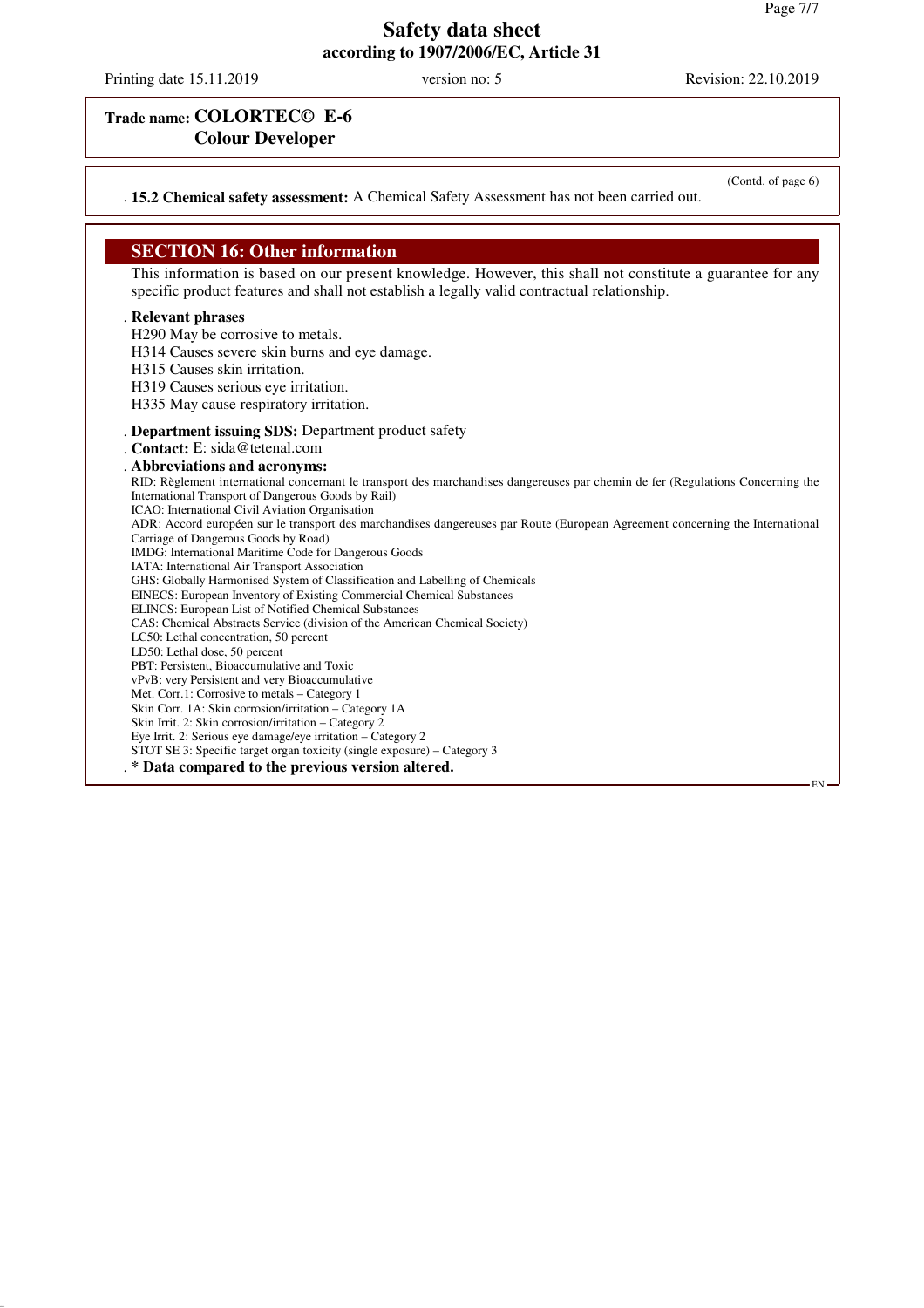Printing date 15.11.2019 version no: 5 Revision: 22.10.2019

## **Trade name: COLORTEC© E-6 Colour Developer**

(Contd. of page 6)

EN

. **15.2 Chemical safety assessment:** A Chemical Safety Assessment has not been carried out.

#### **SECTION 16: Other information**

This information is based on our present knowledge. However, this shall not constitute a guarantee for any specific product features and shall not establish a legally valid contractual relationship.

#### . **Relevant phrases**

H290 May be corrosive to metals.

- H314 Causes severe skin burns and eye damage.
- H315 Causes skin irritation.

H319 Causes serious eye irritation.

- H335 May cause respiratory irritation.
- . **Department issuing SDS:** Department product safety
- . **Contact:** E: sida@tetenal.com

#### . **Abbreviations and acronyms:**

RID: Règlement international concernant le transport des marchandises dangereuses par chemin de fer (Regulations Concerning the International Transport of Dangerous Goods by Rail)

ICAO: International Civil Aviation Organisation

ADR: Accord européen sur le transport des marchandises dangereuses par Route (European Agreement concerning the International Carriage of Dangerous Goods by Road)

IMDG: International Maritime Code for Dangerous Goods

IATA: International Air Transport Association

GHS: Globally Harmonised System of Classification and Labelling of Chemicals

EINECS: European Inventory of Existing Commercial Chemical Substances

ELINCS: European List of Notified Chemical Substances

CAS: Chemical Abstracts Service (division of the American Chemical Society)

LC50: Lethal concentration, 50 percent

LD50: Lethal dose, 50 percent

PBT: Persistent, Bioaccumulative and Toxic

vPvB: very Persistent and very Bioaccumulative Met. Corr.1: Corrosive to metals – Category 1

Skin Corr. 1A: Skin corrosion/irritation – Category 1A

Skin Irrit. 2: Skin corrosion/irritation – Category 2

Eye Irrit. 2: Serious eye damage/eye irritation – Category 2

STOT SE 3: Specific target organ toxicity (single exposure) – Category 3

. **\* Data compared to the previous version altered.**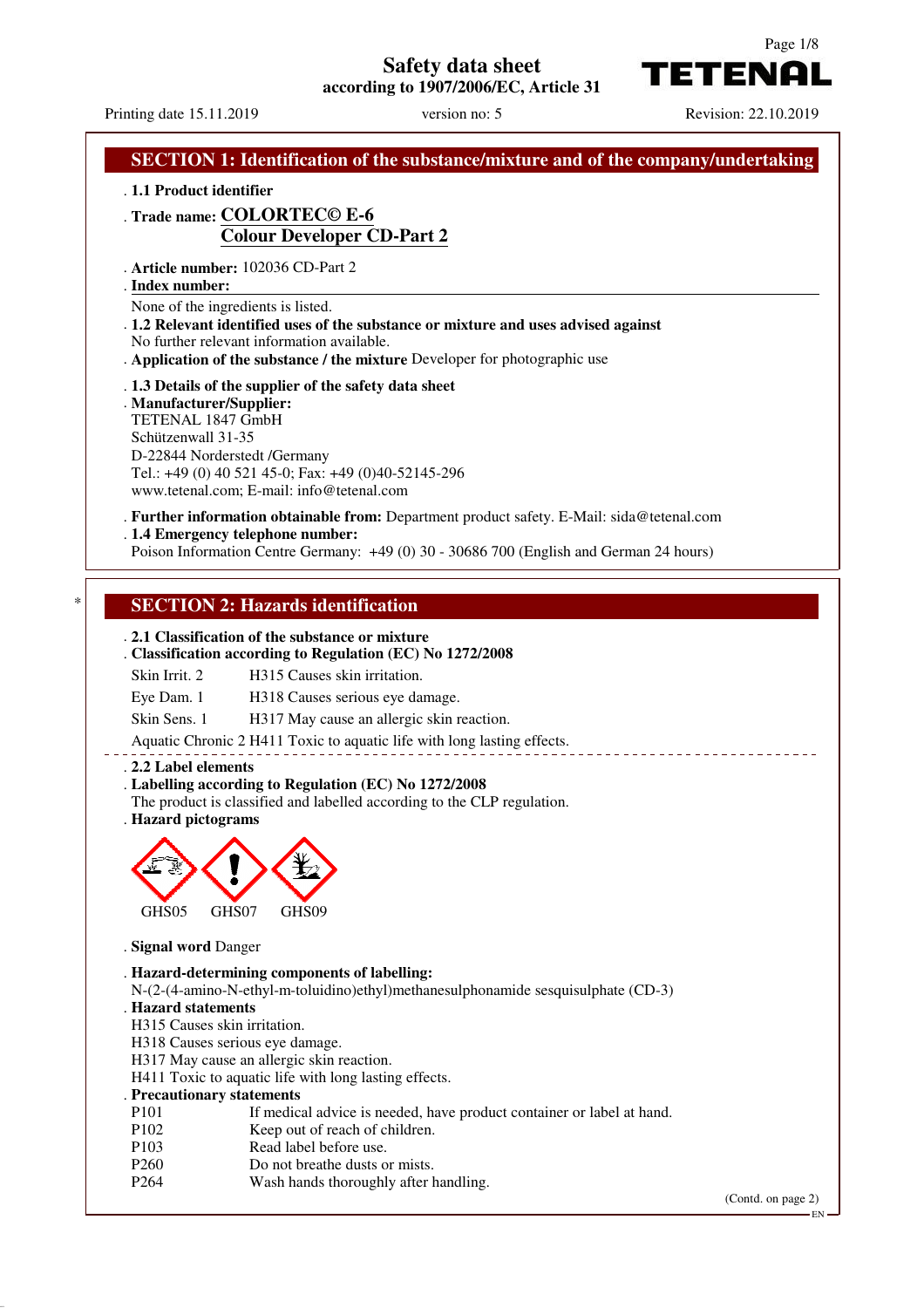# **Safety data sheet**

**according to 1907/2006/EC, Article 31**



**TETENAL** 

|                                                                                                     | version no: 5<br>Printing date 15.11.2019                                                                                                                                                                       | Revision: 22.10.2019 |
|-----------------------------------------------------------------------------------------------------|-----------------------------------------------------------------------------------------------------------------------------------------------------------------------------------------------------------------|----------------------|
|                                                                                                     | <b>SECTION 1: Identification of the substance/mixture and of the company/undertaking</b>                                                                                                                        |                      |
| . 1.1 Product identifier                                                                            |                                                                                                                                                                                                                 |                      |
|                                                                                                     | . Trade name: COLORTECO E-6                                                                                                                                                                                     |                      |
|                                                                                                     | <b>Colour Developer CD-Part 2</b>                                                                                                                                                                               |                      |
| . Article number: 102036 CD-Part 2<br>. Index number:                                               |                                                                                                                                                                                                                 |                      |
| None of the ingredients is listed.                                                                  | .1.2 Relevant identified uses of the substance or mixture and uses advised against<br>No further relevant information available.<br>. Application of the substance / the mixture Developer for photographic use |                      |
| . Manufacturer/Supplier:<br>TETENAL 1847 GmbH<br>Schützenwall 31-35<br>D-22844 Norderstedt /Germany | . 1.3 Details of the supplier of the safety data sheet<br>Tel.: +49 (0) 40 521 45-0; Fax: +49 (0)40-52145-296<br>www.tetenal.com; E-mail: info@tetenal.com                                                      |                      |
| . 1.4 Emergency telephone number:                                                                   | . Further information obtainable from: Department product safety. E-Mail: sida@tetenal.com<br>Poison Information Centre Germany: +49 (0) 30 - 30686 700 (English and German 24 hours)                           |                      |
|                                                                                                     |                                                                                                                                                                                                                 |                      |
|                                                                                                     | <b>SECTION 2: Hazards identification</b>                                                                                                                                                                        |                      |
|                                                                                                     |                                                                                                                                                                                                                 |                      |
|                                                                                                     | . 2.1 Classification of the substance or mixture                                                                                                                                                                |                      |
|                                                                                                     |                                                                                                                                                                                                                 |                      |
|                                                                                                     | . Classification according to Regulation (EC) No 1272/2008                                                                                                                                                      |                      |
| Skin Irrit. 2                                                                                       | H315 Causes skin irritation.                                                                                                                                                                                    |                      |
| Eye Dam. 1                                                                                          | H318 Causes serious eye damage.                                                                                                                                                                                 |                      |
| Skin Sens. 1                                                                                        | H317 May cause an allergic skin reaction.                                                                                                                                                                       |                      |
|                                                                                                     |                                                                                                                                                                                                                 |                      |
|                                                                                                     | Aquatic Chronic 2 H411 Toxic to aquatic life with long lasting effects.                                                                                                                                         |                      |
| . 2.2 Label elements                                                                                |                                                                                                                                                                                                                 |                      |
|                                                                                                     | . Labelling according to Regulation (EC) No 1272/2008                                                                                                                                                           |                      |
|                                                                                                     | The product is classified and labelled according to the CLP regulation.                                                                                                                                         |                      |
| . Hazard pictograms                                                                                 |                                                                                                                                                                                                                 |                      |
|                                                                                                     |                                                                                                                                                                                                                 |                      |
|                                                                                                     |                                                                                                                                                                                                                 |                      |
|                                                                                                     |                                                                                                                                                                                                                 |                      |
|                                                                                                     |                                                                                                                                                                                                                 |                      |
| GHS05<br>GHS07                                                                                      | GHS09                                                                                                                                                                                                           |                      |
| . Signal word Danger                                                                                |                                                                                                                                                                                                                 |                      |
|                                                                                                     |                                                                                                                                                                                                                 |                      |
|                                                                                                     | . Hazard-determining components of labelling:                                                                                                                                                                   |                      |
|                                                                                                     | N-(2-(4-amino-N-ethyl-m-toluidino)ethyl)methanesulphonamide sesquisulphate (CD-3)                                                                                                                               |                      |
| . Hazard statements<br>H315 Causes skin irritation.                                                 |                                                                                                                                                                                                                 |                      |
|                                                                                                     |                                                                                                                                                                                                                 |                      |
| H318 Causes serious eye damage.                                                                     |                                                                                                                                                                                                                 |                      |
|                                                                                                     | H317 May cause an allergic skin reaction.                                                                                                                                                                       |                      |
|                                                                                                     | H411 Toxic to aquatic life with long lasting effects.                                                                                                                                                           |                      |
| . Precautionary statements<br>P <sub>101</sub>                                                      |                                                                                                                                                                                                                 |                      |
| P102                                                                                                | If medical advice is needed, have product container or label at hand.                                                                                                                                           |                      |
| P <sub>103</sub>                                                                                    | Keep out of reach of children.<br>Read label before use.                                                                                                                                                        |                      |
| P <sub>260</sub>                                                                                    | Do not breathe dusts or mists.                                                                                                                                                                                  |                      |
| P <sub>264</sub>                                                                                    | Wash hands thoroughly after handling.                                                                                                                                                                           |                      |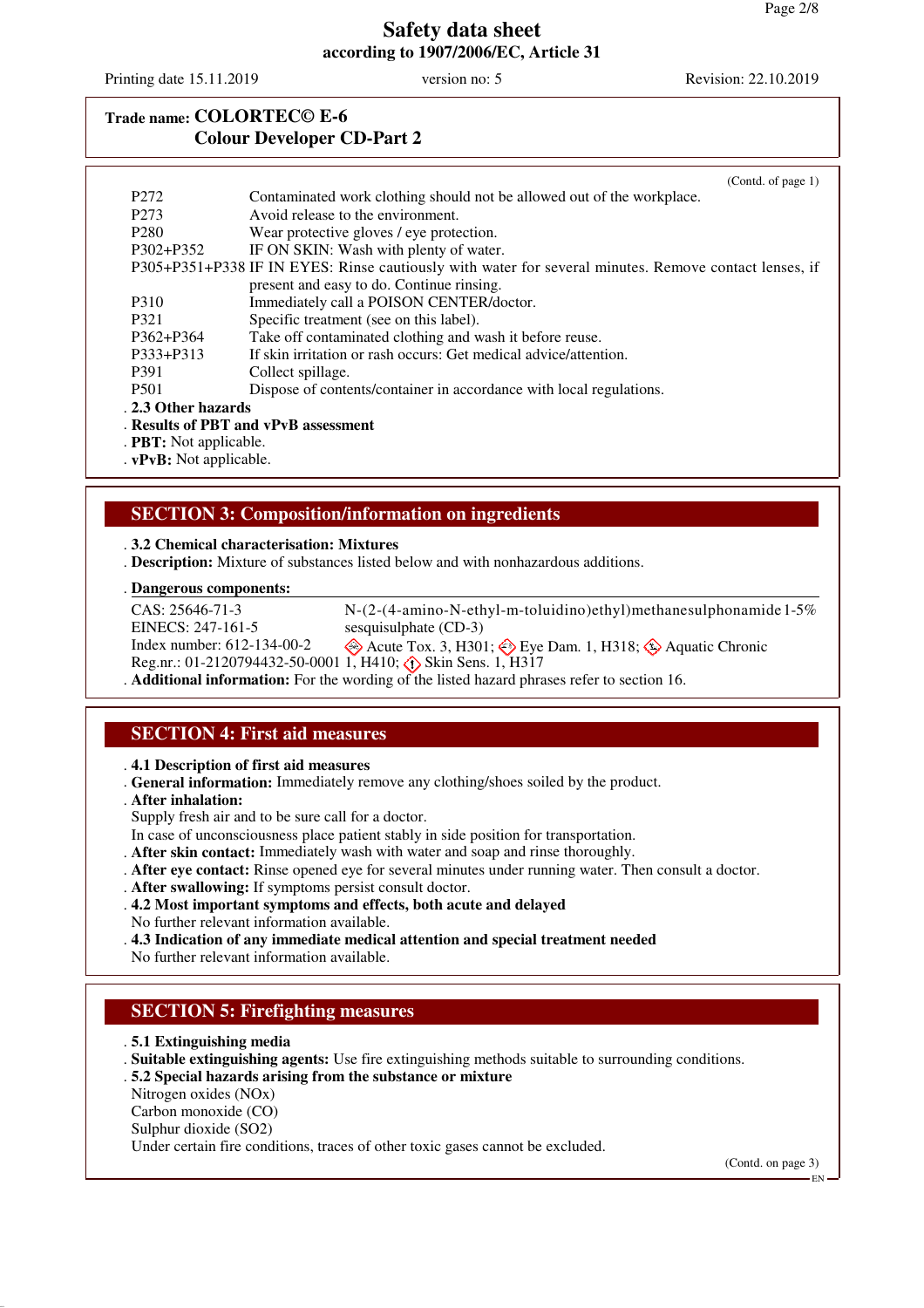Printing date 15.11.2019 version no: 5 Revision: 22.10.2019

# **Trade name: COLORTEC© E-6 Colour Developer CD-Part 2**

|                     | (Contd. of page $1$ )                                                                                 |
|---------------------|-------------------------------------------------------------------------------------------------------|
| P <sub>272</sub>    | Contaminated work clothing should not be allowed out of the workplace.                                |
| P <sub>273</sub>    | Avoid release to the environment.                                                                     |
| P <sub>280</sub>    | Wear protective gloves / eye protection.                                                              |
| P302+P352           | IF ON SKIN: Wash with plenty of water.                                                                |
|                     | P305+P351+P338 IF IN EYES: Rinse cautiously with water for several minutes. Remove contact lenses, if |
|                     | present and easy to do. Continue rinsing.                                                             |
| P310                | Immediately call a POISON CENTER/doctor.                                                              |
| P321                | Specific treatment (see on this label).                                                               |
| P362+P364           | Take off contaminated clothing and wash it before reuse.                                              |
| P333+P313           | If skin irritation or rash occurs: Get medical advice/attention.                                      |
| P <sub>391</sub>    | Collect spillage.                                                                                     |
| <b>P501</b>         | Dispose of contents/container in accordance with local regulations.                                   |
| . 2.3 Other hazards |                                                                                                       |
|                     | . Results of PBT and vPvB assessment                                                                  |
|                     |                                                                                                       |

. **PBT:** Not applicable.

. **vPvB:** Not applicable.

### **SECTION 3: Composition/information on ingredients**

. **3.2 Chemical characterisation: Mixtures**

. **Description:** Mixture of substances listed below and with nonhazardous additions.

#### **Dangerous components:** .

CAS: 25646-71-3 EINECS: 247-161-5 Index number: 612-134-00-2 Reg.nr.: 01-2120794432-50-0001 1, H410;  $\diamondsuit$  Skin Sens. 1, H317 N-(2-(4-amino-N-ethyl-m-toluidino)ethyl)methanesulphonamide 1-5% sesquisulphate (CD-3)  $\otimes$  Acute Tox. 3, H301;  $\otimes$  Eye Dam. 1, H318;  $\otimes$  Aquatic Chronic . **Additional information:** For the wording of the listed hazard phrases refer to section 16.

### **SECTION 4: First aid measures**

. **4.1 Description of first aid measures**

- . **General information:** Immediately remove any clothing/shoes soiled by the product.
- . **After inhalation:**
- Supply fresh air and to be sure call for a doctor.
- In case of unconsciousness place patient stably in side position for transportation.
- . **After skin contact:** Immediately wash with water and soap and rinse thoroughly.
- . **After eye contact:** Rinse opened eye for several minutes under running water. Then consult a doctor.
- . **After swallowing:** If symptoms persist consult doctor.
- . **4.2 Most important symptoms and effects, both acute and delayed**
- No further relevant information available.
- . **4.3 Indication of any immediate medical attention and special treatment needed**

No further relevant information available.

### **SECTION 5: Firefighting measures**

- . **5.1 Extinguishing media**
- . **Suitable extinguishing agents:** Use fire extinguishing methods suitable to surrounding conditions.
- . **5.2 Special hazards arising from the substance or mixture**
- Nitrogen oxides (NOx)
- Carbon monoxide (CO)
- Sulphur dioxide (SO2)
- Under certain fire conditions, traces of other toxic gases cannot be excluded.

(Contd. on page 3)

EN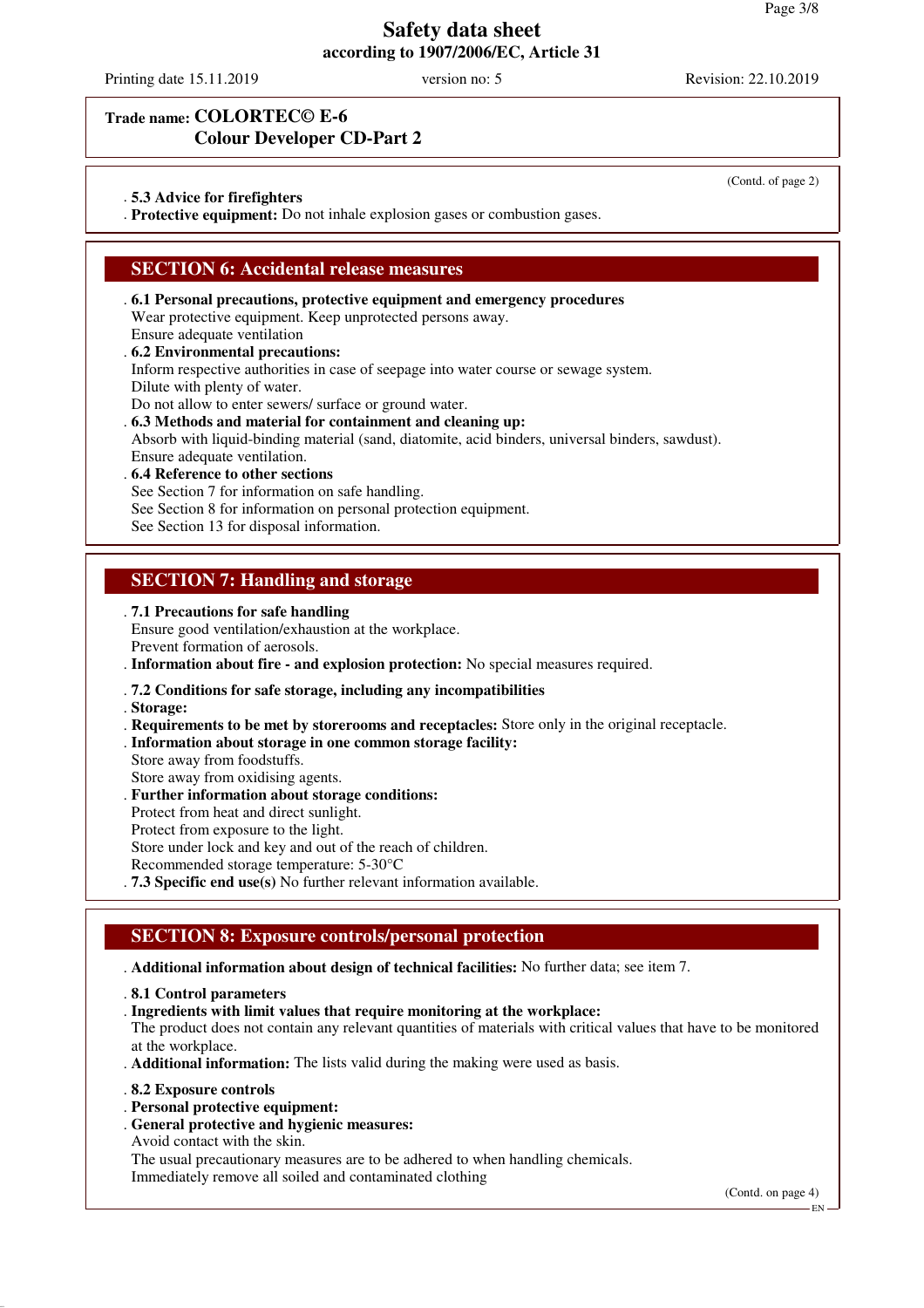Printing date 15.11.2019 version no: 5 Revision: 22.10.2019

(Contd. of page 2)

#### **Trade name: COLORTEC© E-6 Colour Developer CD-Part 2**

#### . **5.3 Advice for firefighters**

. **Protective equipment:** Do not inhale explosion gases or combustion gases.

### **SECTION 6: Accidental release measures**

. **6.1 Personal precautions, protective equipment and emergency procedures** Wear protective equipment. Keep unprotected persons away. Ensure adequate ventilation

#### . **6.2 Environmental precautions:**

Inform respective authorities in case of seepage into water course or sewage system.

Dilute with plenty of water.

Do not allow to enter sewers/ surface or ground water.

#### . **6.3 Methods and material for containment and cleaning up:**

Absorb with liquid-binding material (sand, diatomite, acid binders, universal binders, sawdust). Ensure adequate ventilation.

. **6.4 Reference to other sections**

See Section 7 for information on safe handling.

See Section 8 for information on personal protection equipment.

See Section 13 for disposal information.

### **SECTION 7: Handling and storage**

. **7.1 Precautions for safe handling**

Ensure good ventilation/exhaustion at the workplace. Prevent formation of aerosols.

. **Information about fire - and explosion protection:** No special measures required.

#### . **7.2 Conditions for safe storage, including any incompatibilities**

. **Storage:**

- . **Requirements to be met by storerooms and receptacles:** Store only in the original receptacle.
- . **Information about storage in one common storage facility:**
- Store away from foodstuffs.

Store away from oxidising agents.

- . **Further information about storage conditions:**
- Protect from heat and direct sunlight.
- Protect from exposure to the light.

Store under lock and key and out of the reach of children.

Recommended storage temperature: 5-30°C

. **7.3 Specific end use(s)** No further relevant information available.

# **SECTION 8: Exposure controls/personal protection**

. **Additional information about design of technical facilities:** No further data; see item 7.

- . **8.1 Control parameters**
- . **Ingredients with limit values that require monitoring at the workplace:**

The product does not contain any relevant quantities of materials with critical values that have to be monitored at the workplace.

- . **Additional information:** The lists valid during the making were used as basis.
- . **8.2 Exposure controls**
- . **Personal protective equipment:**
- . **General protective and hygienic measures:**
- Avoid contact with the skin.

The usual precautionary measures are to be adhered to when handling chemicals. Immediately remove all soiled and contaminated clothing

(Contd. on page 4)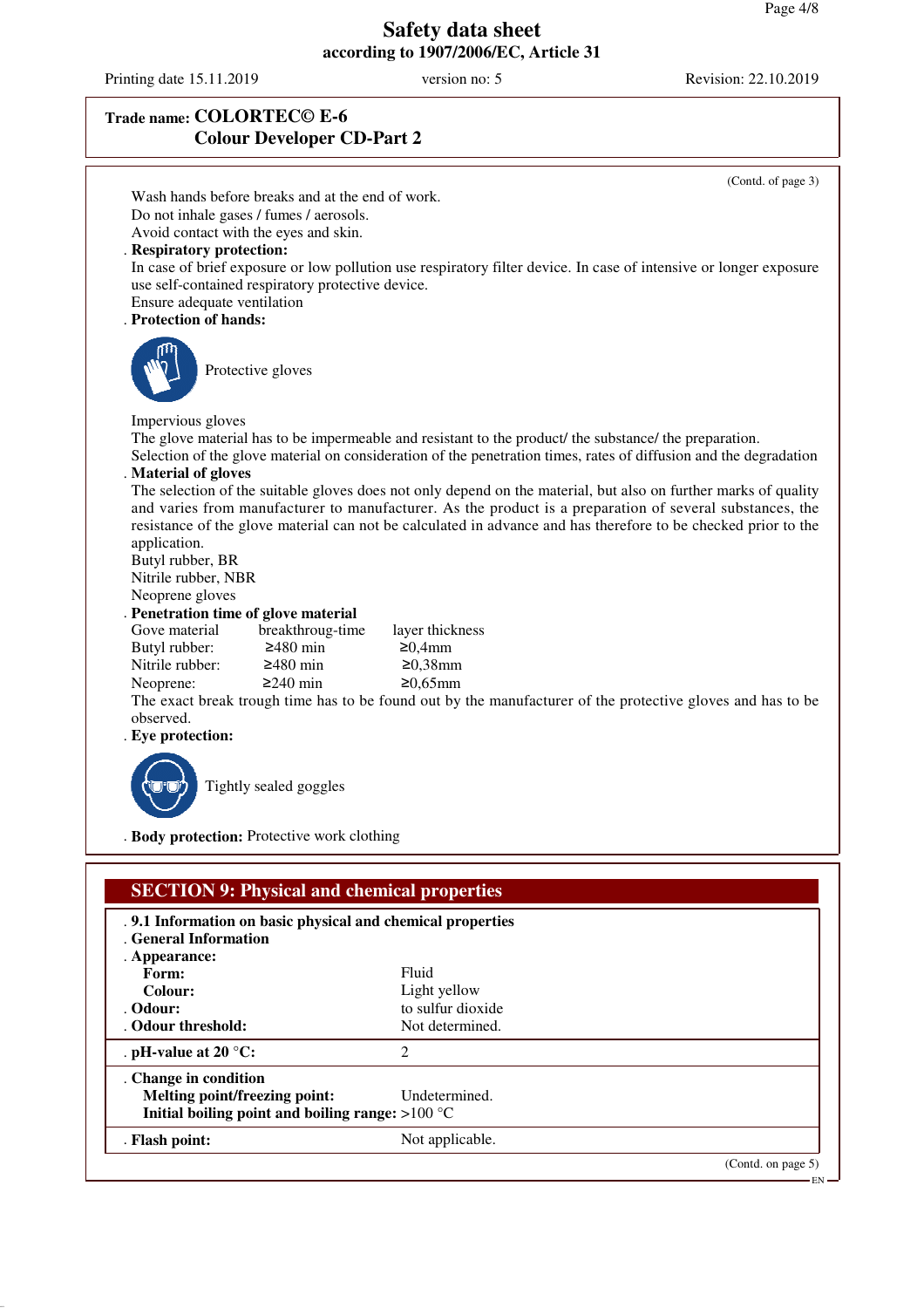Printing date 15.11.2019 version no: 5 Revision: 22.10.2019

# **Trade name: COLORTEC© E-6 Colour Developer CD-Part 2**

. **Odour:** to sulfur dioxide . Odour threshold: Not determined.

**Melting point/freezing point:** Undetermined. **Initial boiling point and boiling range:** >100 °C . **Flash point:** Not applicable.

. **pH-value at 20 °C:** 2

. **Change in condition**

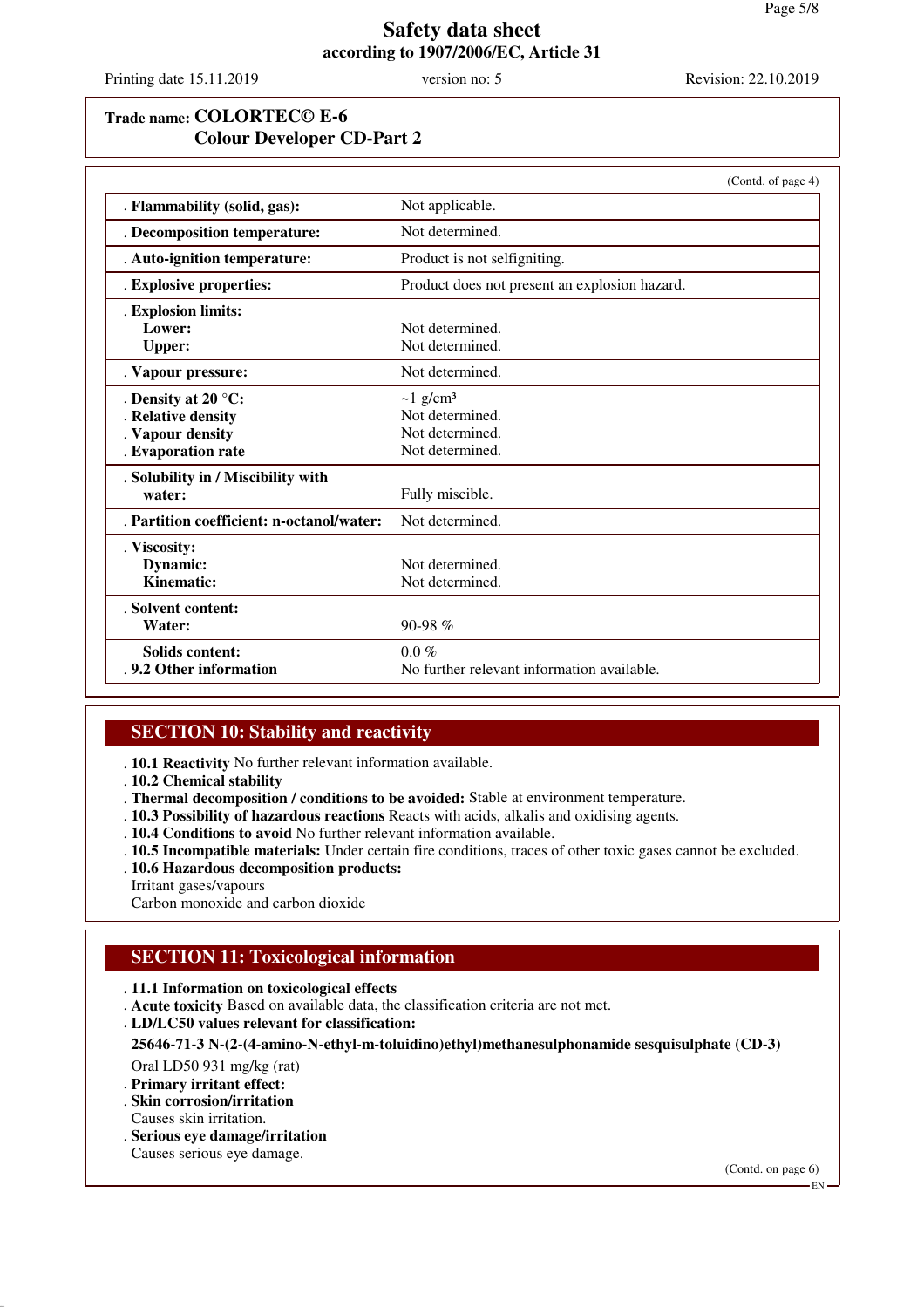Printing date 15.11.2019 version no: 5 Revision: 22.10.2019

# **Trade name: COLORTEC© E-6 Colour Developer CD-Part 2**

|                                           | (Contd. of page 4)                            |
|-------------------------------------------|-----------------------------------------------|
| . Flammability (solid, gas):              | Not applicable.                               |
| . Decomposition temperature:              | Not determined.                               |
| . Auto-ignition temperature:              | Product is not selfigniting.                  |
| . Explosive properties:                   | Product does not present an explosion hazard. |
| . Explosion limits:                       |                                               |
| Lower:                                    | Not determined.                               |
| <b>Upper:</b>                             | Not determined.                               |
| . Vapour pressure:                        | Not determined.                               |
| . Density at 20 $^{\circ}$ C:             | $\sim$ 1 g/cm <sup>3</sup>                    |
| . Relative density                        | Not determined.                               |
| . Vapour density                          | Not determined.                               |
| . Evaporation rate                        | Not determined.                               |
| . Solubility in / Miscibility with        |                                               |
| water:                                    | Fully miscible.                               |
| . Partition coefficient: n-octanol/water: | Not determined.                               |
| . Viscosity:                              |                                               |
| Dynamic:                                  | Not determined.                               |
| <b>Kinematic:</b>                         | Not determined.                               |
| . Solvent content:                        |                                               |
| Water:                                    | 90-98 $%$                                     |
| Solids content:                           | $0.0\%$                                       |
| .9.2 Other information                    | No further relevant information available.    |

# **SECTION 10: Stability and reactivity**

. **10.1 Reactivity** No further relevant information available.

- . **10.2 Chemical stability**
- . **Thermal decomposition / conditions to be avoided:** Stable at environment temperature.
- . **10.3 Possibility of hazardous reactions** Reacts with acids, alkalis and oxidising agents.
- . **10.4 Conditions to avoid** No further relevant information available.
- . **10.5 Incompatible materials:** Under certain fire conditions, traces of other toxic gases cannot be excluded. . **10.6 Hazardous decomposition products:**
- Irritant gases/vapours
- Carbon monoxide and carbon dioxide

# **SECTION 11: Toxicological information**

- . **11.1 Information on toxicological effects**
- . **Acute toxicity** Based on available data, the classification criteria are not met.
- **LD/LC50 values relevant for classification:** .

**25646-71-3 N-(2-(4-amino-N-ethyl-m-toluidino)ethyl)methanesulphonamide sesquisulphate (CD-3)**

Oral LD50 931 mg/kg (rat)

- . **Primary irritant effect:**
- . **Skin corrosion/irritation**
- Causes skin irritation.
- . **Serious eye damage/irritation**
- Causes serious eye damage.

(Contd. on page 6)

EN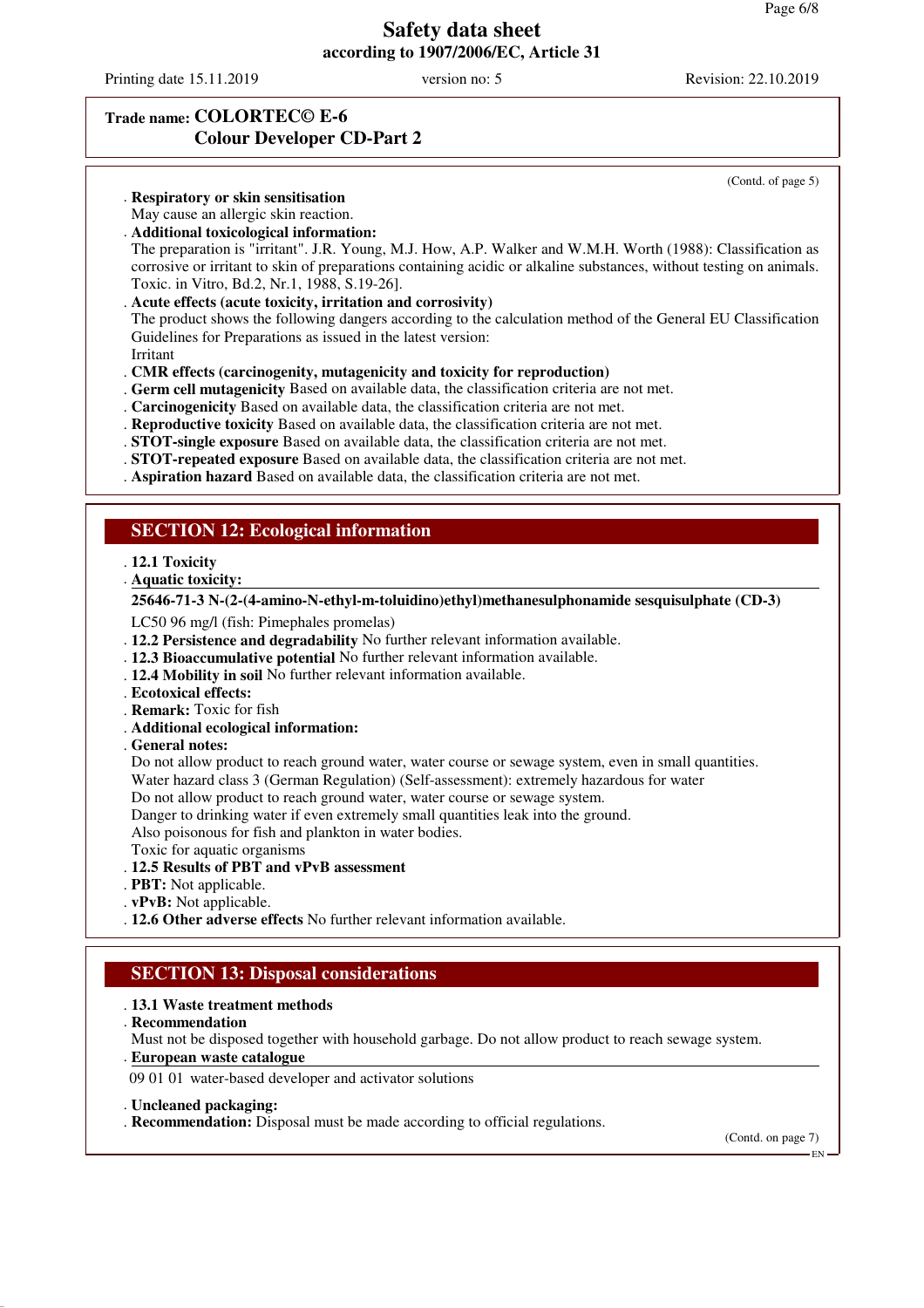Printing date 15.11.2019 version no: 5 Revision: 22.10.2019

(Contd. of page 5)

# **Trade name: COLORTEC© E-6 Colour Developer CD-Part 2**

. **Respiratory or skin sensitisation**

- May cause an allergic skin reaction.
- . **Additional toxicological information:**

The preparation is "irritant". J.R. Young, M.J. How, A.P. Walker and W.M.H. Worth (1988): Classification as corrosive or irritant to skin of preparations containing acidic or alkaline substances, without testing on animals. Toxic. in Vitro, Bd.2, Nr.1, 1988, S.19-26].

. **Acute effects (acute toxicity, irritation and corrosivity)**

The product shows the following dangers according to the calculation method of the General EU Classification Guidelines for Preparations as issued in the latest version:

- Irritant
- . **CMR effects (carcinogenity, mutagenicity and toxicity for reproduction)**
- . **Germ cell mutagenicity** Based on available data, the classification criteria are not met.
- . **Carcinogenicity** Based on available data, the classification criteria are not met.
- . **Reproductive toxicity** Based on available data, the classification criteria are not met.
- . **STOT-single exposure** Based on available data, the classification criteria are not met.
- . **STOT-repeated exposure** Based on available data, the classification criteria are not met.
- . **Aspiration hazard** Based on available data, the classification criteria are not met.

#### **SECTION 12: Ecological information**

#### . **12.1 Toxicity**

**Aquatic toxicity:** .

#### **25646-71-3 N-(2-(4-amino-N-ethyl-m-toluidino)ethyl)methanesulphonamide sesquisulphate (CD-3)**

LC50 96 mg/l (fish: Pimephales promelas)

- . **12.2 Persistence and degradability** No further relevant information available.
- . **12.3 Bioaccumulative potential** No further relevant information available.
- . **12.4 Mobility in soil** No further relevant information available.
- . **Ecotoxical effects:**
- . **Remark:** Toxic for fish
- . **Additional ecological information:**
- . **General notes:**

Do not allow product to reach ground water, water course or sewage system, even in small quantities.

Water hazard class 3 (German Regulation) (Self-assessment): extremely hazardous for water

Do not allow product to reach ground water, water course or sewage system.

Danger to drinking water if even extremely small quantities leak into the ground.

Also poisonous for fish and plankton in water bodies.

Toxic for aquatic organisms

#### . **12.5 Results of PBT and vPvB assessment**

- . **PBT:** Not applicable.
- . **vPvB:** Not applicable.

. **12.6 Other adverse effects** No further relevant information available.

### **SECTION 13: Disposal considerations**

#### . **13.1 Waste treatment methods**

. **Recommendation**

Must not be disposed together with household garbage. Do not allow product to reach sewage system.

**European waste catalogue** .

09 01 01 water-based developer and activator solutions

- . **Uncleaned packaging:**
- . **Recommendation:** Disposal must be made according to official regulations.

(Contd. on page 7)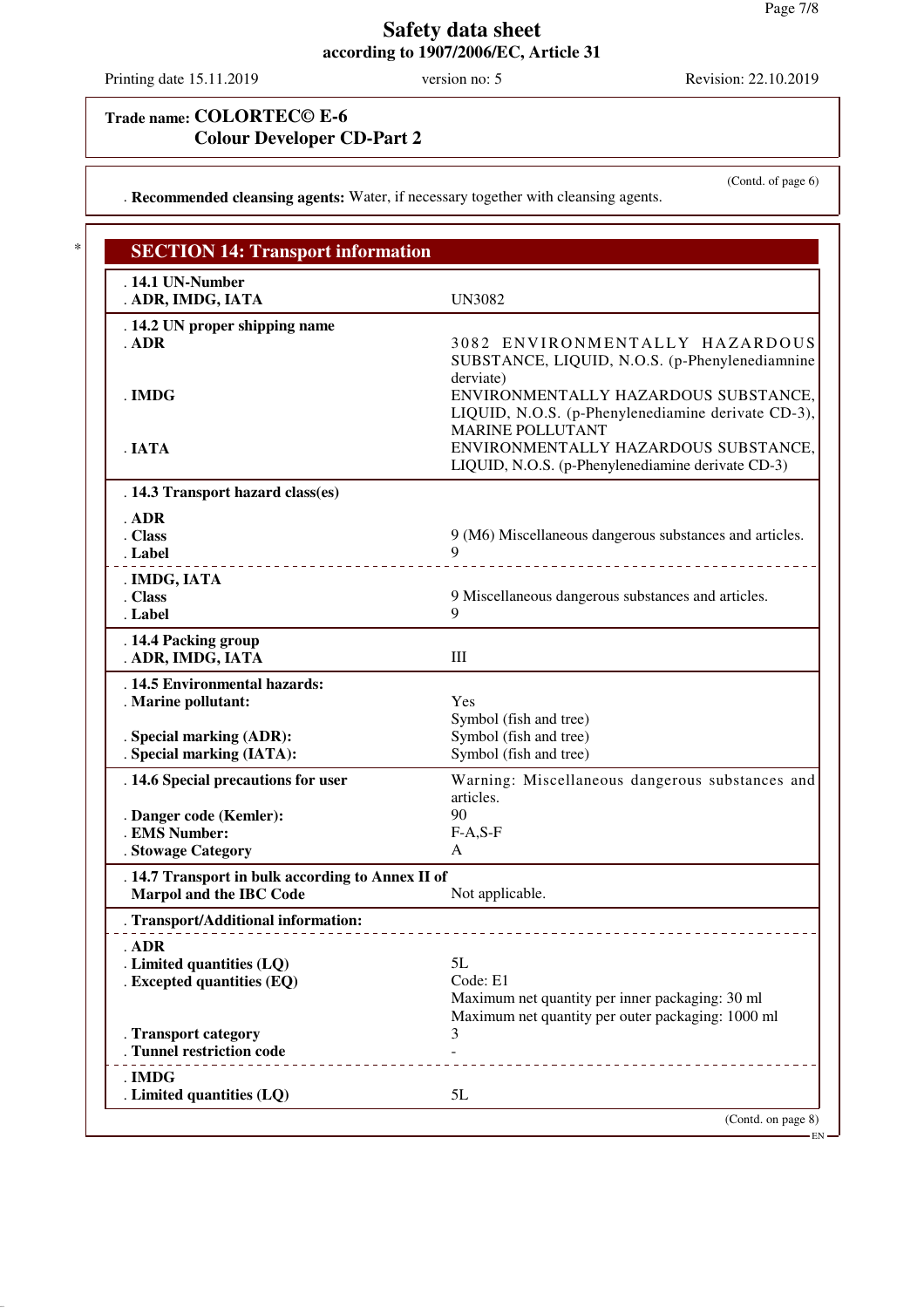Printing date 15.11.2019 version no: 5 Revision: 22.10.2019

(Contd. of page 6)

# **Trade name: COLORTEC© E-6 Colour Developer CD-Part 2**

. **Recommended cleansing agents:** Water, if necessary together with cleansing agents.

| . 14.1 UN-Number<br>. ADR, IMDG, IATA                                               | <b>UN3082</b>                                           |
|-------------------------------------------------------------------------------------|---------------------------------------------------------|
| . 14.2 UN proper shipping name                                                      |                                                         |
| $.$ ADR                                                                             | 3082 ENVIRONMENTALLY HAZARDOUS                          |
|                                                                                     | SUBSTANCE, LIQUID, N.O.S. (p-Phenylenediamnine          |
|                                                                                     | derviate)                                               |
| . IMDG                                                                              | ENVIRONMENTALLY HAZARDOUS SUBSTANCE,                    |
|                                                                                     | LIQUID, N.O.S. (p-Phenylenediamine derivate CD-3),      |
|                                                                                     | <b>MARINE POLLUTANT</b>                                 |
| . IATA                                                                              | ENVIRONMENTALLY HAZARDOUS SUBSTANCE,                    |
|                                                                                     | LIQUID, N.O.S. (p-Phenylenediamine derivate CD-3)       |
| . 14.3 Transport hazard class(es)                                                   |                                                         |
| ADR                                                                                 |                                                         |
| . Class                                                                             | 9 (M6) Miscellaneous dangerous substances and articles. |
| . Label                                                                             | $\mathbf Q$                                             |
| . IMDG, IATA                                                                        |                                                         |
| . Class                                                                             | 9 Miscellaneous dangerous substances and articles.      |
| . Label                                                                             | 9                                                       |
| . 14.4 Packing group                                                                |                                                         |
| . ADR, IMDG, IATA                                                                   | III                                                     |
| . 14.5 Environmental hazards:                                                       |                                                         |
| . Marine pollutant:                                                                 | Yes                                                     |
|                                                                                     | Symbol (fish and tree)                                  |
| . Special marking (ADR):                                                            | Symbol (fish and tree)                                  |
| . Special marking (IATA):                                                           | Symbol (fish and tree)                                  |
| . 14.6 Special precautions for user                                                 | Warning: Miscellaneous dangerous substances and         |
|                                                                                     | articles.                                               |
| . Danger code (Kemler):                                                             | 90                                                      |
| . EMS Number:                                                                       | $F-A, S-F$                                              |
| . Stowage Category                                                                  | A                                                       |
| . 14.7 Transport in bulk according to Annex II of<br><b>Marpol and the IBC Code</b> | Not applicable.                                         |
| <b>Transport/Additional information:</b>                                            |                                                         |
|                                                                                     |                                                         |
| . ADR                                                                               | 5L                                                      |
| . Limited quantities (LQ)<br>. Excepted quantities (EQ)                             | Code: E1                                                |
|                                                                                     | Maximum net quantity per inner packaging: 30 ml         |
|                                                                                     | Maximum net quantity per outer packaging: 1000 ml       |
| . Transport category                                                                | 3                                                       |
| . Tunnel restriction code                                                           |                                                         |
| . IMDG                                                                              |                                                         |
| . Limited quantities (LQ)                                                           | 5L                                                      |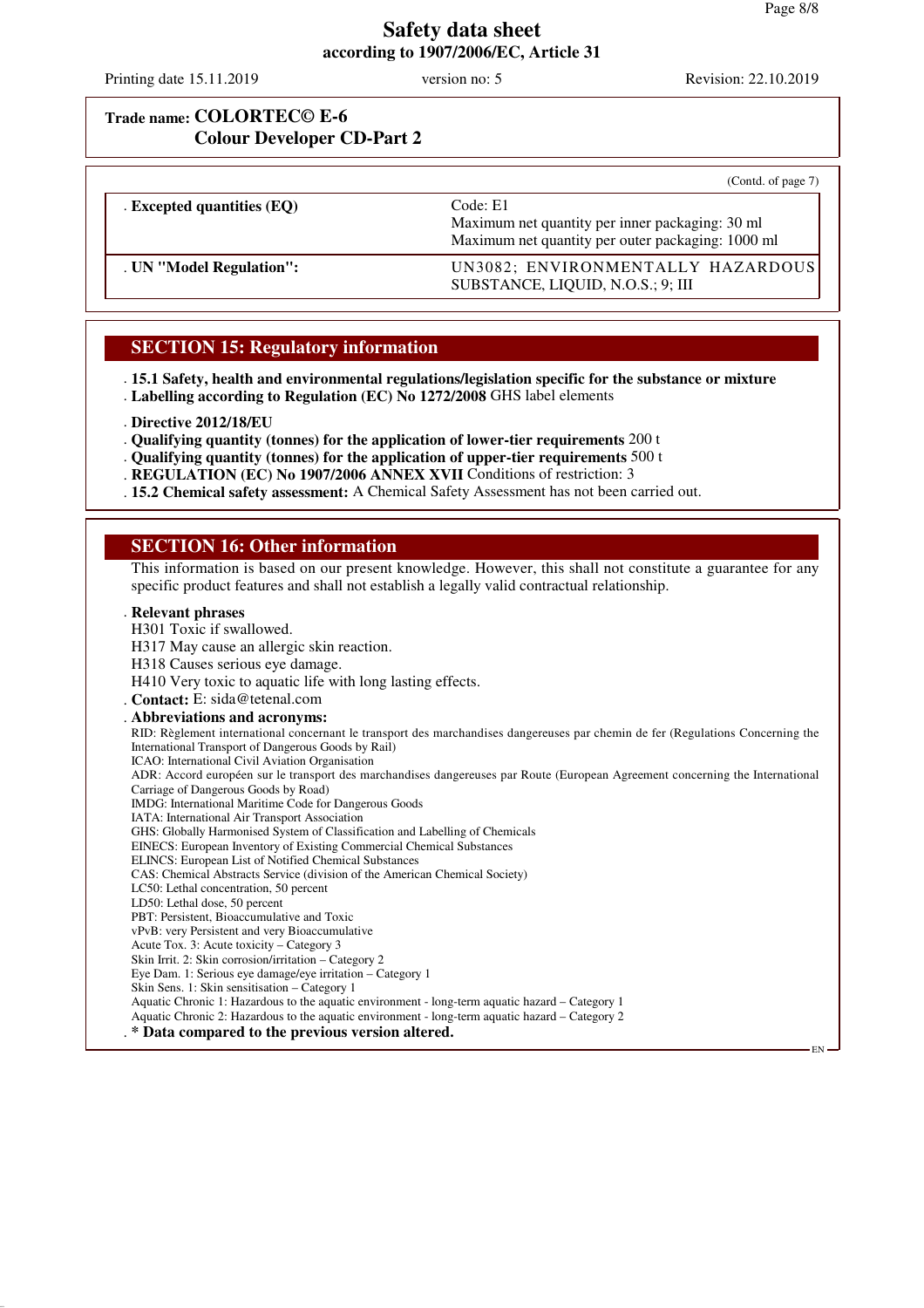EN

# **Safety data sheet according to 1907/2006/EC, Article 31**

Printing date 15.11.2019 version no: 5 Revision: 22.10.2019

## **Trade name: COLORTEC© E-6 Colour Developer CD-Part 2**

|                              | (Contd. of page 7)                                                                                               |
|------------------------------|------------------------------------------------------------------------------------------------------------------|
| . Excepted quantities $(EQ)$ | Code: E1<br>Maximum net quantity per inner packaging: 30 ml<br>Maximum net quantity per outer packaging: 1000 ml |
| . UN "Model Regulation":     | UN3082; ENVIRONMENTALLY HAZARDOUS<br>SUBSTANCE, LIQUID, N.O.S.; 9; III                                           |

### **SECTION 15: Regulatory information**

. **15.1 Safety, health and environmental regulations/legislation specific for the substance or mixture** . **Labelling according to Regulation (EC) No 1272/2008** GHS label elements

- . **Directive 2012/18/EU**
- . **Qualifying quantity (tonnes) for the application of lower-tier requirements** 200 t
- . **Qualifying quantity (tonnes) for the application of upper-tier requirements** 500 t
- . **REGULATION (EC) No 1907/2006 ANNEX XVII** Conditions of restriction: 3
- . **15.2 Chemical safety assessment:** A Chemical Safety Assessment has not been carried out.

### **SECTION 16: Other information**

This information is based on our present knowledge. However, this shall not constitute a guarantee for any specific product features and shall not establish a legally valid contractual relationship.

#### . **Relevant phrases**

- H301 Toxic if swallowed.
- H317 May cause an allergic skin reaction.
- H318 Causes serious eye damage.

H410 Very toxic to aquatic life with long lasting effects.

- . **Contact:** E: sida@tetenal.com
- . **Abbreviations and acronyms:**

RID: Règlement international concernant le transport des marchandises dangereuses par chemin de fer (Regulations Concerning the International Transport of Dangerous Goods by Rail) ICAO: International Civil Aviation Organisation ADR: Accord européen sur le transport des marchandises dangereuses par Route (European Agreement concerning the International

Carriage of Dangerous Goods by Road)

- IMDG: International Maritime Code for Dangerous Goods
- IATA: International Air Transport Association GHS: Globally Harmonised System of Classification and Labelling of Chemicals
- EINECS: European Inventory of Existing Commercial Chemical Substances
- ELINCS: European List of Notified Chemical Substances
- CAS: Chemical Abstracts Service (division of the American Chemical Society)
- LC50: Lethal concentration, 50 percent
- LD50: Lethal dose, 50 percent
- PBT: Persistent, Bioaccumulative and Toxic
- vPvB: very Persistent and very Bioaccumulative
- Acute Tox. 3: Acute toxicity Category 3
- Skin Irrit. 2: Skin corrosion/irritation Category 2
- Eye Dam. 1: Serious eye damage/eye irritation Category 1
- Skin Sens. 1: Skin sensitisation Category 1
- Aquatic Chronic 1: Hazardous to the aquatic environment long-term aquatic hazard Category 1
- Aquatic Chronic 2: Hazardous to the aquatic environment long-term aquatic hazard Category 2
- . **\* Data compared to the previous version altered.**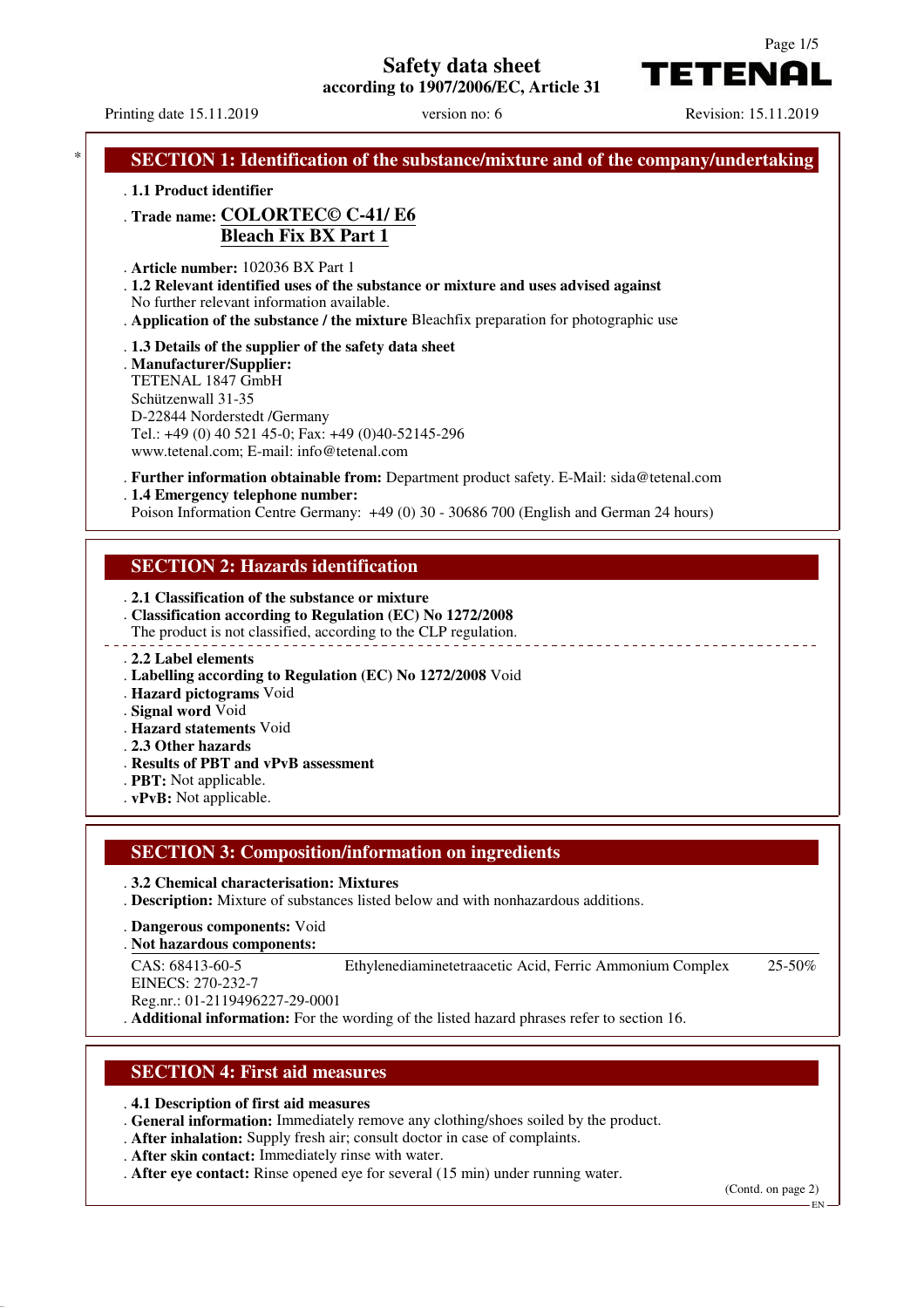**Safety data sheet**

**according to 1907/2006/EC, Article 31**

Page 1/5

TETENAI

Printing date 15.11.2019 version no: 6 Revision: 15.11.2019

**SECTION 1: Identification of the substance/mixture and of the company/undertaking** . **1.1 Product identifier** . **Trade name: COLORTEC© C-41/ E6 Bleach Fix BX Part 1** . **Article number:** 102036 BX Part 1 . **1.2 Relevant identified uses of the substance or mixture and uses advised against** No further relevant information available. . **Application of the substance / the mixture** Bleachfix preparation for photographic use . **1.3 Details of the supplier of the safety data sheet** . **Manufacturer/Supplier:** TETENAL 1847 GmbH Schützenwall 31-35 D-22844 Norderstedt /Germany Tel.: +49 (0) 40 521 45-0; Fax: +49 (0)40-52145-296 www.tetenal.com; E-mail: info@tetenal.com . **Further information obtainable from:** Department product safety. E-Mail: sida@tetenal.com . **1.4 Emergency telephone number:** Poison Information Centre Germany: +49 (0) 30 - 30686 700 (English and German 24 hours) **SECTION 2: Hazards identification** . **2.1 Classification of the substance or mixture** . **Classification according to Regulation (EC) No 1272/2008** The product is not classified, according to the CLP regulation. . **2.2 Label elements** . **Labelling according to Regulation (EC) No 1272/2008** Void . **Hazard pictograms** Void . **Signal word** Void . **Hazard statements** Void . **2.3 Other hazards** . **Results of PBT and vPvB assessment** . **PBT:** Not applicable. . **vPvB:** Not applicable. **SECTION 3: Composition/information on ingredients** . **3.2 Chemical characterisation: Mixtures** . **Description:** Mixture of substances listed below and with nonhazardous additions. . **Dangerous components:** Void **Not hazardous components:** . CAS: 68413-60-5 EINECS: 270-232-7 Reg.nr.: 01-2119496227-29-0001 Ethylenediaminetetraacetic Acid, Ferric Ammonium Complex 25-50% . **Additional information:** For the wording of the listed hazard phrases refer to section 16.

### **SECTION 4: First aid measures**

. **4.1 Description of first aid measures**

. **General information:** Immediately remove any clothing/shoes soiled by the product.

. **After inhalation:** Supply fresh air; consult doctor in case of complaints.

. **After skin contact:** Immediately rinse with water.

. **After eye contact:** Rinse opened eye for several (15 min) under running water.

(Contd. on page 2)

EN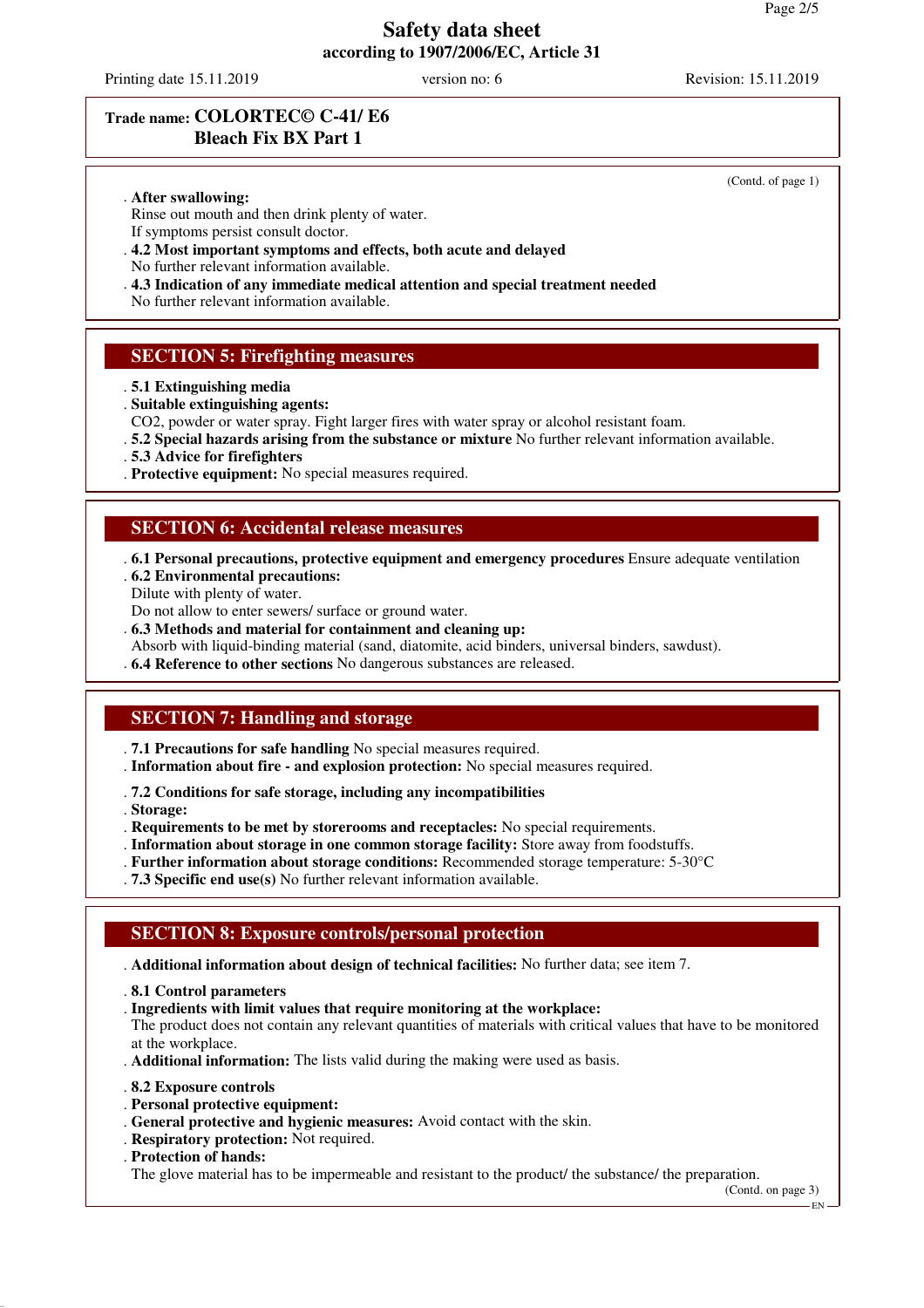Printing date 15.11.2019 version no: 6 Revision: 15.11.2019

(Contd. of page 1)

# **Trade name: COLORTEC© C-41/ E6 Bleach Fix BX Part 1**

. **After swallowing:**

Rinse out mouth and then drink plenty of water.

- If symptoms persist consult doctor.
- . **4.2 Most important symptoms and effects, both acute and delayed**
- No further relevant information available.
- . **4.3 Indication of any immediate medical attention and special treatment needed**

No further relevant information available.

### **SECTION 5: Firefighting measures**

- . **5.1 Extinguishing media**
- . **Suitable extinguishing agents:**
- CO2, powder or water spray. Fight larger fires with water spray or alcohol resistant foam.
- . **5.2 Special hazards arising from the substance or mixture** No further relevant information available.
- . **5.3 Advice for firefighters**
- . **Protective equipment:** No special measures required.

#### **SECTION 6: Accidental release measures**

. **6.1 Personal precautions, protective equipment and emergency procedures** Ensure adequate ventilation . **6.2 Environmental precautions:**

Dilute with plenty of water.

Do not allow to enter sewers/ surface or ground water.

- . **6.3 Methods and material for containment and cleaning up:**
- Absorb with liquid-binding material (sand, diatomite, acid binders, universal binders, sawdust).
- . **6.4 Reference to other sections** No dangerous substances are released.

### **SECTION 7: Handling and storage**

- . **7.1 Precautions for safe handling** No special measures required.
- . **Information about fire and explosion protection:** No special measures required.

. **7.2 Conditions for safe storage, including any incompatibilities**

. **Storage:**

- . **Requirements to be met by storerooms and receptacles:** No special requirements.
- . **Information about storage in one common storage facility:** Store away from foodstuffs.
- . **Further information about storage conditions:** Recommended storage temperature: 5-30°C
- . **7.3 Specific end use(s)** No further relevant information available.

### **SECTION 8: Exposure controls/personal protection**

. **Additional information about design of technical facilities:** No further data; see item 7.

- . **8.1 Control parameters**
- . **Ingredients with limit values that require monitoring at the workplace:**

The product does not contain any relevant quantities of materials with critical values that have to be monitored at the workplace.

- . **Additional information:** The lists valid during the making were used as basis.
- . **8.2 Exposure controls**
- . **Personal protective equipment:**
- . **General protective and hygienic measures:** Avoid contact with the skin.
- . **Respiratory protection:** Not required.
- . **Protection of hands:**

The glove material has to be impermeable and resistant to the product/ the substance/ the preparation.

(Contd. on page 3)

EN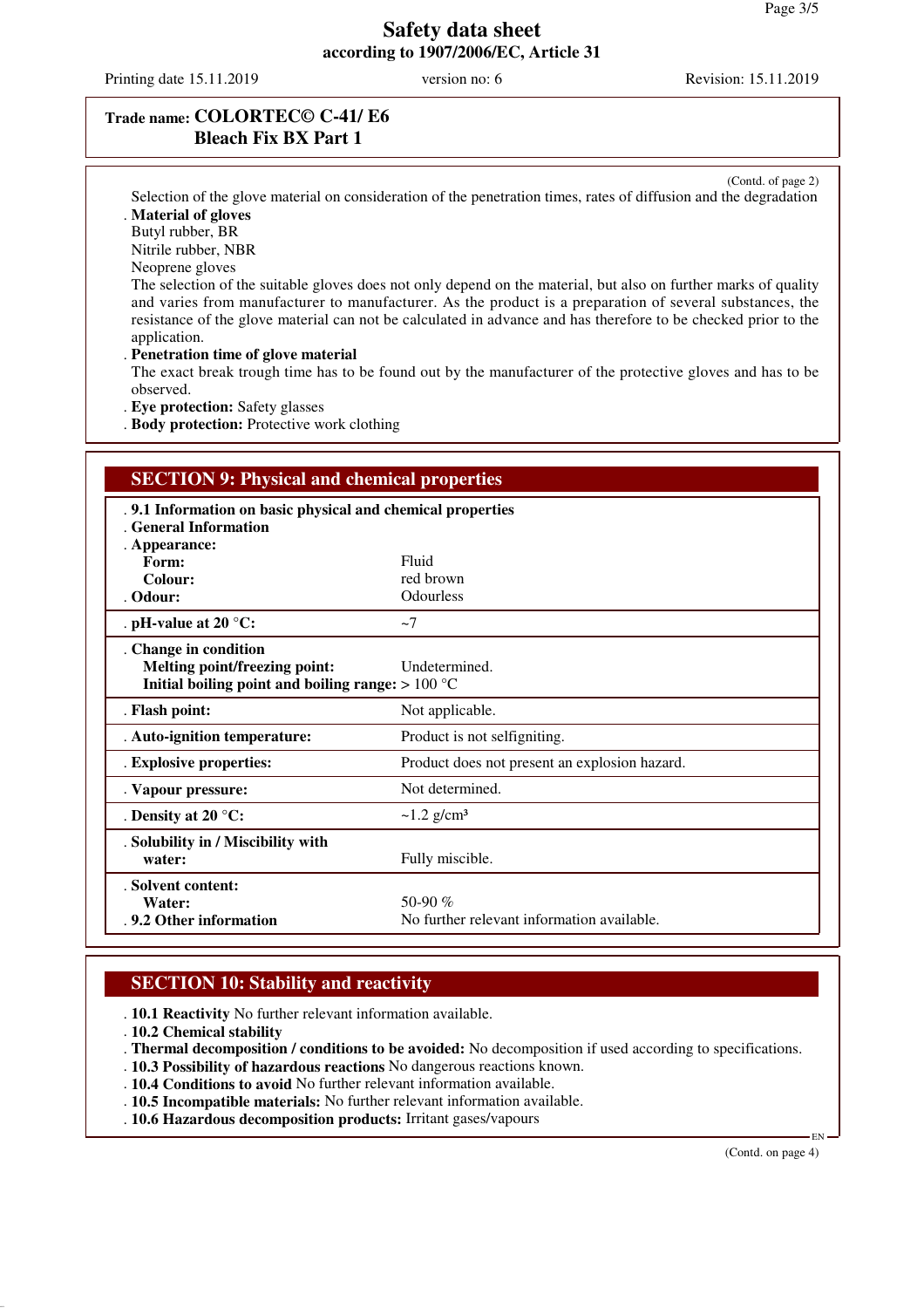Printing date 15.11.2019 version no: 6 Revision: 15.11.2019

### **Trade name: COLORTEC© C-41/ E6 Bleach Fix BX Part 1**

(Contd. of page 2) Selection of the glove material on consideration of the penetration times, rates of diffusion and the degradation . **Material of gloves**

Butyl rubber, BR

Nitrile rubber, NBR

Neoprene gloves

The selection of the suitable gloves does not only depend on the material, but also on further marks of quality and varies from manufacturer to manufacturer. As the product is a preparation of several substances, the resistance of the glove material can not be calculated in advance and has therefore to be checked prior to the application.

. **Penetration time of glove material**

The exact break trough time has to be found out by the manufacturer of the protective gloves and has to be observed.

. **Eye protection:** Safety glasses

. **Body protection:** Protective work clothing

#### **SECTION 9: Physical and chemical properties**

| .9.1 Information on basic physical and chemical properties<br>. General Information |                                               |
|-------------------------------------------------------------------------------------|-----------------------------------------------|
| . Appearance:<br>Form:                                                              | Fluid                                         |
| Colour:                                                                             | red brown                                     |
| . Odour:                                                                            | <b>Odourless</b>                              |
|                                                                                     |                                               |
| . pH-value at 20 $^{\circ}$ C:                                                      | $\sim$ 7                                      |
| . Change in condition                                                               |                                               |
| Melting point/freezing point:                                                       | Undetermined.                                 |
| Initial boiling point and boiling range: $>100 °C$                                  |                                               |
| . Flash point:                                                                      | Not applicable.                               |
| . Auto-ignition temperature:                                                        | Product is not selfigniting.                  |
| . Explosive properties:                                                             | Product does not present an explosion hazard. |
| . Vapour pressure:                                                                  | Not determined.                               |
| . Density at 20 $^{\circ}$ C:                                                       | $\sim$ 1.2 g/cm <sup>3</sup>                  |
| . Solubility in / Miscibility with                                                  |                                               |
| water:                                                                              | Fully miscible.                               |
| . Solvent content:                                                                  |                                               |
| Water:                                                                              | 50-90 $%$                                     |
| .9.2 Other information                                                              | No further relevant information available.    |

### **SECTION 10: Stability and reactivity**

. **10.1 Reactivity** No further relevant information available.

. **10.2 Chemical stability**

. **Thermal decomposition / conditions to be avoided:** No decomposition if used according to specifications.

. **10.3 Possibility of hazardous reactions** No dangerous reactions known.

. **10.4 Conditions to avoid** No further relevant information available.

. **10.5 Incompatible materials:** No further relevant information available.

. **10.6 Hazardous decomposition products:** Irritant gases/vapours

(Contd. on page 4)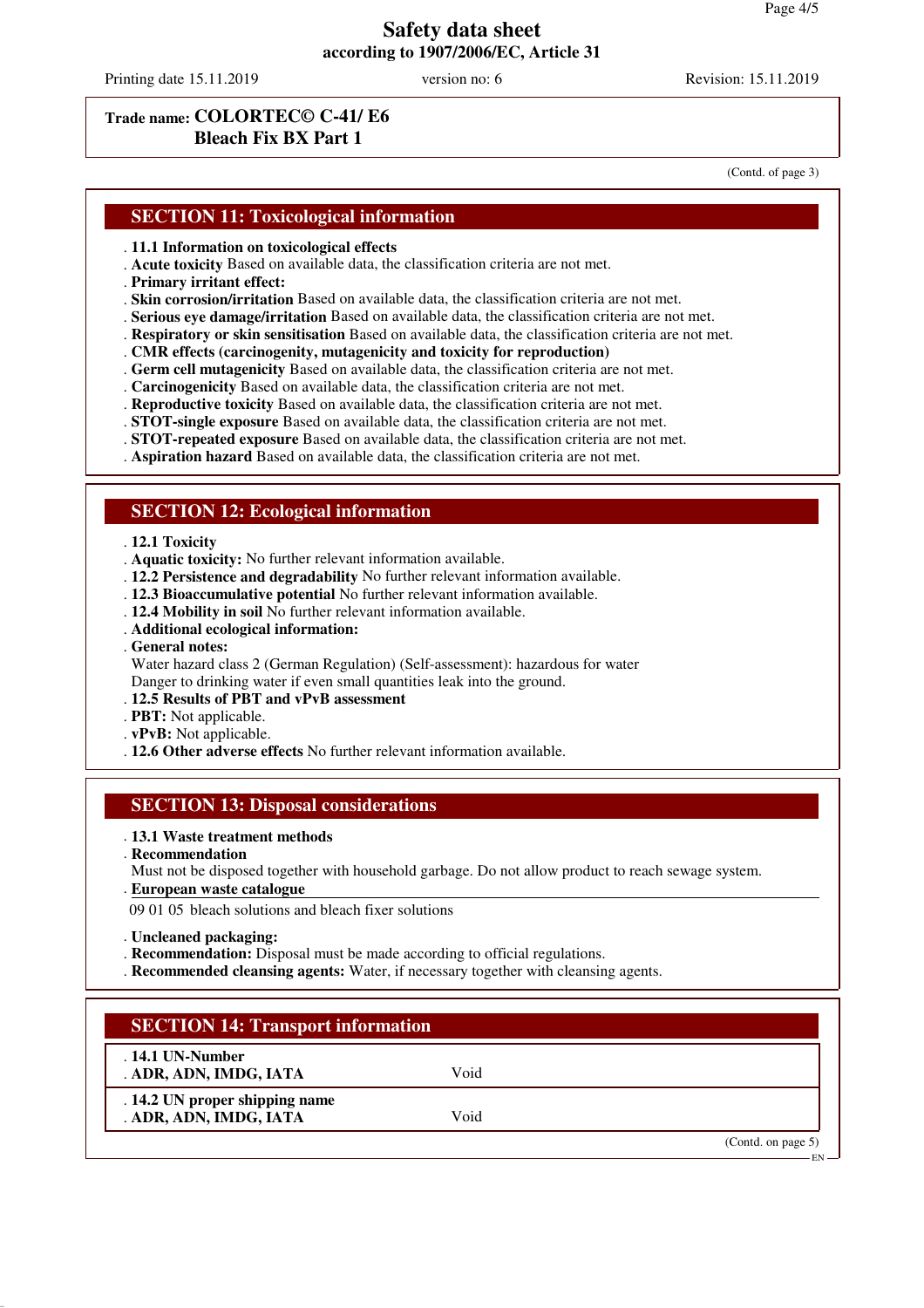Printing date 15.11.2019 version no: 6 Revision: 15.11.2019

### **Trade name: COLORTEC© C-41/ E6 Bleach Fix BX Part 1**

(Contd. of page 3)

# **SECTION 11: Toxicological information**

- . **11.1 Information on toxicological effects**
- . **Acute toxicity** Based on available data, the classification criteria are not met.
- . **Primary irritant effect:**
- . **Skin corrosion/irritation** Based on available data, the classification criteria are not met.
- . **Serious eye damage/irritation** Based on available data, the classification criteria are not met.
- . **Respiratory or skin sensitisation** Based on available data, the classification criteria are not met.
- . **CMR effects (carcinogenity, mutagenicity and toxicity for reproduction)**
- . **Germ cell mutagenicity** Based on available data, the classification criteria are not met.
- . **Carcinogenicity** Based on available data, the classification criteria are not met.
- . **Reproductive toxicity** Based on available data, the classification criteria are not met.
- . **STOT-single exposure** Based on available data, the classification criteria are not met.
- . **STOT-repeated exposure** Based on available data, the classification criteria are not met.

. **Aspiration hazard** Based on available data, the classification criteria are not met.

#### **SECTION 12: Ecological information**

#### . **12.1 Toxicity**

- . **Aquatic toxicity:** No further relevant information available.
- . **12.2 Persistence and degradability** No further relevant information available.
- . **12.3 Bioaccumulative potential** No further relevant information available.
- . **12.4 Mobility in soil** No further relevant information available.
- . **Additional ecological information:**
- . **General notes:**

Water hazard class 2 (German Regulation) (Self-assessment): hazardous for water Danger to drinking water if even small quantities leak into the ground.

#### . **12.5 Results of PBT and vPvB assessment**

- . **PBT:** Not applicable.
- . **vPvB:** Not applicable.
- . **12.6 Other adverse effects** No further relevant information available.

#### **SECTION 13: Disposal considerations**

#### . **13.1 Waste treatment methods**

- . **Recommendation**
- Must not be disposed together with household garbage. Do not allow product to reach sewage system.
- **European waste catalogue** .

09 01 05 bleach solutions and bleach fixer solutions

- . **Uncleaned packaging:**
- . **Recommendation:** Disposal must be made according to official regulations.
- . **Recommended cleansing agents:** Water, if necessary together with cleansing agents.

#### **SECTION 14: Transport information**

. **14.1 UN-Number** . **ADR, ADN, IMDG, IATA** Void

. **14.2 UN proper shipping name** . **ADR, ADN, IMDG, IATA** Void

(Contd. on page 5)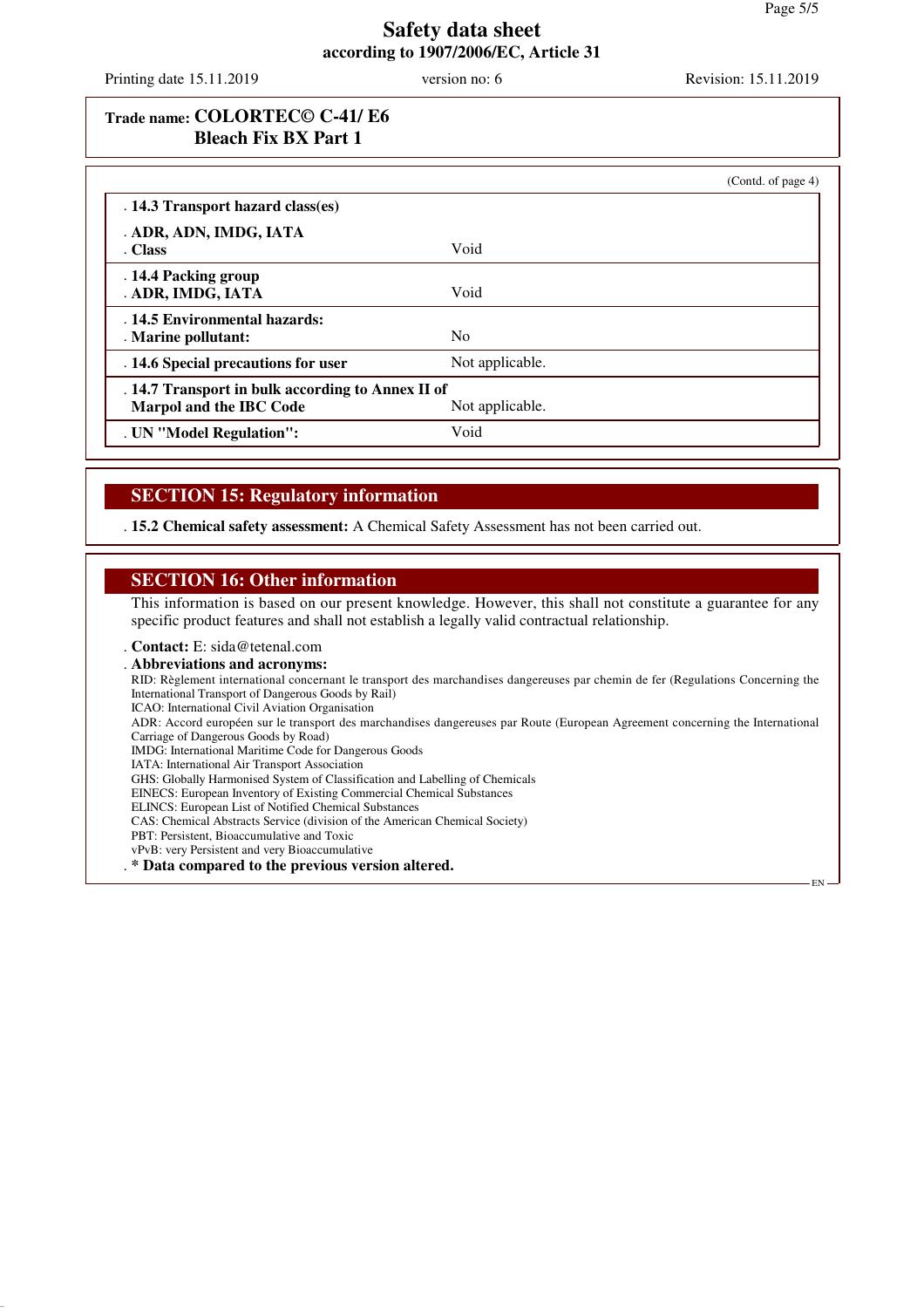Printing date 15.11.2019 version no: 6 Revision: 15.11.2019

# **Trade name: COLORTEC© C-41/ E6 Bleach Fix BX Part 1**

|                                                      |                 | (Contd. of page 4) |
|------------------------------------------------------|-----------------|--------------------|
| . 14.3 Transport hazard class(es)                    |                 |                    |
| . ADR, ADN, IMDG, IATA                               |                 |                    |
| . Class                                              | Void            |                    |
| . 14.4 Packing group<br>. ADR, IMDG, IATA            | Void            |                    |
| . 14.5 Environmental hazards:<br>. Marine pollutant: | N <sub>0</sub>  |                    |
| . 14.6 Special precautions for user                  | Not applicable. |                    |
| . 14.7 Transport in bulk according to Annex II of    |                 |                    |
| <b>Marpol and the IBC Code</b>                       | Not applicable. |                    |
| . UN "Model Regulation":                             | Void            |                    |

# **SECTION 15: Regulatory information**

. **15.2 Chemical safety assessment:** A Chemical Safety Assessment has not been carried out.

#### **SECTION 16: Other information**

This information is based on our present knowledge. However, this shall not constitute a guarantee for any specific product features and shall not establish a legally valid contractual relationship.

. **Contact:** E: sida@tetenal.com

. **Abbreviations and acronyms:** RID: Règlement international concernant le transport des marchandises dangereuses par chemin de fer (Regulations Concerning the International Transport of Dangerous Goods by Rail) ICAO: International Civil Aviation Organisation ADR: Accord européen sur le transport des marchandises dangereuses par Route (European Agreement concerning the International Carriage of Dangerous Goods by Road) IMDG: International Maritime Code for Dangerous Goods IATA: International Air Transport Association GHS: Globally Harmonised System of Classification and Labelling of Chemicals EINECS: European Inventory of Existing Commercial Chemical Substances ELINCS: European List of Notified Chemical Substances CAS: Chemical Abstracts Service (division of the American Chemical Society) PBT: Persistent, Bioaccumulative and Toxic vPvB: very Persistent and very Bioaccumulative . **\* Data compared to the previous version altered.** EN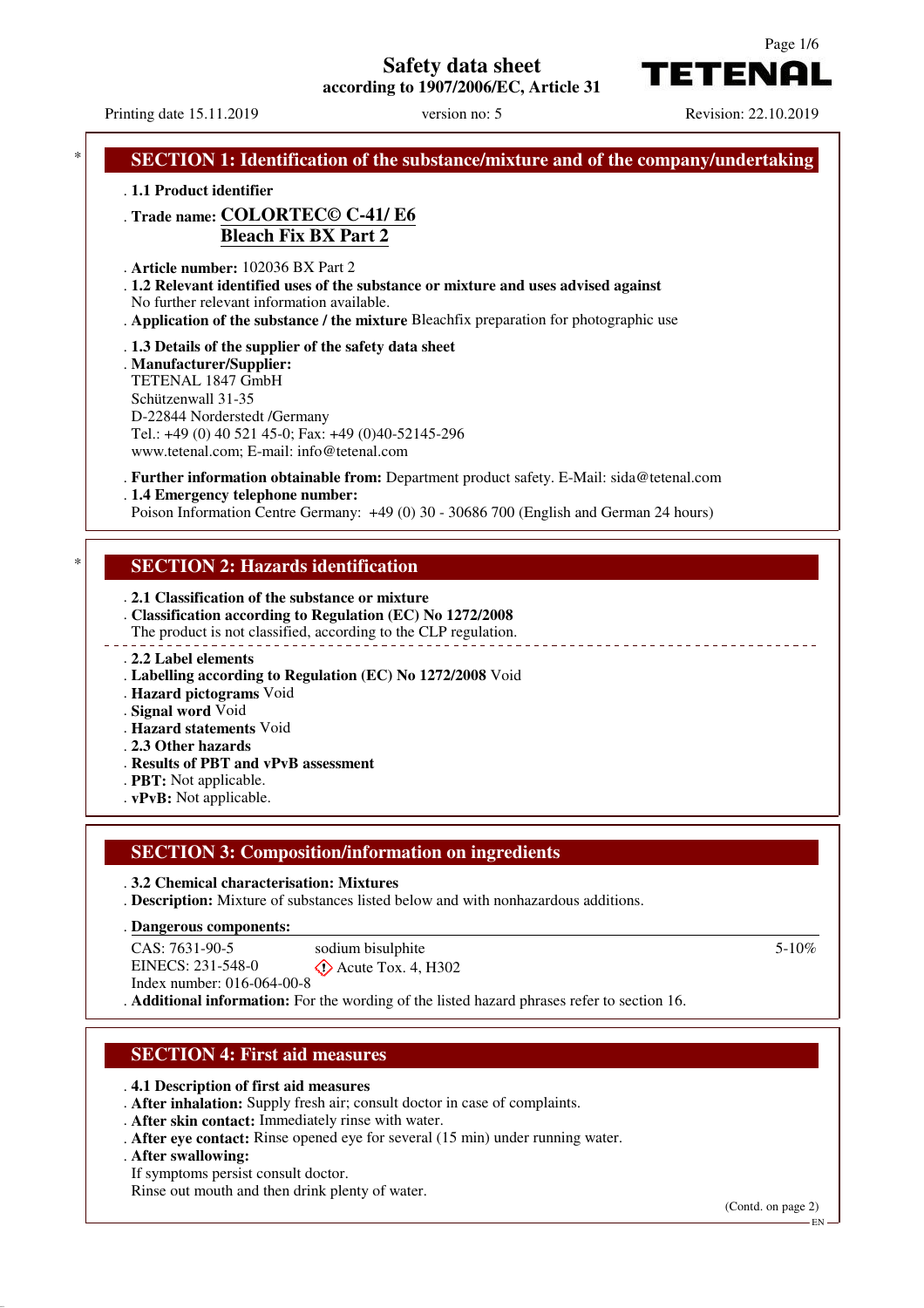**Safety data sheet**

**according to 1907/2006/EC, Article 31**

Page 1/6

TETENAI

Printing date 15.11.2019 version no: 5 Revision: 22.10.2019 **SECTION 1: Identification of the substance/mixture and of the company/undertaking** . **1.1 Product identifier** . **Trade name: COLORTEC© C-41/ E6 Bleach Fix BX Part 2** . **Article number:** 102036 BX Part 2 . **1.2 Relevant identified uses of the substance or mixture and uses advised against** No further relevant information available. . **Application of the substance / the mixture** Bleachfix preparation for photographic use . **1.3 Details of the supplier of the safety data sheet** . **Manufacturer/Supplier:** TETENAL 1847 GmbH Schützenwall 31-35 D-22844 Norderstedt /Germany Tel.: +49 (0) 40 521 45-0; Fax: +49 (0)40-52145-296 www.tetenal.com; E-mail: info@tetenal.com . **Further information obtainable from:** Department product safety. E-Mail: sida@tetenal.com . **1.4 Emergency telephone number:** Poison Information Centre Germany: +49 (0) 30 - 30686 700 (English and German 24 hours) **SECTION 2: Hazards identification** . **2.1 Classification of the substance or mixture** . **Classification according to Regulation (EC) No 1272/2008** The product is not classified, according to the CLP regulation. . **2.2 Label elements** . **Labelling according to Regulation (EC) No 1272/2008** Void . **Hazard pictograms** Void . **Signal word** Void . **Hazard statements** Void . **2.3 Other hazards** . **Results of PBT and vPvB assessment** . **PBT:** Not applicable. . **vPvB:** Not applicable. **SECTION 3: Composition/information on ingredients** . **3.2 Chemical characterisation: Mixtures** . **Description:** Mixture of substances listed below and with nonhazardous additions. **Dangerous components:** . CAS: 7631-90-5 EINECS: 231-548-0 Index number: 016-064-00-8 sodium bisulphite  $\diamondsuit$  Acute Tox. 4, H302 5-10% . **Additional information:** For the wording of the listed hazard phrases refer to section 16.

# **SECTION 4: First aid measures**

- . **4.1 Description of first aid measures**
- . **After inhalation:** Supply fresh air; consult doctor in case of complaints.
- . **After skin contact:** Immediately rinse with water.
- . **After eye contact:** Rinse opened eye for several (15 min) under running water.
- . **After swallowing:**
- If symptoms persist consult doctor.
- Rinse out mouth and then drink plenty of water.

(Contd. on page 2)

EN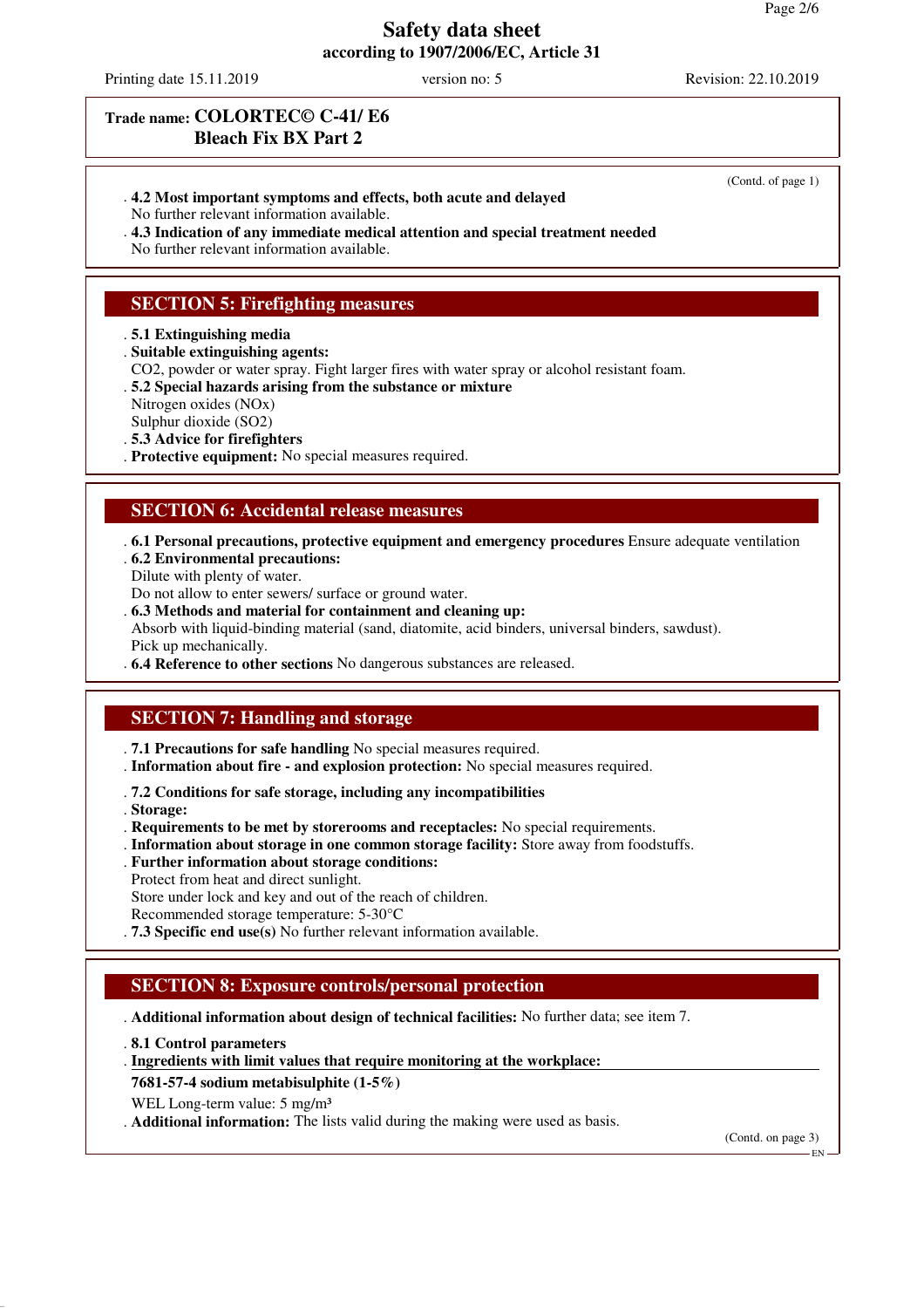Printing date 15.11.2019 version no: 5 Revision: 22.10.2019

(Contd. of page 1)

### **Trade name: COLORTEC© C-41/ E6 Bleach Fix BX Part 2**

- . **4.2 Most important symptoms and effects, both acute and delayed**
- No further relevant information available.
- . **4.3 Indication of any immediate medical attention and special treatment needed**

No further relevant information available.

### **SECTION 5: Firefighting measures**

. **5.1 Extinguishing media**

. **Suitable extinguishing agents:**

CO2, powder or water spray. Fight larger fires with water spray or alcohol resistant foam.

. **5.2 Special hazards arising from the substance or mixture**

Nitrogen oxides (NOx)

Sulphur dioxide (SO2)

- . **5.3 Advice for firefighters**
- . **Protective equipment:** No special measures required.

#### **SECTION 6: Accidental release measures**

- . **6.1 Personal precautions, protective equipment and emergency procedures** Ensure adequate ventilation
- . **6.2 Environmental precautions:**
- Dilute with plenty of water.
- Do not allow to enter sewers/ surface or ground water.
- . **6.3 Methods and material for containment and cleaning up:**

Absorb with liquid-binding material (sand, diatomite, acid binders, universal binders, sawdust). Pick up mechanically.

. **6.4 Reference to other sections** No dangerous substances are released.

### **SECTION 7: Handling and storage**

- . **7.1 Precautions for safe handling** No special measures required.
- . **Information about fire and explosion protection:** No special measures required.
- . **7.2 Conditions for safe storage, including any incompatibilities**
- . **Storage:**

. **Requirements to be met by storerooms and receptacles:** No special requirements.

- . **Information about storage in one common storage facility:** Store away from foodstuffs.
- . **Further information about storage conditions:**
- Protect from heat and direct sunlight.

Store under lock and key and out of the reach of children.

Recommended storage temperature: 5-30°C

. **7.3 Specific end use(s)** No further relevant information available.

### **SECTION 8: Exposure controls/personal protection**

. **Additional information about design of technical facilities:** No further data; see item 7.

. **8.1 Control parameters**

. Ingredients with limit values that require monitoring at the workplace:

**7681-57-4 sodium metabisulphite (1-5%)**

WEL Long-term value: 5 mg/m<sup>3</sup>

. **Additional information:** The lists valid during the making were used as basis.

(Contd. on page 3)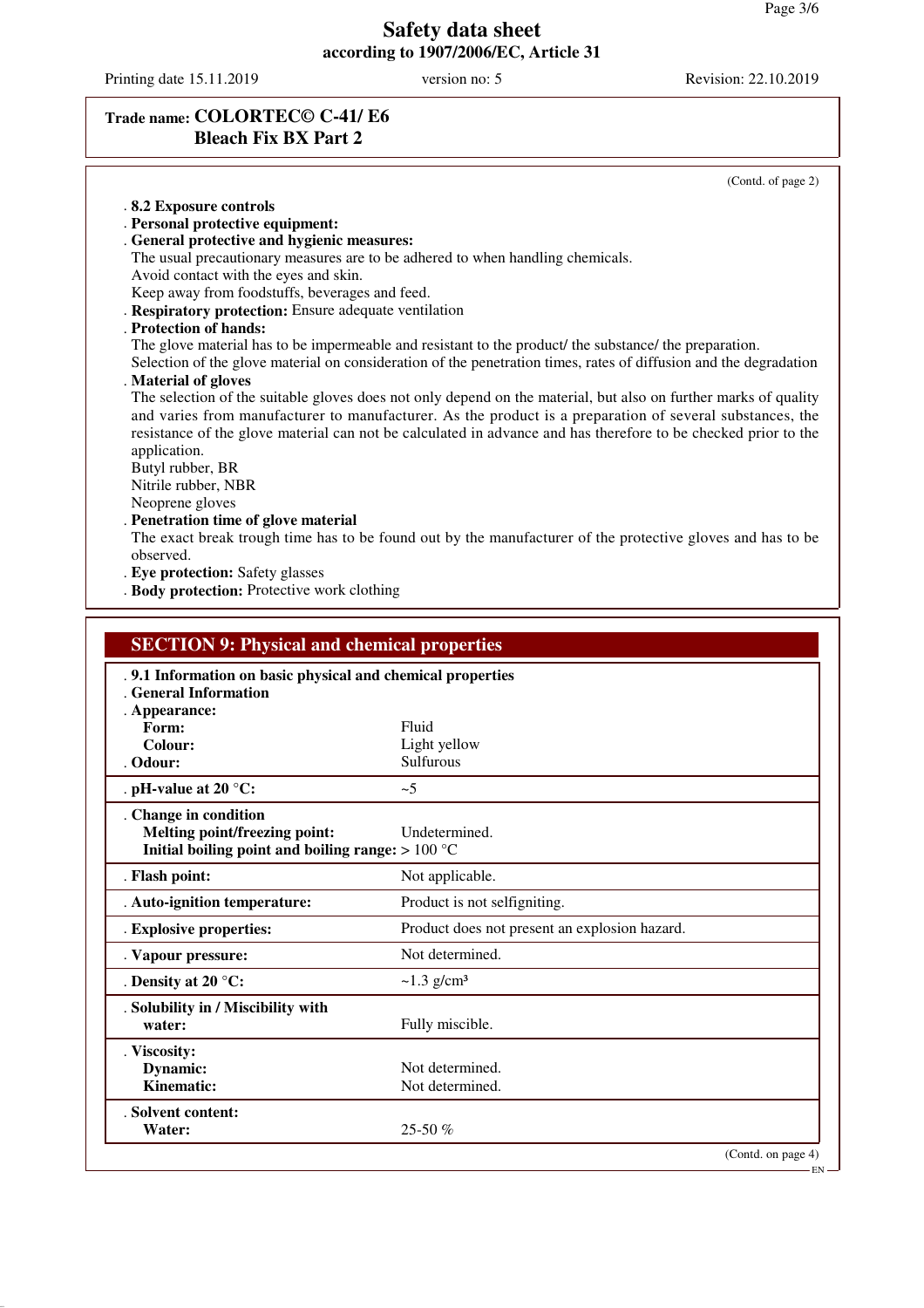Printing date 15.11.2019 version no: 5 Revision: 22.10.2019

# **Trade name: COLORTEC© C-41/ E6 Bleach Fix BX Part 2**

(Contd. of page 2) . **8.2 Exposure controls** . **Personal protective equipment:** . **General protective and hygienic measures:** The usual precautionary measures are to be adhered to when handling chemicals. Avoid contact with the eyes and skin. Keep away from foodstuffs, beverages and feed. . **Respiratory protection:** Ensure adequate ventilation . **Protection of hands:** The glove material has to be impermeable and resistant to the product/ the substance/ the preparation. Selection of the glove material on consideration of the penetration times, rates of diffusion and the degradation . **Material of gloves** The selection of the suitable gloves does not only depend on the material, but also on further marks of quality and varies from manufacturer to manufacturer. As the product is a preparation of several substances, the resistance of the glove material can not be calculated in advance and has therefore to be checked prior to the application. Butyl rubber, BR Nitrile rubber, NBR Neoprene gloves . **Penetration time of glove material** The exact break trough time has to be found out by the manufacturer of the protective gloves and has to be observed. . **Eye protection:** Safety glasses . **Body protection:** Protective work clothing

| <b>SECTION 9: Physical and chemical properties</b>                                                            |                                               |
|---------------------------------------------------------------------------------------------------------------|-----------------------------------------------|
| . 9.1 Information on basic physical and chemical properties<br><b>General Information</b><br>. Appearance:    |                                               |
| Form:                                                                                                         | Fluid                                         |
| Colour:                                                                                                       | Light yellow                                  |
| . Odour:                                                                                                      | <b>Sulfurous</b>                              |
| . pH-value at 20 $^{\circ}$ C:                                                                                | ~1                                            |
| . Change in condition<br>Melting point/freezing point:<br>Initial boiling point and boiling range: $> 100 °C$ | Undetermined.                                 |
| . Flash point:                                                                                                | Not applicable.                               |
| . Auto-ignition temperature:                                                                                  | Product is not selfigniting.                  |
| . Explosive properties:                                                                                       | Product does not present an explosion hazard. |
| . Vapour pressure:                                                                                            | Not determined.                               |
| . Density at 20 $^{\circ}$ C:                                                                                 | $\sim$ 1.3 g/cm <sup>3</sup>                  |
| . Solubility in / Miscibility with<br>water:                                                                  | Fully miscible.                               |
| . Viscosity:                                                                                                  |                                               |
| <b>Dynamic:</b>                                                                                               | Not determined.                               |
| Kinematic:                                                                                                    | Not determined.                               |
| . Solvent content:<br>Water:                                                                                  | $25-50%$                                      |
|                                                                                                               | (Contd. on page 4)                            |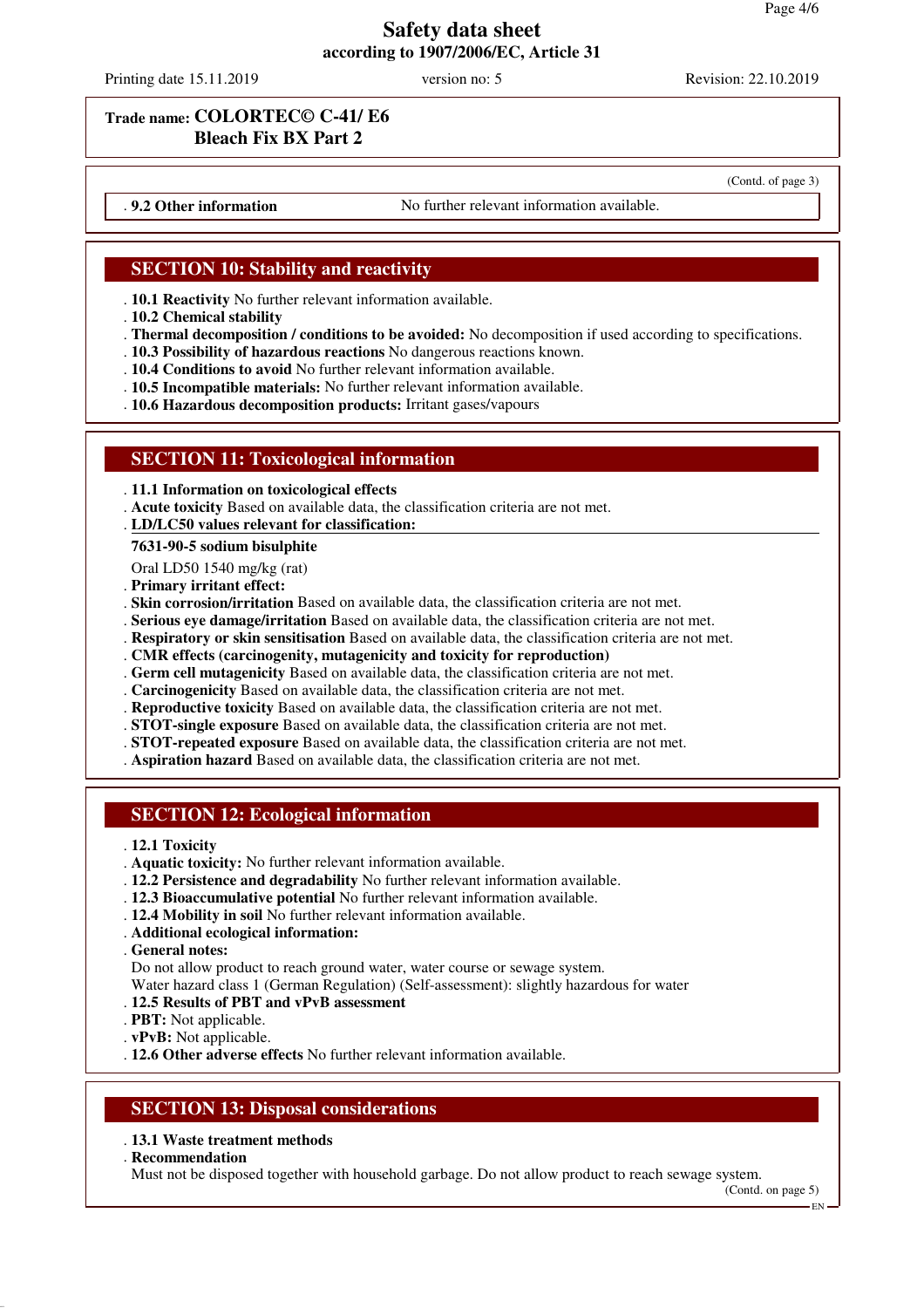Printing date 15.11.2019 version no: 5 Revision: 22.10.2019

(Contd. of page 3)

### **Trade name: COLORTEC© C-41/ E6 Bleach Fix BX Part 2**

. **9.2 Other information** No further relevant information available.

# **SECTION 10: Stability and reactivity**

- . **10.1 Reactivity** No further relevant information available.
- . **10.2 Chemical stability**
- . **Thermal decomposition / conditions to be avoided:** No decomposition if used according to specifications.
- . **10.3 Possibility of hazardous reactions** No dangerous reactions known.
- . **10.4 Conditions to avoid** No further relevant information available.
- . **10.5 Incompatible materials:** No further relevant information available.
- . **10.6 Hazardous decomposition products:** Irritant gases/vapours

### **SECTION 11: Toxicological information**

- . **11.1 Information on toxicological effects**
- . **Acute toxicity** Based on available data, the classification criteria are not met.
- **LD/LC50 values relevant for classification:** .

#### **7631-90-5 sodium bisulphite**

- Oral LD50 1540 mg/kg (rat)
- . **Primary irritant effect:**
- . **Skin corrosion/irritation** Based on available data, the classification criteria are not met.
- . **Serious eye damage/irritation** Based on available data, the classification criteria are not met.
- . **Respiratory or skin sensitisation** Based on available data, the classification criteria are not met.
- . **CMR effects (carcinogenity, mutagenicity and toxicity for reproduction)**
- . **Germ cell mutagenicity** Based on available data, the classification criteria are not met.
- . **Carcinogenicity** Based on available data, the classification criteria are not met.
- . **Reproductive toxicity** Based on available data, the classification criteria are not met.
- . **STOT-single exposure** Based on available data, the classification criteria are not met.
- . **STOT-repeated exposure** Based on available data, the classification criteria are not met.
- . **Aspiration hazard** Based on available data, the classification criteria are not met.

### **SECTION 12: Ecological information**

- . **12.1 Toxicity**
- . **Aquatic toxicity:** No further relevant information available.
- . **12.2 Persistence and degradability** No further relevant information available.
- . **12.3 Bioaccumulative potential** No further relevant information available.
- . **12.4 Mobility in soil** No further relevant information available.
- . **Additional ecological information:**

. **General notes:**

Do not allow product to reach ground water, water course or sewage system.

Water hazard class 1 (German Regulation) (Self-assessment): slightly hazardous for water

- . **12.5 Results of PBT and vPvB assessment**
- . **PBT:** Not applicable.
- . **vPvB:** Not applicable.

. **12.6 Other adverse effects** No further relevant information available.

#### **SECTION 13: Disposal considerations**

#### . **13.1 Waste treatment methods**

. **Recommendation**

Must not be disposed together with household garbage. Do not allow product to reach sewage system.

(Contd. on page 5)

EN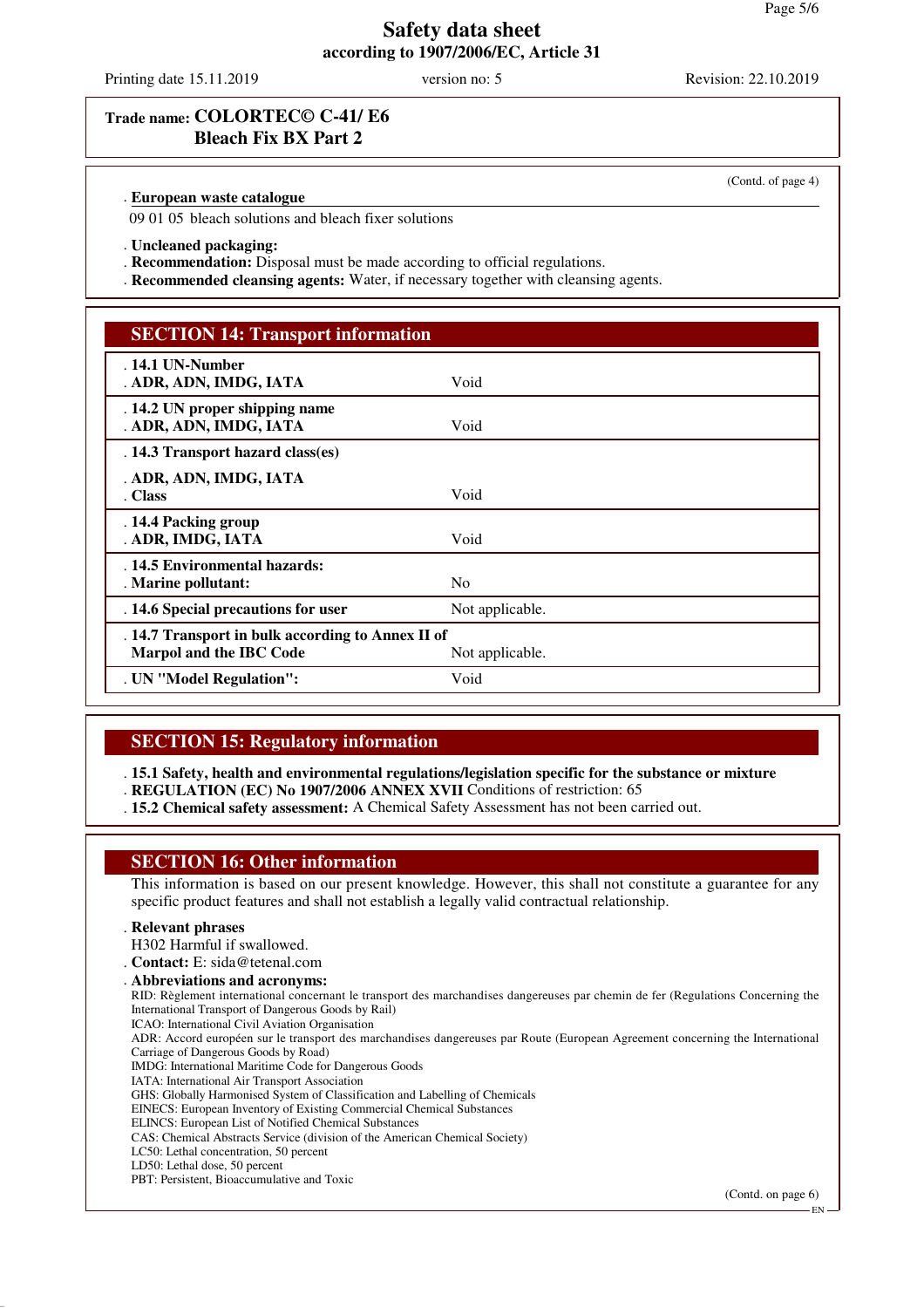Printing date 15.11.2019 version no: 5 Revision: 22.10.2019

(Contd. of page 4)

### **Trade name: COLORTEC© C-41/ E6 Bleach Fix BX Part 2**

#### **European waste catalogue** .

09 01 05 bleach solutions and bleach fixer solutions

- . **Uncleaned packaging:**
- . **Recommendation:** Disposal must be made according to official regulations.
- . **Recommended cleansing agents:** Water, if necessary together with cleansing agents.

| <b>SECTION 14: Transport information</b>                                     |                 |  |
|------------------------------------------------------------------------------|-----------------|--|
| . 14.1 UN-Number<br>. ADR, ADN, IMDG, IATA                                   | Void            |  |
| . 14.2 UN proper shipping name<br>. ADR, ADN, IMDG, IATA                     | Void            |  |
| . 14.3 Transport hazard class(es)                                            |                 |  |
| . ADR, ADN, IMDG, IATA<br>. Class                                            | Void            |  |
| . 14.4 Packing group<br>. ADR, IMDG, IATA                                    | Void            |  |
| . 14.5 Environmental hazards:<br>. Marine pollutant:                         | N <sub>0</sub>  |  |
| . 14.6 Special precautions for user                                          | Not applicable. |  |
| . 14.7 Transport in bulk according to Annex II of<br>Marpol and the IBC Code | Not applicable. |  |
| . UN "Model Regulation":                                                     | Void            |  |

#### **SECTION 15: Regulatory information**

. **15.1 Safety, health and environmental regulations/legislation specific for the substance or mixture**

- . **REGULATION (EC) No 1907/2006 ANNEX XVII** Conditions of restriction: 65
- . **15.2 Chemical safety assessment:** A Chemical Safety Assessment has not been carried out.

### **SECTION 16: Other information**

This information is based on our present knowledge. However, this shall not constitute a guarantee for any specific product features and shall not establish a legally valid contractual relationship.

#### . **Relevant phrases**

- H302 Harmful if swallowed.
- . **Contact:** E: sida@tetenal.com . **Abbreviations and acronyms:** RID: Règlement international concernant le transport des marchandises dangereuses par chemin de fer (Regulations Concerning the International Transport of Dangerous Goods by Rail) ICAO: International Civil Aviation Organisation ADR: Accord européen sur le transport des marchandises dangereuses par Route (European Agreement concerning the International Carriage of Dangerous Goods by Road) IMDG: International Maritime Code for Dangerous Goods IATA: International Air Transport Association GHS: Globally Harmonised System of Classification and Labelling of Chemicals EINECS: European Inventory of Existing Commercial Chemical Substances ELINCS: European List of Notified Chemical Substances CAS: Chemical Abstracts Service (division of the American Chemical Society)
- LC50: Lethal concentration, 50 percent
- LD50: Lethal dose, 50 percent
- PBT: Persistent, Bioaccumulative and Toxic

(Contd. on page 6)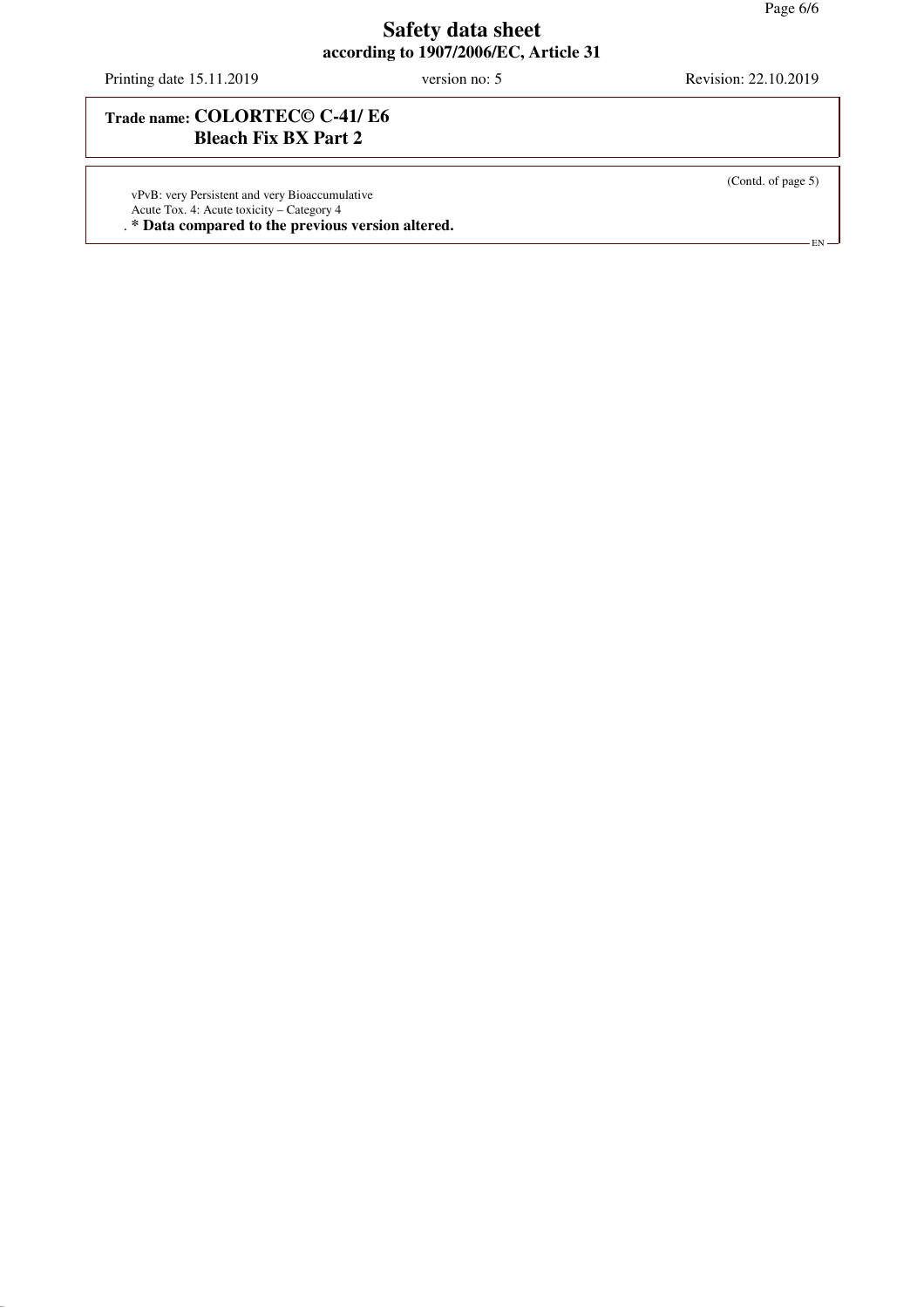Printing date 15.11.2019 version no: 5 Revision: 22.10.2019

# **Trade name: COLORTEC© C-41/ E6 Bleach Fix BX Part 2**

vPvB: very Persistent and very Bioaccumulative Acute Tox. 4: Acute toxicity – Category 4

. **\* Data compared to the previous version altered.**

(Contd. of page 5)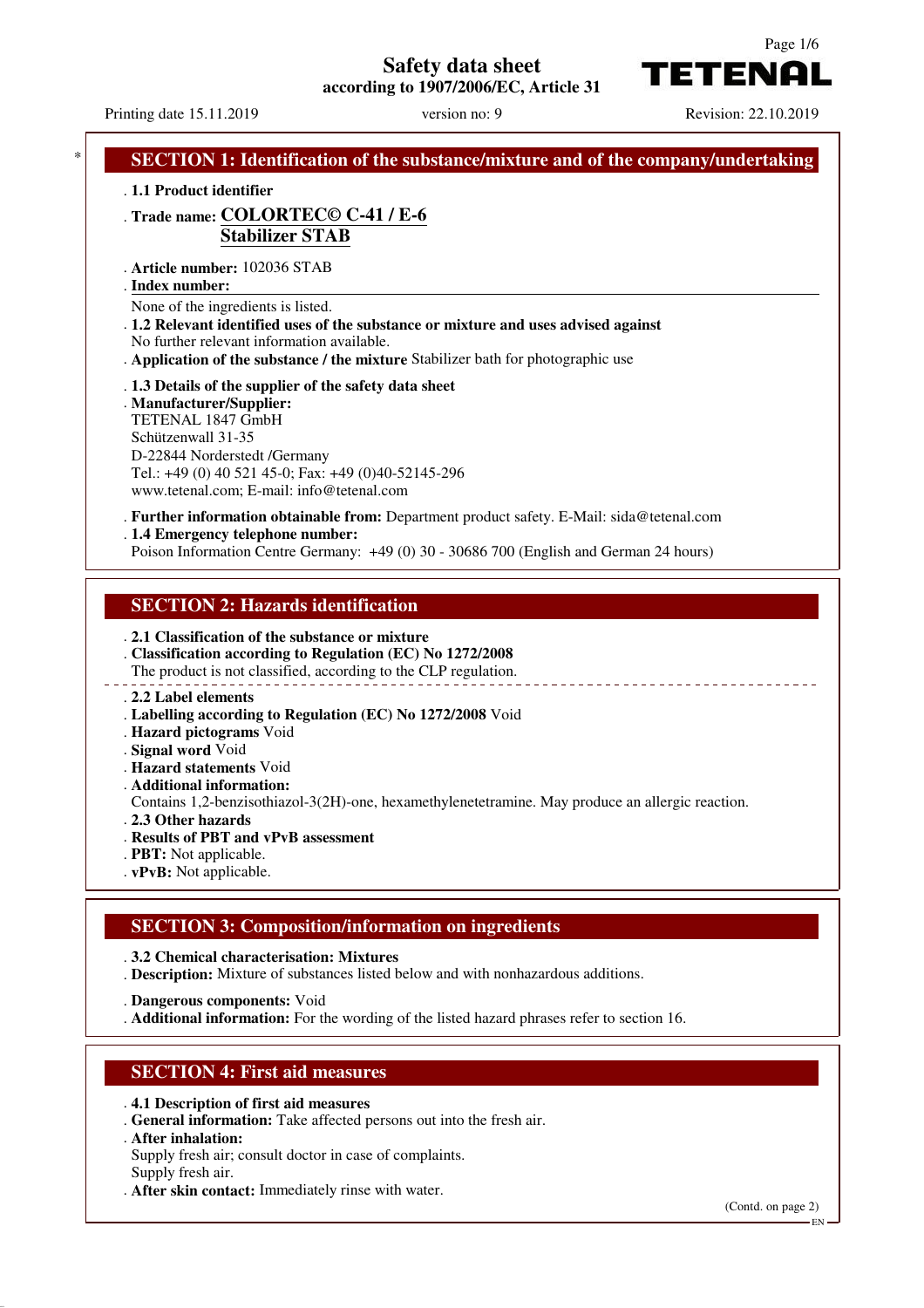# **Safety data sheet**

**according to 1907/2006/EC, Article 31**



Printing date 15.11.2019 version no: 9 Revision: 22.10.2019

|                    | . Trade name: COLORTEC© C-41 / E-6<br><b>Stabilizer STAB</b>                                                                                                                                                                                                 |
|--------------------|--------------------------------------------------------------------------------------------------------------------------------------------------------------------------------------------------------------------------------------------------------------|
| . Index number:    | . Article number: 102036 STAB                                                                                                                                                                                                                                |
|                    | None of the ingredients is listed.<br>. 1.2 Relevant identified uses of the substance or mixture and uses advised against<br>No further relevant information available.<br>. Application of the substance / the mixture Stabilizer bath for photographic use |
| Schützenwall 31-35 | . 1.3 Details of the supplier of the safety data sheet<br>. Manufacturer/Supplier:<br>TETENAL 1847 GmbH<br>D-22844 Norderstedt /Germany<br>Tel.: +49 (0) 40 521 45-0; Fax: +49 (0)40-52145-296<br>www.tetenal.com; E-mail: info@tetenal.com                  |
|                    | . Further information obtainable from: Department product safety. E-Mail: sida@tetenal.com<br>. 1.4 Emergency telephone number:<br>Poison Information Centre Germany: +49 (0) 30 - 30686 700 (English and German 24 hours)                                   |

#### . **2.2 Label elements**

- . **Labelling according to Regulation (EC) No 1272/2008** Void
- . **Hazard pictograms** Void
- . **Signal word** Void
- . **Hazard statements** Void
- . **Additional information:**

Contains 1,2-benzisothiazol-3(2H)-one, hexamethylenetetramine. May produce an allergic reaction.

- . **2.3 Other hazards**
- . **Results of PBT and vPvB assessment**
- . **PBT:** Not applicable.
- . **vPvB:** Not applicable.

#### **SECTION 3: Composition/information on ingredients**

. **3.2 Chemical characterisation: Mixtures**

. **Description:** Mixture of substances listed below and with nonhazardous additions.

. **Dangerous components:** Void

. **Additional information:** For the wording of the listed hazard phrases refer to section 16.

#### **SECTION 4: First aid measures**

- . **4.1 Description of first aid measures**
- . **General information:** Take affected persons out into the fresh air.
- . **After inhalation:**
- Supply fresh air; consult doctor in case of complaints. Supply fresh air.
- . **After skin contact:** Immediately rinse with water.

(Contd. on page 2)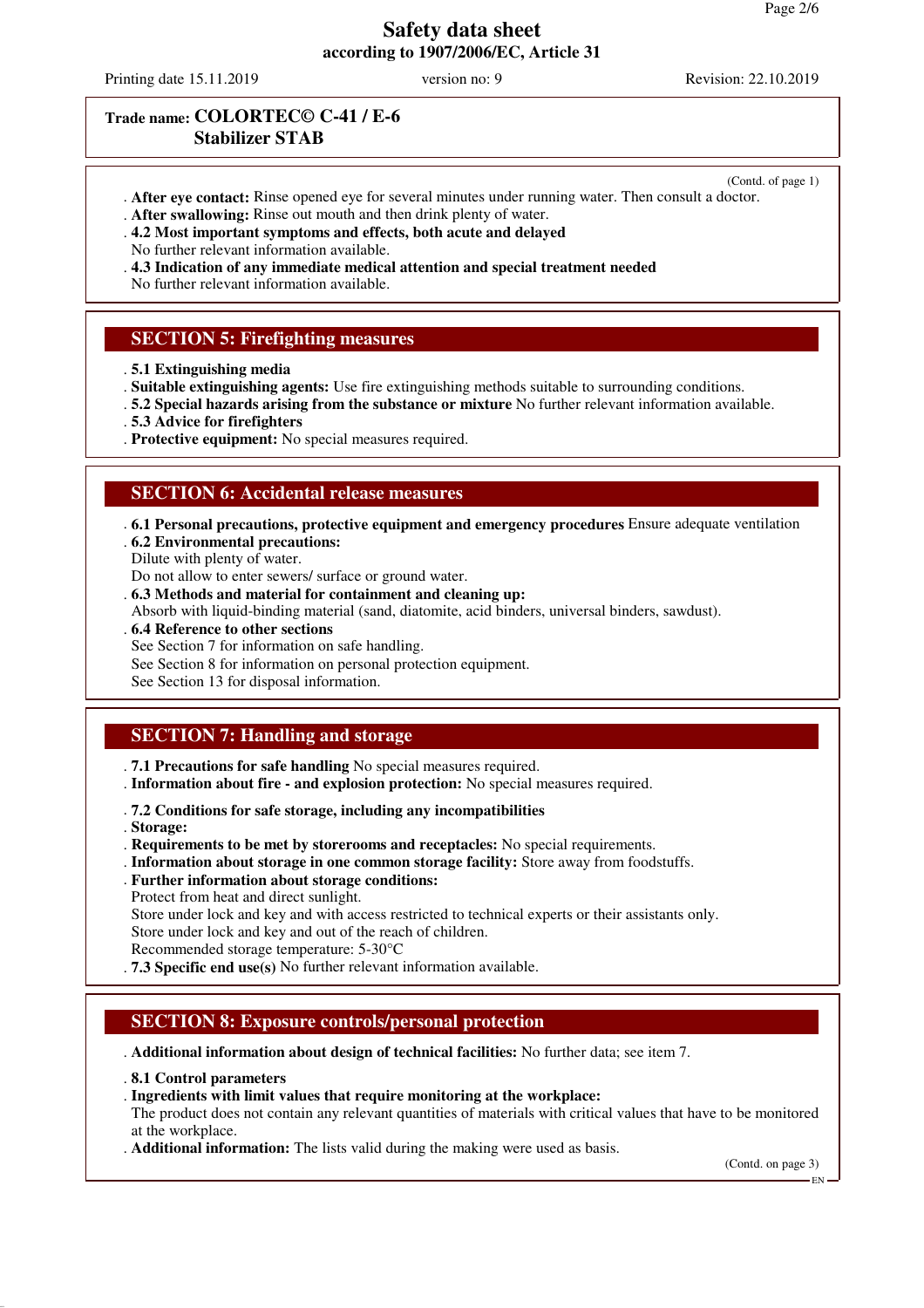Printing date 15.11.2019 version no: 9 Revision: 22.10.2019

(Contd. of page 1)

### **Trade name: COLORTEC© C-41 / E-6 Stabilizer STAB**

- . **After eye contact:** Rinse opened eye for several minutes under running water. Then consult a doctor.
- . **After swallowing:** Rinse out mouth and then drink plenty of water.
- . **4.2 Most important symptoms and effects, both acute and delayed**
- No further relevant information available.
- . **4.3 Indication of any immediate medical attention and special treatment needed**
- No further relevant information available.

### **SECTION 5: Firefighting measures**

- . **5.1 Extinguishing media**
- . **Suitable extinguishing agents:** Use fire extinguishing methods suitable to surrounding conditions.
- . **5.2 Special hazards arising from the substance or mixture** No further relevant information available.
- . **5.3 Advice for firefighters**
- . **Protective equipment:** No special measures required.

#### **SECTION 6: Accidental release measures**

- . **6.1 Personal precautions, protective equipment and emergency procedures** Ensure adequate ventilation . **6.2 Environmental precautions:**
- Dilute with plenty of water.
- Do not allow to enter sewers/ surface or ground water.
- . **6.3 Methods and material for containment and cleaning up:**
- Absorb with liquid-binding material (sand, diatomite, acid binders, universal binders, sawdust).
- . **6.4 Reference to other sections**
- See Section 7 for information on safe handling.
- See Section 8 for information on personal protection equipment.
- See Section 13 for disposal information.

### **SECTION 7: Handling and storage**

- . **7.1 Precautions for safe handling** No special measures required.
- . **Information about fire and explosion protection:** No special measures required.
- . **7.2 Conditions for safe storage, including any incompatibilities**
- . **Storage:**
- . **Requirements to be met by storerooms and receptacles:** No special requirements.
- . **Information about storage in one common storage facility:** Store away from foodstuffs.
- . **Further information about storage conditions:**
- Protect from heat and direct sunlight.
- Store under lock and key and with access restricted to technical experts or their assistants only. Store under lock and key and out of the reach of children.
- Recommended storage temperature: 5-30°C
- . **7.3 Specific end use(s)** No further relevant information available.

#### **SECTION 8: Exposure controls/personal protection**

. **Additional information about design of technical facilities:** No further data; see item 7.

. **8.1 Control parameters**

#### . **Ingredients with limit values that require monitoring at the workplace:**

The product does not contain any relevant quantities of materials with critical values that have to be monitored at the workplace.

. **Additional information:** The lists valid during the making were used as basis.

(Contd. on page 3)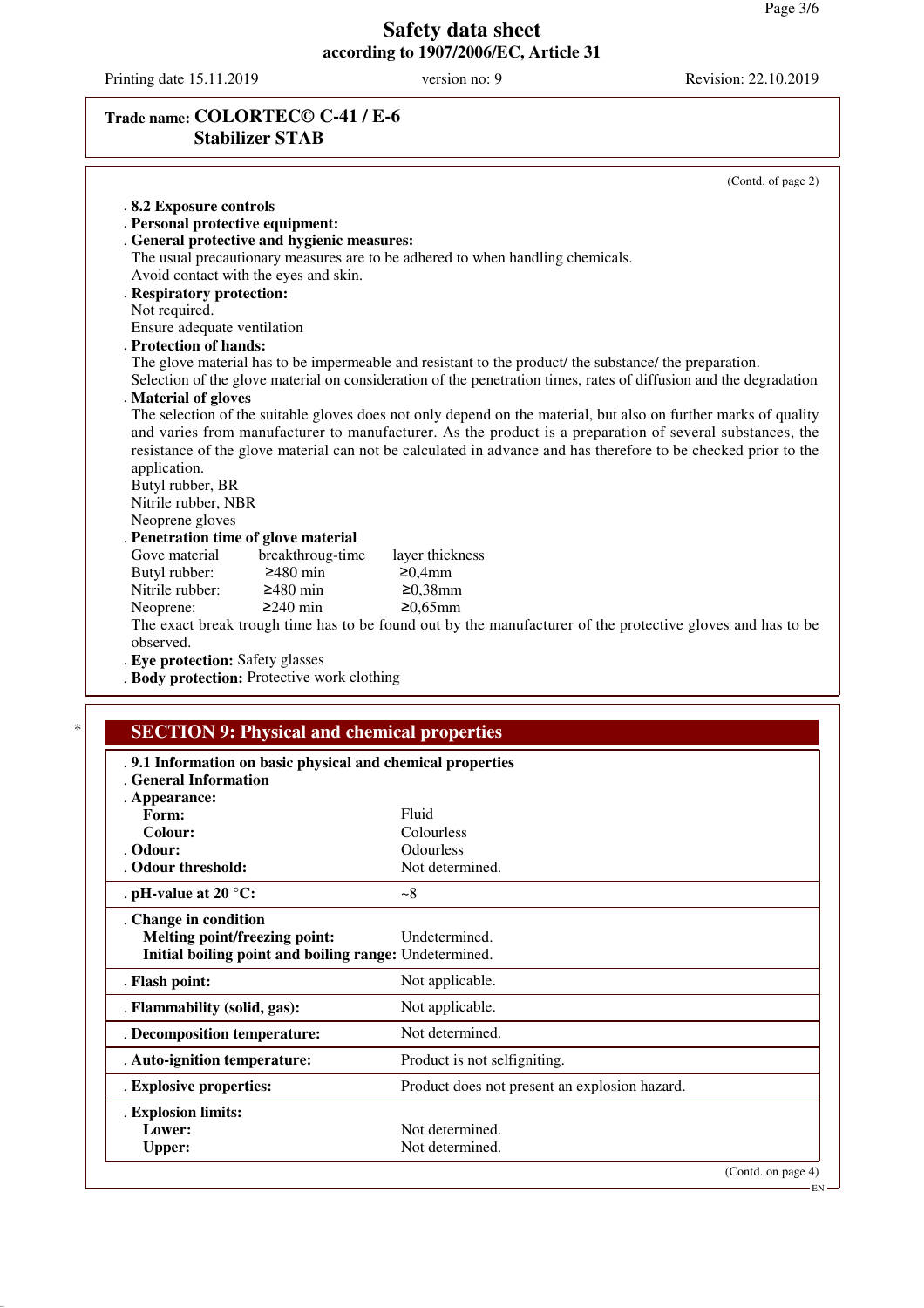$-EN$ 

# **Safety data sheet according to 1907/2006/EC, Article 31**

Printing date 15.11.2019 version no: 9 Revision: 22.10.2019

# **Trade name: COLORTEC© C-41 / E-6 Stabilizer STAB**

|                                      |                                                    | (Contd. of page 2)                                                                                                |
|--------------------------------------|----------------------------------------------------|-------------------------------------------------------------------------------------------------------------------|
| .8.2 Exposure controls               |                                                    |                                                                                                                   |
| . Personal protective equipment:     |                                                    |                                                                                                                   |
|                                      | . General protective and hygienic measures:        |                                                                                                                   |
|                                      |                                                    | The usual precautionary measures are to be adhered to when handling chemicals.                                    |
|                                      | Avoid contact with the eyes and skin.              |                                                                                                                   |
| . Respiratory protection:            |                                                    |                                                                                                                   |
| Not required.                        |                                                    |                                                                                                                   |
| Ensure adequate ventilation          |                                                    |                                                                                                                   |
| . Protection of hands:               |                                                    |                                                                                                                   |
|                                      |                                                    | The glove material has to be impermeable and resistant to the product/ the substance/ the preparation.            |
|                                      |                                                    | Selection of the glove material on consideration of the penetration times, rates of diffusion and the degradation |
| . Material of gloves                 |                                                    |                                                                                                                   |
|                                      |                                                    | The selection of the suitable gloves does not only depend on the material, but also on further marks of quality   |
|                                      |                                                    | and varies from manufacturer to manufacturer. As the product is a preparation of several substances, the          |
|                                      |                                                    | resistance of the glove material can not be calculated in advance and has therefore to be checked prior to the    |
| application.                         |                                                    |                                                                                                                   |
| Butyl rubber, BR                     |                                                    |                                                                                                                   |
| Nitrile rubber, NBR                  |                                                    |                                                                                                                   |
| Neoprene gloves                      |                                                    |                                                                                                                   |
| . Penetration time of glove material |                                                    |                                                                                                                   |
| Gove material                        | breakthroug-time                                   | layer thickness                                                                                                   |
| Butyl rubber:                        | $\geq 480$ min                                     | ≥0,4mm                                                                                                            |
| Nitrile rubber:                      | $\geq$ 480 min                                     | $≥0,38$ mm                                                                                                        |
| Neoprene:                            | $\geq$ 240 min                                     | $≥0.65mm$                                                                                                         |
|                                      |                                                    | The exact break trough time has to be found out by the manufacturer of the protective gloves and has to be        |
| observed.                            |                                                    |                                                                                                                   |
| . Eye protection: Safety glasses     |                                                    |                                                                                                                   |
|                                      | . Body protection: Protective work clothing        |                                                                                                                   |
|                                      |                                                    |                                                                                                                   |
|                                      |                                                    |                                                                                                                   |
|                                      |                                                    |                                                                                                                   |
|                                      | <b>SECTION 9: Physical and chemical properties</b> |                                                                                                                   |

| ici ul milol muton                                     |                                               |
|--------------------------------------------------------|-----------------------------------------------|
| . Appearance:                                          |                                               |
| Form:                                                  | Fluid                                         |
| Colour:                                                | Colourless                                    |
| . Odour:                                               | Odourless                                     |
| . Odour threshold:                                     | Not determined.                               |
| . pH-value at 20 $^{\circ}$ C:                         | $-8$                                          |
| . Change in condition                                  |                                               |
| Melting point/freezing point:                          | Undetermined.                                 |
| Initial boiling point and boiling range: Undetermined. |                                               |
| . Flash point:                                         | Not applicable.                               |
| . Flammability (solid, gas):                           | Not applicable.                               |
| . Decomposition temperature:                           | Not determined.                               |
| . Auto-ignition temperature:                           | Product is not selfigniting.                  |
| . Explosive properties:                                | Product does not present an explosion hazard. |
| . Explosion limits:                                    |                                               |
| Lower:                                                 | Not determined.                               |
| <b>Upper:</b>                                          | Not determined.                               |
|                                                        | (Contd. on page 4)                            |
|                                                        |                                               |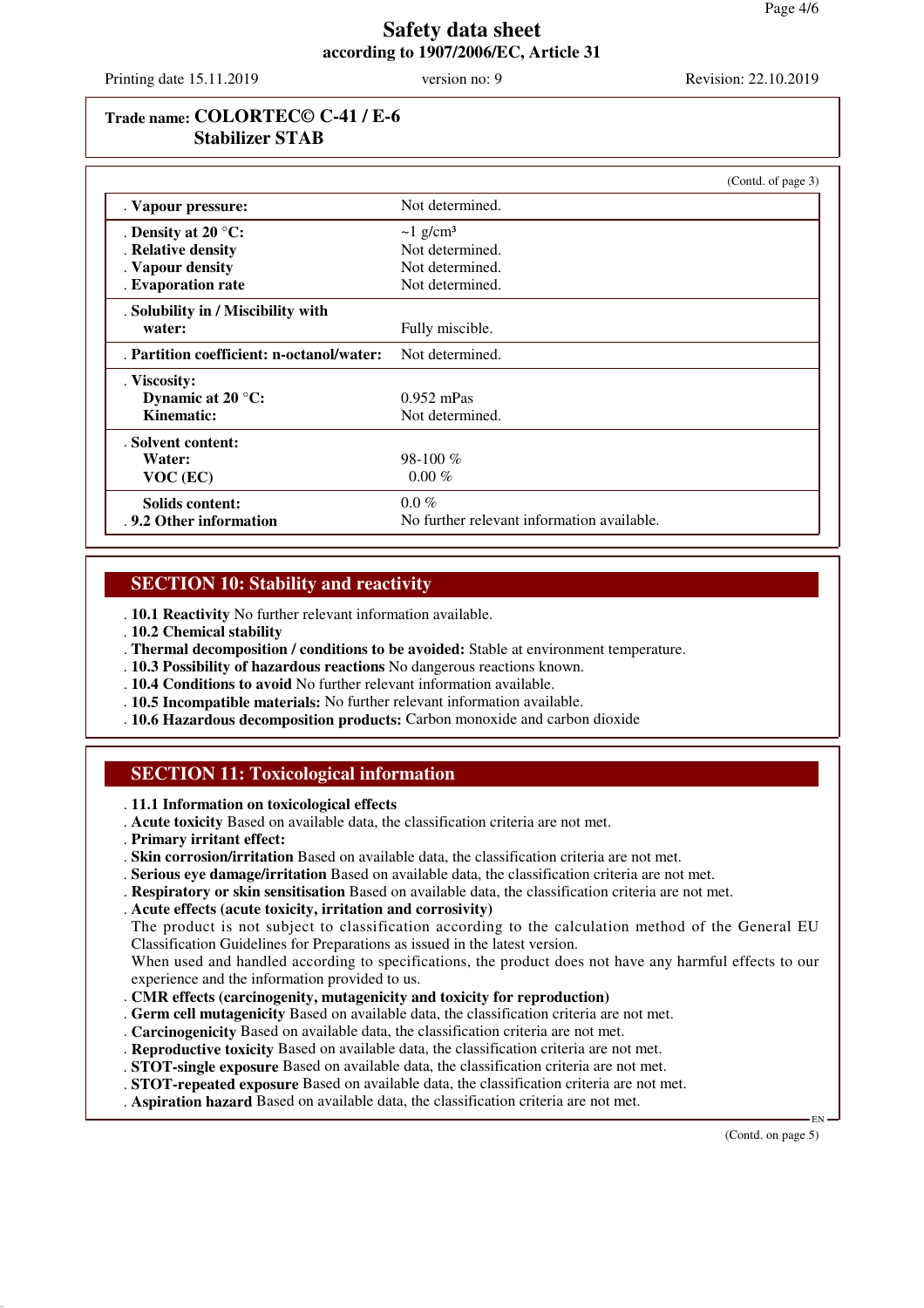Printing date 15.11.2019 version no: 9 Revision: 22.10.2019

### **Trade name: COLORTEC© C-41 / E-6 Stabilizer STAB**

|                                           | (Contd. of page 3)                         |
|-------------------------------------------|--------------------------------------------|
| . Vapour pressure:                        | Not determined.                            |
| . Density at 20 $^{\circ}$ C:             | $\sim$ 1 g/cm <sup>3</sup>                 |
| . Relative density                        | Not determined.                            |
| . Vapour density                          | Not determined.                            |
| . Evaporation rate                        | Not determined.                            |
| . Solubility in / Miscibility with        |                                            |
| water:                                    | Fully miscible.                            |
| . Partition coefficient: n-octanol/water: | Not determined.                            |
| . Viscosity:                              |                                            |
| Dynamic at $20^{\circ}$ C:                | $0.952$ mPas                               |
| Kinematic:                                | Not determined.                            |
| . Solvent content:                        |                                            |
| Water:                                    | 98-100 $%$                                 |
| $VOC$ (EC)                                | $0.00\%$                                   |
| Solids content:                           | $0.0\%$                                    |
| . 9.2 Other information                   | No further relevant information available. |

### **SECTION 10: Stability and reactivity**

. **10.1 Reactivity** No further relevant information available.

- . **10.2 Chemical stability**
- . **Thermal decomposition / conditions to be avoided:** Stable at environment temperature.
- . **10.3 Possibility of hazardous reactions** No dangerous reactions known.
- . **10.4 Conditions to avoid** No further relevant information available.
- . **10.5 Incompatible materials:** No further relevant information available.
- . **10.6 Hazardous decomposition products:** Carbon monoxide and carbon dioxide

# **SECTION 11: Toxicological information**

- . **11.1 Information on toxicological effects**
- . **Acute toxicity** Based on available data, the classification criteria are not met.
- . **Primary irritant effect:**
- . **Skin corrosion/irritation** Based on available data, the classification criteria are not met.
- . **Serious eye damage/irritation** Based on available data, the classification criteria are not met.
- . **Respiratory or skin sensitisation** Based on available data, the classification criteria are not met.
- . **Acute effects (acute toxicity, irritation and corrosivity)**

The product is not subject to classification according to the calculation method of the General EU Classification Guidelines for Preparations as issued in the latest version.

When used and handled according to specifications, the product does not have any harmful effects to our experience and the information provided to us.

- . **CMR effects (carcinogenity, mutagenicity and toxicity for reproduction)**
- . **Germ cell mutagenicity** Based on available data, the classification criteria are not met.
- . **Carcinogenicity** Based on available data, the classification criteria are not met.
- . **Reproductive toxicity** Based on available data, the classification criteria are not met.
- . **STOT-single exposure** Based on available data, the classification criteria are not met.
- . **STOT-repeated exposure** Based on available data, the classification criteria are not met.
- . **Aspiration hazard** Based on available data, the classification criteria are not met.

(Contd. on page 5)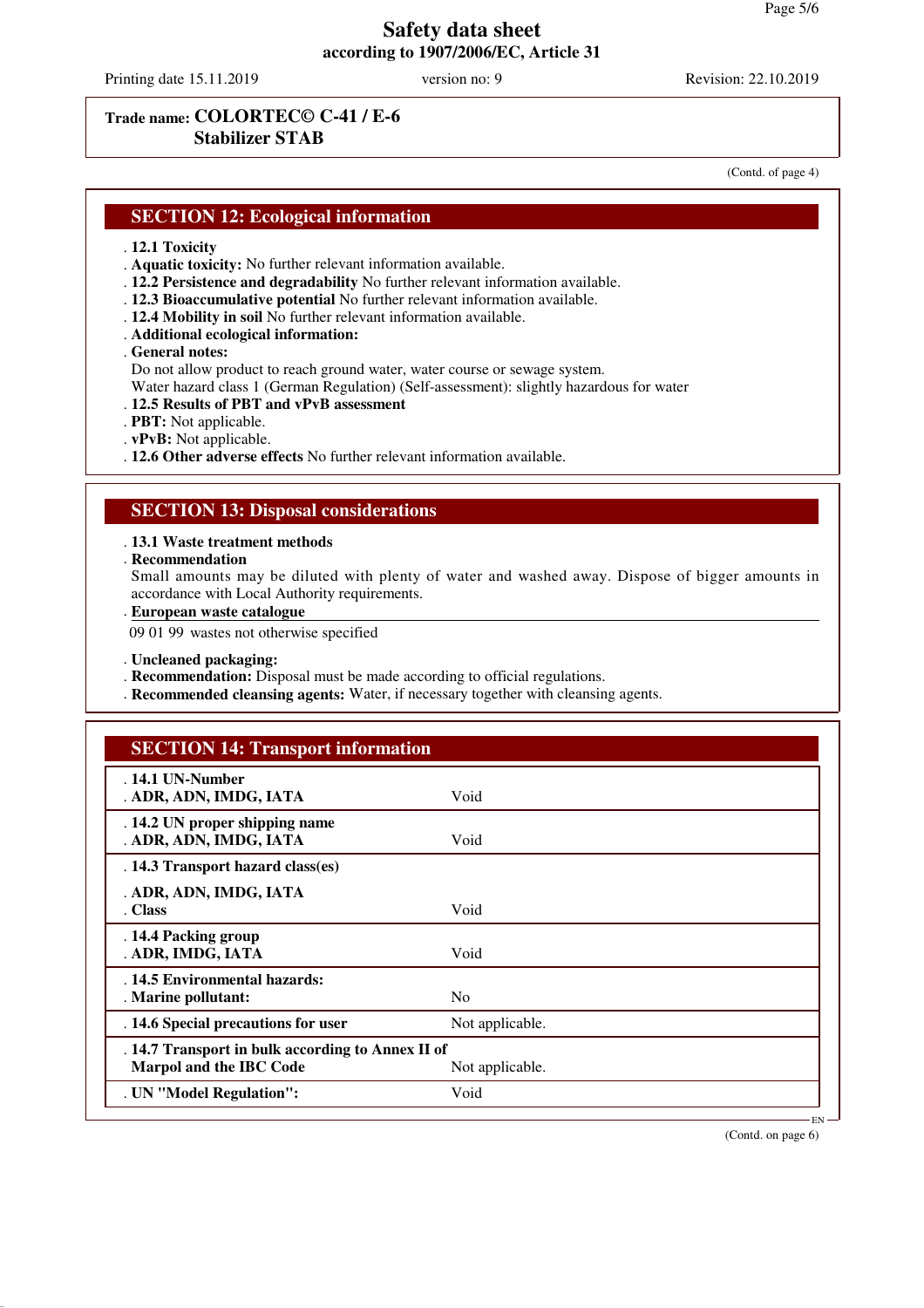Printing date 15.11.2019 version no: 9 Revision: 22.10.2019

# **Trade name: COLORTEC© C-41 / E-6 Stabilizer STAB**

(Contd. of page 4)

#### **SECTION 12: Ecological information**

#### . **12.1 Toxicity**

- . **Aquatic toxicity:** No further relevant information available.
- . **12.2 Persistence and degradability** No further relevant information available.
- . **12.3 Bioaccumulative potential** No further relevant information available.
- . **12.4 Mobility in soil** No further relevant information available.
- . **Additional ecological information:**

#### . **General notes:**

Do not allow product to reach ground water, water course or sewage system.

Water hazard class 1 (German Regulation) (Self-assessment): slightly hazardous for water

- . **12.5 Results of PBT and vPvB assessment**
- . **PBT:** Not applicable.
- . **vPvB:** Not applicable.
- . **12.6 Other adverse effects** No further relevant information available.

#### **SECTION 13: Disposal considerations**

#### . **13.1 Waste treatment methods**

. **Recommendation**

Small amounts may be diluted with plenty of water and washed away. Dispose of bigger amounts in accordance with Local Authority requirements.

**European waste catalogue** .

09 01 99 wastes not otherwise specified

. **Uncleaned packaging:**

- . **Recommendation:** Disposal must be made according to official regulations.
- . **Recommended cleansing agents:** Water, if necessary together with cleansing agents.

| <b>SECTION 14: Transport information</b>                                            |                 |  |
|-------------------------------------------------------------------------------------|-----------------|--|
| . 14.1 UN-Number<br>. ADR, ADN, IMDG, IATA                                          | Void            |  |
| . 14.2 UN proper shipping name<br>. ADR, ADN, IMDG, IATA                            | Void            |  |
| . 14.3 Transport hazard class(es)                                                   |                 |  |
| . ADR, ADN, IMDG, IATA<br>. Class                                                   | Void            |  |
| . 14.4 Packing group<br>. ADR, IMDG, IATA                                           | Void            |  |
| . 14.5 Environmental hazards:<br>. Marine pollutant:                                | N <sub>0</sub>  |  |
| . 14.6 Special precautions for user                                                 | Not applicable. |  |
| . 14.7 Transport in bulk according to Annex II of<br><b>Marpol and the IBC Code</b> | Not applicable. |  |
| . UN "Model Regulation":                                                            | Void            |  |

(Contd. on page 6)